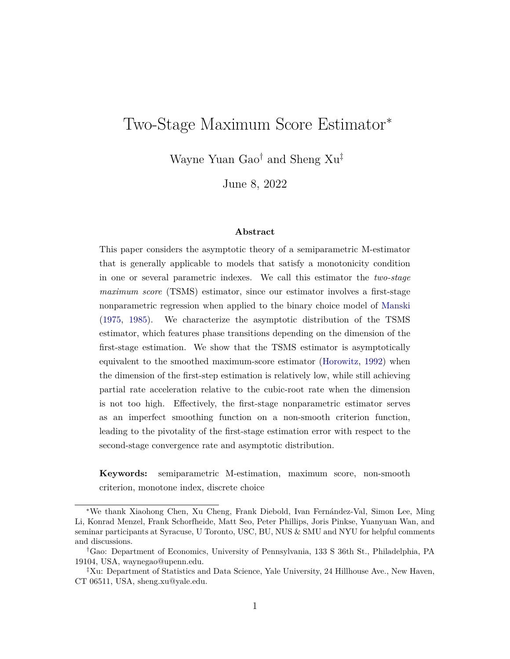# Two-Stage Maximum Score Estimator<sup>∗</sup>

Wayne Yuan Gao† and Sheng Xu‡

June 8, 2022

#### **Abstract**

This paper considers the asymptotic theory of a semiparametric M-estimator that is generally applicable to models that satisfy a monotonicity condition in one or several parametric indexes. We call this estimator the *two-stage maximum score* (TSMS) estimator, since our estimator involves a first-stage nonparametric regression when applied to the binary choice model of [Manski](#page-24-0) [\(1975,](#page-24-0) [1985\)](#page-24-1). We characterize the asymptotic distribution of the TSMS estimator, which features phase transitions depending on the dimension of the first-stage estimation. We show that the TSMS estimator is asymptotically equivalent to the smoothed maximum-score estimator [\(Horowitz,](#page-24-2) [1992\)](#page-24-2) when the dimension of the first-step estimation is relatively low, while still achieving partial rate acceleration relative to the cubic-root rate when the dimension is not too high. Effectively, the first-stage nonparametric estimator serves as an imperfect smoothing function on a non-smooth criterion function, leading to the pivotality of the first-stage estimation error with respect to the second-stage convergence rate and asymptotic distribution.

**Keywords:** semiparametric M-estimation, maximum score, non-smooth criterion, monotone index, discrete choice

<sup>∗</sup>We thank Xiaohong Chen, Xu Cheng, Frank Diebold, Ivan Fernández-Val, Simon Lee, Ming Li, Konrad Menzel, Frank Schorfheide, Matt Seo, Peter Phillips, Joris Pinkse, Yuanyuan Wan, and seminar participants at Syracuse, U Toronto, USC, BU, NUS & SMU and NYU for helpful comments and discussions.

<sup>†</sup>Gao: Department of Economics, University of Pennsylvania, 133 S 36th St., Philadelphia, PA 19104, USA, waynegao@upenn.edu.

<sup>‡</sup>Xu: Department of Statistics and Data Science, Yale University, 24 Hillhouse Ave., New Haven, CT 06511, USA, sheng.xu@yale.edu.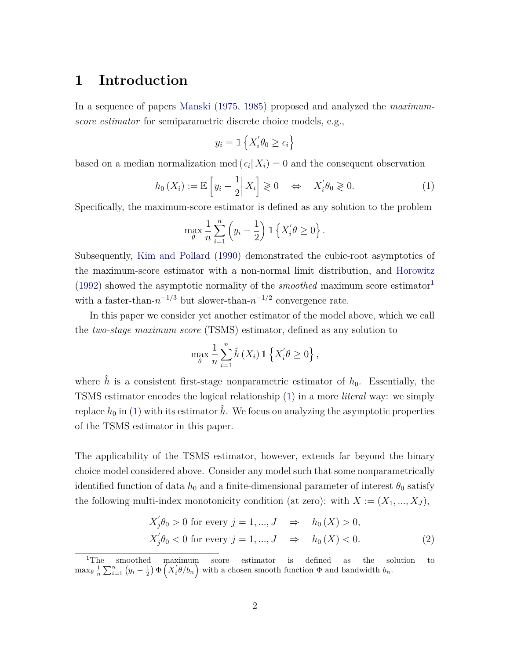## **1 Introduction**

In a sequence of papers [Manski](#page-24-0) [\(1975,](#page-24-0) [1985\)](#page-24-1) proposed and analyzed the *maximumscore estimator* for semiparametric discrete choice models, e.g.,

$$
y_i = \mathbb{1}\left\{X_i^{'}\theta_0 \geq \epsilon_i\right\}
$$

based on a median normalization med  $(\epsilon_i | X_i) = 0$  and the consequent observation

<span id="page-1-1"></span>
$$
h_0(X_i) := \mathbb{E}\left[y_i - \frac{1}{2} \middle| X_i\right] \geq 0 \quad \Leftrightarrow \quad X_i' \theta_0 \geq 0. \tag{1}
$$

Specifically, the maximum-score estimator is defined as any solution to the problem

$$
\max_{\theta} \frac{1}{n} \sum_{i=1}^{n} \left( y_i - \frac{1}{2} \right) \mathbb{1} \left\{ X_i' \theta \ge 0 \right\}.
$$

Subsequently, [Kim and Pollard](#page-24-3) [\(1990\)](#page-24-3) demonstrated the cubic-root asymptotics of the maximum-score estimator with a non-normal limit distribution, and [Horowitz](#page-24-2) [\(1992\)](#page-24-2) showed the asymptotic normality of the *smoothed* maximum score estimator<sup>[1](#page-1-0)</sup> with a faster-than- $n^{-1/3}$  but slower-than- $n^{-1/2}$  convergence rate.

In this paper we consider yet another estimator of the model above, which we call the *two-stage maximum score* (TSMS) estimator, defined as any solution to

$$
\max_{\theta} \frac{1}{n} \sum_{i=1}^{n} \hat{h}(X_i) \mathbb{1}\left\{X_i' \theta \ge 0\right\},\
$$

where  $\hat{h}$  is a consistent first-stage nonparametric estimator of  $h_0$ . Essentially, the TSMS estimator encodes the logical relationship [\(1\)](#page-1-1) in a more *literal* way: we simply replace  $h_0$  in [\(1\)](#page-1-1) with its estimator  $\hat{h}$ . We focus on analyzing the asymptotic properties of the TSMS estimator in this paper.

The applicability of the TSMS estimator, however, extends far beyond the binary choice model considered above. Consider any model such that some nonparametrically identified function of data  $h_0$  and a finite-dimensional parameter of interest  $\theta_0$  satisfy the following multi-index monotonicity condition (at zero): with  $X := (X_1, ..., X_J)$ ,

<span id="page-1-2"></span>
$$
X'_{j}\theta_{0} > 0 \text{ for every } j = 1, ..., J \quad \Rightarrow \quad h_{0}(X) > 0,
$$
  

$$
X'_{j}\theta_{0} < 0 \text{ for every } j = 1, ..., J \quad \Rightarrow \quad h_{0}(X) < 0.
$$
 (2)

<span id="page-1-0"></span><sup>&</sup>lt;sup>1</sup>The smoothed maximum score estimator is defined as the solution to  $\max_{\theta} \frac{1}{n} \sum_{i=1}^{n} (y_i - \frac{1}{2}) \Phi\left(X_i^{\prime} \theta / b_n\right)$  with a chosen smooth function  $\Phi$  and bandwidth  $b_n$ .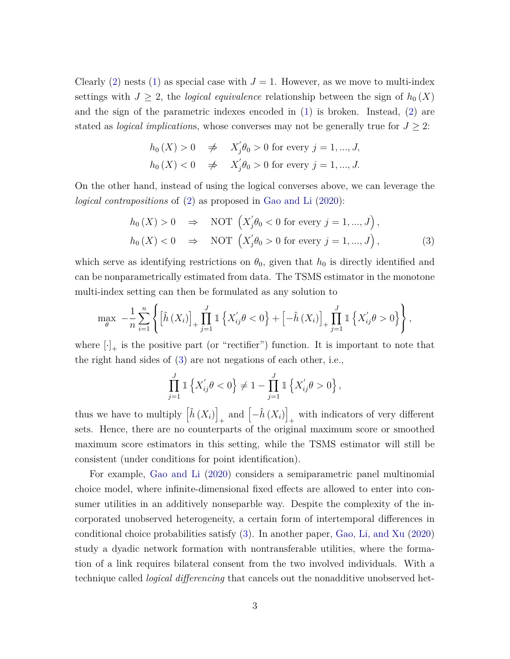Clearly [\(2\)](#page-1-2) nests [\(1\)](#page-1-1) as special case with  $J = 1$ . However, as we move to multi-index settings with  $J \geq 2$ , the *logical equivalence* relationship between the sign of  $h_0(X)$ and the sign of the parametric indexes encoded in [\(1\)](#page-1-1) is broken. Instead, [\(2\)](#page-1-2) are stated as *logical implications*, whose converses may not be generally true for  $J \geq 2$ :

<span id="page-2-0"></span>
$$
h_0(X) > 0 \quad \neq \quad X'_j \theta_0 > 0 \text{ for every } j = 1, \dots, J,
$$
\n
$$
h_0(X) < 0 \quad \neq \quad X'_j \theta_0 > 0 \text{ for every } j = 1, \dots, J.
$$

On the other hand, instead of using the logical converses above, we can leverage the *logical contrapositions* of [\(2\)](#page-1-2) as proposed in [Gao and Li](#page-23-0) [\(2020\)](#page-23-0):

$$
h_0(X) > 0 \Rightarrow \text{NOT} \left( X'_j \theta_0 < 0 \text{ for every } j = 1, ..., J \right),
$$
  
\n
$$
h_0(X) < 0 \Rightarrow \text{NOT} \left( X'_j \theta_0 > 0 \text{ for every } j = 1, ..., J \right),
$$
\n(3)

which serve as identifying restrictions on  $\theta_0$ , given that  $h_0$  is directly identified and can be nonparametrically estimated from data. The TSMS estimator in the monotone multi-index setting can then be formulated as any solution to

$$
\max_{\theta} \ -\frac{1}{n} \sum_{i=1}^{n} \left\{ \left[ \hat{h}(X_i) \right]_+ \prod_{j=1}^{J} \mathbb{1} \left\{ X'_{ij} \theta < 0 \right\} + \left[ -\hat{h}(X_i) \right]_+ \prod_{j=1}^{J} \mathbb{1} \left\{ X'_{ij} \theta > 0 \right\} \right\},
$$

where  $[\cdot]_+$  is the positive part (or "rectifier") function. It is important to note that the right hand sides of [\(3\)](#page-2-0) are not negations of each other, i.e.,

$$
\prod_{j=1}^{J} \mathbb{1}\left\{X'_{ij}\theta < 0\right\} \neq 1 - \prod_{j=1}^{J} \mathbb{1}\left\{X'_{ij}\theta > 0\right\},\
$$

thus we have to multiply  $\left[\hat{h}\left(X_i\right)\right]$  $+$  and  $\left[-\hat{h}\left(X_i\right)\right]$ + with indicators of very different sets. Hence, there are no counterparts of the original maximum score or smoothed maximum score estimators in this setting, while the TSMS estimator will still be consistent (under conditions for point identification).

For example, [Gao and Li](#page-23-0) [\(2020\)](#page-23-0) considers a semiparametric panel multinomial choice model, where infinite-dimensional fixed effects are allowed to enter into consumer utilities in an additively nonseparble way. Despite the complexity of the incorporated unobserved heterogeneity, a certain form of intertemporal differences in conditional choice probabilities satisfy [\(3\)](#page-2-0). In another paper, [Gao, Li, and Xu](#page-23-1) [\(2020\)](#page-23-1) study a dyadic network formation with nontransferable utilities, where the formation of a link requires bilateral consent from the two involved individuals. With a technique called *logical differencing* that cancels out the nonadditive unobserved het-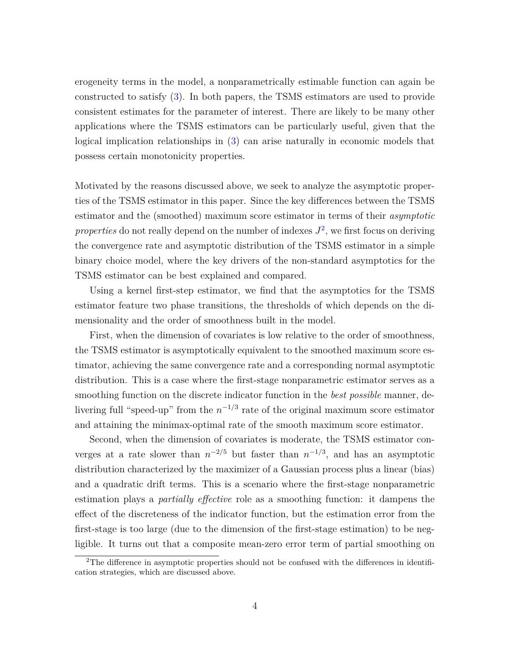erogeneity terms in the model, a nonparametrically estimable function can again be constructed to satisfy [\(3\)](#page-2-0). In both papers, the TSMS estimators are used to provide consistent estimates for the parameter of interest. There are likely to be many other applications where the TSMS estimators can be particularly useful, given that the logical implication relationships in [\(3\)](#page-2-0) can arise naturally in economic models that possess certain monotonicity properties.

Motivated by the reasons discussed above, we seek to analyze the asymptotic properties of the TSMS estimator in this paper. Since the key differences between the TSMS estimator and the (smoothed) maximum score estimator in terms of their *asymptotic* properties do not really depend on the number of indexes  $J^2$  $J^2$ , we first focus on deriving the convergence rate and asymptotic distribution of the TSMS estimator in a simple binary choice model, where the key drivers of the non-standard asymptotics for the TSMS estimator can be best explained and compared.

Using a kernel first-step estimator, we find that the asymptotics for the TSMS estimator feature two phase transitions, the thresholds of which depends on the dimensionality and the order of smoothness built in the model.

First, when the dimension of covariates is low relative to the order of smoothness, the TSMS estimator is asymptotically equivalent to the smoothed maximum score estimator, achieving the same convergence rate and a corresponding normal asymptotic distribution. This is a case where the first-stage nonparametric estimator serves as a smoothing function on the discrete indicator function in the *best possible* manner, delivering full "speed-up" from the  $n^{-1/3}$  rate of the original maximum score estimator and attaining the minimax-optimal rate of the smooth maximum score estimator.

Second, when the dimension of covariates is moderate, the TSMS estimator converges at a rate slower than  $n^{-2/5}$  but faster than  $n^{-1/3}$ , and has an asymptotic distribution characterized by the maximizer of a Gaussian process plus a linear (bias) and a quadratic drift terms. This is a scenario where the first-stage nonparametric estimation plays a *partially effective* role as a smoothing function: it dampens the effect of the discreteness of the indicator function, but the estimation error from the first-stage is too large (due to the dimension of the first-stage estimation) to be negligible. It turns out that a composite mean-zero error term of partial smoothing on

<span id="page-3-0"></span><sup>&</sup>lt;sup>2</sup>The difference in asymptotic properties should not be confused with the differences in identification strategies, which are discussed above.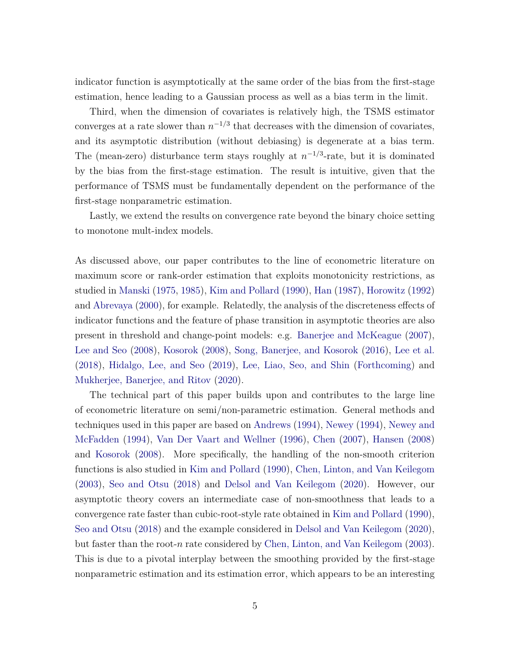indicator function is asymptotically at the same order of the bias from the first-stage estimation, hence leading to a Gaussian process as well as a bias term in the limit.

Third, when the dimension of covariates is relatively high, the TSMS estimator converges at a rate slower than  $n^{-1/3}$  that decreases with the dimension of covariates, and its asymptotic distribution (without debiasing) is degenerate at a bias term. The (mean-zero) disturbance term stays roughly at  $n^{-1/3}$ -rate, but it is dominated by the bias from the first-stage estimation. The result is intuitive, given that the performance of TSMS must be fundamentally dependent on the performance of the first-stage nonparametric estimation.

Lastly, we extend the results on convergence rate beyond the binary choice setting to monotone mult-index models.

As discussed above, our paper contributes to the line of econometric literature on maximum score or rank-order estimation that exploits monotonicity restrictions, as studied in [Manski](#page-24-0) [\(1975,](#page-24-0) [1985\)](#page-24-1), [Kim and Pollard](#page-24-3) [\(1990\)](#page-24-3), [Han](#page-23-2) [\(1987\)](#page-23-2), [Horowitz](#page-24-2) [\(1992\)](#page-24-2) and [Abrevaya](#page-22-0) [\(2000\)](#page-22-0), for example. Relatedly, the analysis of the discreteness effects of indicator functions and the feature of phase transition in asymptotic theories are also present in threshold and change-point models: e.g. [Banerjee and McKeague](#page-23-3) [\(2007\)](#page-23-3), [Lee and Seo](#page-24-4) [\(2008\)](#page-24-4), [Kosorok](#page-24-5) [\(2008\)](#page-24-5), [Song, Banerjee, and Kosorok](#page-25-0) [\(2016\)](#page-25-0), [Lee et al.](#page-24-6) [\(2018\)](#page-24-6), [Hidalgo, Lee, and Seo](#page-24-7) [\(2019\)](#page-24-7), [Lee, Liao, Seo, and Shin](#page-24-8) [\(Forthcoming\)](#page-24-8) and [Mukherjee, Banerjee, and Ritov](#page-24-9) [\(2020\)](#page-24-9).

The technical part of this paper builds upon and contributes to the large line of econometric literature on semi/non-parametric estimation. General methods and techniques used in this paper are based on [Andrews](#page-23-4) [\(1994\)](#page-23-4), [Newey](#page-24-10) [\(1994\)](#page-24-10), [Newey and](#page-24-11) [McFadden](#page-24-11) [\(1994\)](#page-24-11), [Van Der Vaart and Wellner](#page-25-1) [\(1996\)](#page-25-1), [Chen](#page-23-5) [\(2007\)](#page-23-5), [Hansen](#page-23-6) [\(2008\)](#page-23-6) and [Kosorok](#page-24-5) [\(2008\)](#page-24-5). More specifically, the handling of the non-smooth criterion functions is also studied in [Kim and Pollard](#page-24-3) [\(1990\)](#page-24-3), [Chen, Linton, and Van Keilegom](#page-23-7) [\(2003\)](#page-23-7), [Seo and Otsu](#page-25-2) [\(2018\)](#page-25-2) and [Delsol and Van Keilegom](#page-23-8) [\(2020\)](#page-23-8). However, our asymptotic theory covers an intermediate case of non-smoothness that leads to a convergence rate faster than cubic-root-style rate obtained in [Kim and Pollard](#page-24-3) [\(1990\)](#page-24-3), [Seo and Otsu](#page-25-2) [\(2018\)](#page-25-2) and the example considered in [Delsol and Van Keilegom](#page-23-8) [\(2020\)](#page-23-8), but faster than the root-*n* rate considered by [Chen, Linton, and Van Keilegom](#page-23-7) [\(2003\)](#page-23-7). This is due to a pivotal interplay between the smoothing provided by the first-stage nonparametric estimation and its estimation error, which appears to be an interesting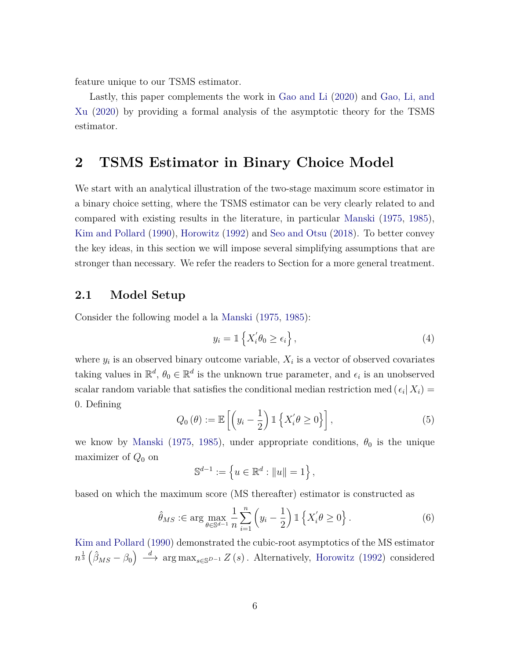feature unique to our TSMS estimator.

Lastly, this paper complements the work in [Gao and Li](#page-23-0) [\(2020\)](#page-23-0) and [Gao, Li, and](#page-23-1) [Xu](#page-23-1) [\(2020\)](#page-23-1) by providing a formal analysis of the asymptotic theory for the TSMS estimator.

## **2 TSMS Estimator in Binary Choice Model**

We start with an analytical illustration of the two-stage maximum score estimator in a binary choice setting, where the TSMS estimator can be very clearly related to and compared with existing results in the literature, in particular [Manski](#page-24-0) [\(1975,](#page-24-0) [1985\)](#page-24-1), [Kim and Pollard](#page-24-3) [\(1990\)](#page-24-3), [Horowitz](#page-24-2) [\(1992\)](#page-24-2) and [Seo and Otsu](#page-25-2) [\(2018\)](#page-25-2). To better convey the key ideas, in this section we will impose several simplifying assumptions that are stronger than necessary. We refer the readers to Section for a more general treatment.

### **2.1 Model Setup**

Consider the following model a la [Manski](#page-24-0) [\(1975,](#page-24-0) [1985\)](#page-24-1):

<span id="page-5-1"></span>
$$
y_i = \mathbb{1}\left\{X_i'\theta_0 \ge \epsilon_i\right\},\tag{4}
$$

where  $y_i$  is an observed binary outcome variable,  $X_i$  is a vector of observed covariates taking values in  $\mathbb{R}^d$ ,  $\theta_0 \in \mathbb{R}^d$  is the unknown true parameter, and  $\epsilon_i$  is an unobserved scalar random variable that satisfies the conditional median restriction med  $(\epsilon_i | X_i)$ 0*.* Defining

<span id="page-5-0"></span>
$$
Q_0(\theta) := \mathbb{E}\left[\left(y_i - \frac{1}{2}\right) \mathbb{1}\left\{X'_i \theta \ge 0\right\}\right],\tag{5}
$$

we know by [Manski](#page-24-0) [\(1975,](#page-24-0) [1985\)](#page-24-1), under appropriate conditions,  $\theta_0$  is the unique maximizer of *Q*<sup>0</sup> on

$$
\mathbb{S}^{d-1} := \left\{ u \in \mathbb{R}^d : ||u|| = 1 \right\},\
$$

based on which the maximum score (MS thereafter) estimator is constructed as

<span id="page-5-2"></span>
$$
\hat{\theta}_{MS} : \in \arg\max_{\theta \in \mathbb{S}^{d-1}} \frac{1}{n} \sum_{i=1}^n \left( y_i - \frac{1}{2} \right) \mathbb{1} \left\{ X_i' \theta \ge 0 \right\}.
$$
 (6)

[Kim and Pollard](#page-24-3) [\(1990\)](#page-24-3) demonstrated the cubic-root asymptotics of the MS estimator  $n^{\frac{1}{3}}\left(\hat{\beta}_{MS} - \beta_0\right) \stackrel{d}{\longrightarrow} \arg \max_{s \in \mathbb{S}^{D-1}} Z\left(s\right)$ . Alternatively, [Horowitz](#page-24-2) [\(1992\)](#page-24-2) considered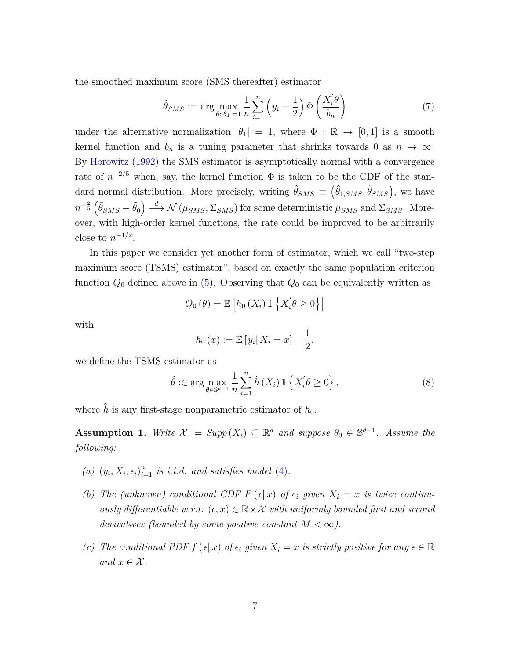the smoothed maximum score (SMS thereafter) estimator

<span id="page-6-1"></span>
$$
\hat{\theta}_{SMS} := \arg \max_{\theta: |\theta_1| = 1} \frac{1}{n} \sum_{i=1}^n \left( y_i - \frac{1}{2} \right) \Phi \left( \frac{X_i' \theta}{b_n} \right) \tag{7}
$$

under the alternative normalization  $|\theta_1| = 1$ , where  $\Phi : \mathbb{R} \to [0,1]$  is a smooth kernel function and  $b_n$  is a tuning parameter that shrinks towards 0 as  $n \to \infty$ . By [Horowitz](#page-24-2) [\(1992\)](#page-24-2) the SMS estimator is asymptotically normal with a convergence rate of  $n^{-2/5}$  when, say, the kernel function  $\Phi$  is taken to be the CDF of the standard normal distribution. More precisely, writing  $\hat{\theta}_{SMS} \equiv (\hat{\theta}_{1,SMS}, \tilde{\theta}_{SMS})$ , we have  $n^{-\frac{2}{5}}\left(\tilde{\theta}_{SMS} - \tilde{\theta}_0\right) \stackrel{d}{\longrightarrow} \mathcal{N}\left(\mu_{SMS}, \Sigma_{SMS}\right)$  for some deterministic  $\mu_{SMS}$  and  $\Sigma_{SMS}$ . Moreover, with high-order kernel functions, the rate could be improved to be arbitrarily close to  $n^{-1/2}$ .

In this paper we consider yet another form of estimator, which we call "two-step maximum score (TSMS) estimator", based on exactly the same population criterion function *Q*<sup>0</sup> defined above in [\(5\)](#page-5-0). Observing that *Q*<sup>0</sup> can be equivalently written as

$$
Q_0(\theta) = \mathbb{E}\left[h_0(X_i) \mathbb{1}\left\{X_i'\theta \ge 0\right\}\right]
$$

with

$$
h_0(x) := \mathbb{E}[y_i | X_i = x] - \frac{1}{2},
$$

we define the TSMS estimator as

<span id="page-6-2"></span>
$$
\hat{\theta} : \in \arg \max_{\theta \in \mathbb{S}^{d-1}} \frac{1}{n} \sum_{i=1}^{n} \hat{h}(X_i) \mathbb{1}\left\{X_i^{\prime} \theta \ge 0\right\},\tag{8}
$$

where  $\hat{h}$  is any first-stage nonparametric estimator of  $h_0$ .

<span id="page-6-0"></span>**Assumption 1.** *Write*  $\mathcal{X} := Supp(X_i) \subseteq \mathbb{R}^d$  *and suppose*  $\theta_0 \in \mathbb{S}^{d-1}$ *. Assume the following:*

- (a)  $(y_i, X_i, \epsilon_i)_{i=1}^n$  *is i.i.d.* and satisfies model [\(4\)](#page-5-1).
- *(b) The (unknown) conditional CDF*  $F(\epsilon|x)$  *of*  $\epsilon_i$  *given*  $X_i = x$  *is twice continuously differentiable w.r.t.*  $(\epsilon, x) \in \mathbb{R} \times \mathcal{X}$  with uniformly bounded first and second *derivatives (bounded by some positive constant*  $M < \infty$ ).
- *(c) The conditional PDF*  $f(\epsilon|x)$  *of*  $\epsilon_i$  *given*  $X_i = x$  *is strictly positive for any*  $\epsilon \in \mathbb{R}$ *and*  $x \in \mathcal{X}$ *.*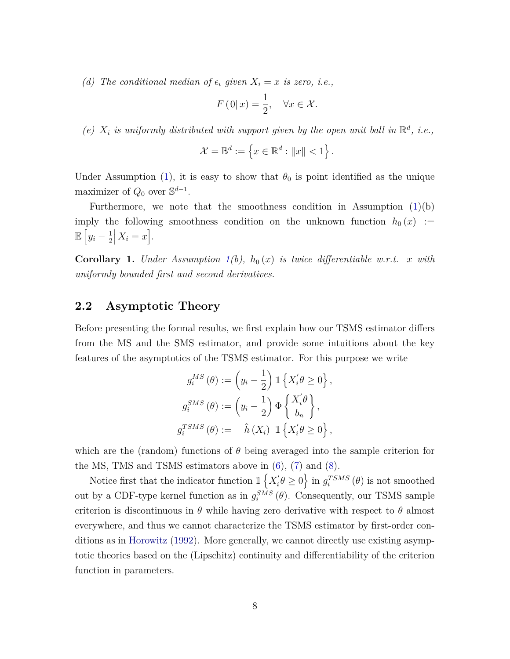*(d) The conditional median of*  $\epsilon_i$  *given*  $X_i = x$  *is zero, i.e.,* 

$$
F(0|x) = \frac{1}{2}, \quad \forall x \in \mathcal{X}.
$$

(e)  $X_i$  is uniformly distributed with support given by the open unit ball in  $\mathbb{R}^d$ , i.e.,

$$
\mathcal{X} = \mathbb{B}^d := \left\{ x \in \mathbb{R}^d : ||x|| < 1 \right\}.
$$

Under Assumption [\(1\)](#page-6-0), it is easy to show that  $\theta_0$  is point identified as the unique maximizer of  $Q_0$  over  $\mathbb{S}^{d-1}$ .

Furthermore, we note that the smoothness condition in Assumption  $(1)(b)$  $(1)(b)$ imply the following smoothness condition on the unknown function  $h_0(x) :=$  $\mathbb{E} \left[ y_i - \frac{1}{2} \right]$ 2  $X_i = x$ .

<span id="page-7-0"></span>**Corollary 1.** *Under Assumption*  $1(b)$  $1(b)$ ,  $h_0(x)$  *is twice differentiable w.r.t. x with uniformly bounded first and second derivatives.*

### **2.2 Asymptotic Theory**

Before presenting the formal results, we first explain how our TSMS estimator differs from the MS and the SMS estimator, and provide some intuitions about the key features of the asymptotics of the TSMS estimator. For this purpose we write

$$
g_i^{MS}(\theta) := \left(y_i - \frac{1}{2}\right) \mathbb{1} \left\{X_i' \theta \ge 0\right\},
$$
  

$$
g_i^{SMS}(\theta) := \left(y_i - \frac{1}{2}\right) \Phi \left\{\frac{X_i' \theta}{b_n}\right\},
$$
  

$$
g_i^{TSMS}(\theta) := \hat{h}(X_i) \mathbb{1} \left\{X_i' \theta \ge 0\right\},
$$

which are the (random) functions of  $\theta$  being averaged into the sample criterion for the MS, TMS and TSMS estimators above in  $(6)$ ,  $(7)$  and  $(8)$ .

Notice first that the indicator function  $\mathbb{1}\left\{X_i^{\prime}\right\}$  $g_i^{'\prime} \theta \geq 0$  is not smoothed out by a CDF-type kernel function as in  $g_i^{SMS}(\theta)$ . Consequently, our TSMS sample criterion is discontinuous in  $\theta$  while having zero derivative with respect to  $\theta$  almost everywhere, and thus we cannot characterize the TSMS estimator by first-order conditions as in [Horowitz](#page-24-2) [\(1992\)](#page-24-2). More generally, we cannot directly use existing asymptotic theories based on the (Lipschitz) continuity and differentiability of the criterion function in parameters.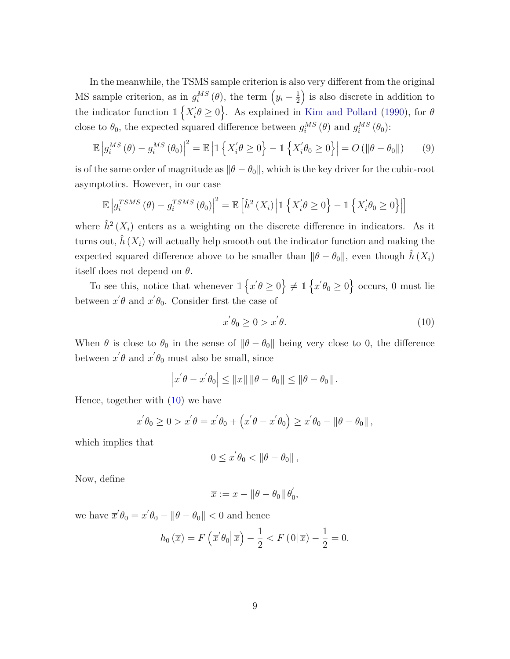In the meanwhile, the TSMS sample criterion is also very different from the original MS sample criterion, as in  $g_i^{MS}(\theta)$ , the term  $(y_i - \frac{1}{2})$ 2 ) is also discrete in addition to the indicator function  $\mathbb{1}\left\{X_i\right\}$  $\left\{ \theta \geq 0 \right\}$ . As explained in [Kim and Pollard](#page-24-3) [\(1990\)](#page-24-3), for  $\theta$ close to  $\theta_0$ , the expected squared difference between  $g_i^{MS}(\theta)$  and  $g_i^{MS}(\theta_0)$ :

$$
\mathbb{E}\left|g_i^{MS}(\theta) - g_i^{MS}(\theta_0)\right|^2 = \mathbb{E}\left|\mathbb{1}\left\{X_i'\theta \ge 0\right\} - \mathbb{1}\left\{X_i'\theta_0 \ge 0\right\}\right| = O\left(\|\theta - \theta_0\|\right) \tag{9}
$$

is of the same order of magnitude as  $\|\theta - \theta_0\|$ , which is the key driver for the cubic-root asymptotics. However, in our case

$$
\mathbb{E}\left|g_i^{TSMS}\left(\theta\right) - g_i^{TSMS}\left(\theta_0\right)\right|^2 = \mathbb{E}\left[\hat{h}^2\left(X_i\right) \middle| \mathbb{1}\left\{X_i'\theta \ge 0\right\} - \mathbb{1}\left\{X_i'\theta_0 \ge 0\right\}\right|\right]
$$

where  $\hat{h}^2(X_i)$  enters as a weighting on the discrete difference in indicators. As it turns out,  $\hat{h}(X_i)$  will actually help smooth out the indicator function and making the expected squared difference above to be smaller than  $\|\theta - \theta_0\|$ , even though  $\tilde{h}(X_i)$ itself does not depend on *θ*.

To see this, notice that whenever  $\mathbb{1}\left\{x' \theta \ge 0\right\} \neq \mathbb{1}\left\{x' \theta_0 \ge 0\right\}$  occurs, 0 must lie between  $x' \theta$  and  $x' \theta_0$ . Consider first the case of

<span id="page-8-1"></span><span id="page-8-0"></span>
$$
x^{'}\theta_0 \ge 0 > x^{'}\theta. \tag{10}
$$

When  $\theta$  is close to  $\theta_0$  in the sense of  $\|\theta - \theta_0\|$  being very close to 0, the difference between  $x' \theta$  and  $x' \theta_0$  must also be small, since

$$
\left| x^{'}\theta - x^{'}\theta_0 \right| \leq \|x\| \left\|\theta - \theta_0\right\| \leq \left\|\theta - \theta_0\right\|.
$$

Hence, together with [\(10\)](#page-8-0) we have

$$
x^{'}\theta_0 \ge 0 > x^{'}\theta = x^{'}\theta_0 + \left(x^{'}\theta - x^{'}\theta_0\right) \ge x^{'}\theta_0 - \|\theta - \theta_0\|,
$$

which implies that

$$
0\leq x^{'}\theta_{0}<\left\Vert \theta-\theta_{0}\right\Vert ,
$$

Now, define

$$
\overline{x} := x - \|\theta - \theta_0\| \theta'_0,
$$

we have  $\overline{x}'\theta_0 = x'\theta_0 - \|\theta - \theta_0\| < 0$  and hence

$$
h_0(\overline{x}) = F\left(\overline{x}'\theta_0\middle|\overline{x}\right) - \frac{1}{2} < F\left(0\middle|\overline{x}\right) - \frac{1}{2} = 0.
$$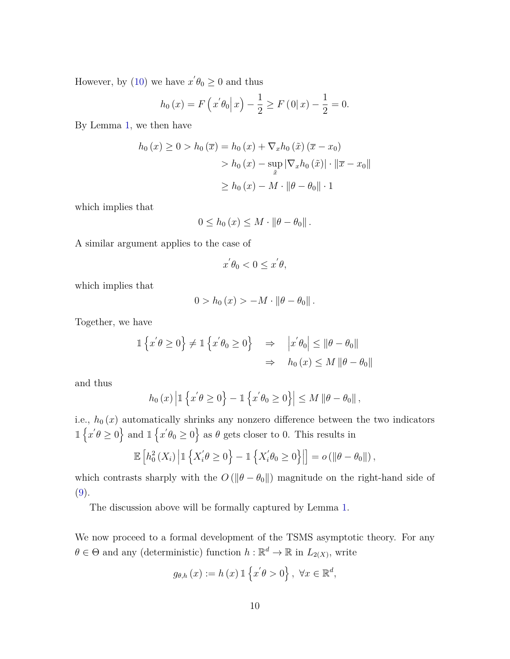However, by [\(10\)](#page-8-0) we have  $x' \theta_0 \geq 0$  and thus

$$
h_0(x) = F(x'\theta_0|x) - \frac{1}{2} \ge F(0|x) - \frac{1}{2} = 0.
$$

By Lemma [1,](#page-7-0) we then have

$$
h_0(x) \ge 0 > h_0(\overline{x}) = h_0(x) + \nabla_x h_0(\tilde{x}) (\overline{x} - x_0)
$$
  
> 
$$
h_0(x) - \sup_{\tilde{x}} |\nabla_x h_0(\tilde{x})| \cdot ||\overline{x} - x_0||
$$
  

$$
\ge h_0(x) - M \cdot ||\theta - \theta_0|| \cdot 1
$$

which implies that

$$
0 \leq h_0(x) \leq M \cdot \|\theta - \theta_0\|.
$$

A similar argument applies to the case of

$$
x^{'}\theta_{0} < 0 \leq x^{'}\theta,
$$

which implies that

$$
0 > h_0(x) > -M \cdot \|\theta - \theta_0\|.
$$

Together, we have

$$
\mathbb{1}\left\{x'\theta \ge 0\right\} \ne \mathbb{1}\left\{x'\theta_0 \ge 0\right\} \Rightarrow |x'\theta_0| \le \|\theta - \theta_0\|
$$
  

$$
\Rightarrow h_0(x) \le M \|\theta - \theta_0\|
$$

and thus

$$
h_0(x) \left| \mathbb{1} \left\{ x' \theta \ge 0 \right\} - \mathbb{1} \left\{ x' \theta_0 \ge 0 \right\} \right| \le M \left\| \theta - \theta_0 \right\|,
$$

i.e.,  $h_0(x)$  automatically shrinks any nonzero difference between the two indicators  $\mathbb{1}\left\{x' \theta \geq 0\right\}$  and  $\mathbb{1}\left\{x' \theta_0 \geq 0\right\}$  as  $\theta$  gets closer to 0. This results in

$$
\mathbb{E}\left[h_0^2\left(X_i\right)\middle|\mathbb{1}\left\{X'_i\theta\geq 0\right\}-\mathbb{1}\left\{X'_i\theta_0\geq 0\right\}\right|\right]=o\left(\left\|\theta-\theta_0\right\|\right),\
$$

which contrasts sharply with the  $O(||\theta - \theta_0||)$  magnitude on the right-hand side of  $(9).$  $(9).$ 

The discussion above will be formally captured by Lemma [1.](#page-10-0)

We now proceed to a formal development of the TSMS asymptotic theory. For any  $\theta \in \Theta$  and any (deterministic) function  $h : \mathbb{R}^d \to \mathbb{R}$  in  $L_{2(X)}$ , write

$$
g_{\theta,h}(x) := h(x) \mathbb{1}\left\{x'\theta > 0\right\}, \ \forall x \in \mathbb{R}^d,
$$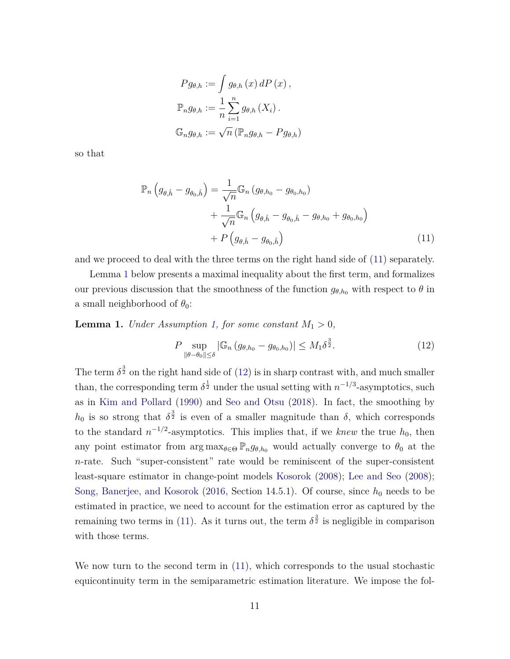$$
Pg_{\theta,h} := \int g_{\theta,h}(x) dP(x),
$$
  

$$
\mathbb{P}_n g_{\theta,h} := \frac{1}{n} \sum_{i=1}^n g_{\theta,h}(X_i).
$$
  

$$
\mathbb{G}_n g_{\theta,h} := \sqrt{n} (\mathbb{P}_n g_{\theta,h} - P g_{\theta,h})
$$

so that

$$
\mathbb{P}_n(g_{\theta,\hat{h}} - g_{\theta_0,\hat{h}}) = \frac{1}{\sqrt{n}} \mathbb{G}_n (g_{\theta,h_0} - g_{\theta_0,h_0}) + \frac{1}{\sqrt{n}} \mathbb{G}_n (g_{\theta,\hat{h}} - g_{\theta_0,\hat{h}} - g_{\theta,h_0} + g_{\theta_0,h_0}) + P(g_{\theta,\hat{h}} - g_{\theta_0,\hat{h}})
$$
\n(11)

and we proceed to deal with the three terms on the right hand side of [\(11\)](#page-10-1) separately.

Lemma [1](#page-10-0) below presents a maximal inequality about the first term, and formalizes our previous discussion that the smoothness of the function  $g_{\theta,h_0}$  with respect to  $\theta$  in a small neighborhood of  $\theta_0$ :

<span id="page-10-0"></span>**Lemma 1.** *Under Assumption [1,](#page-6-0) for some constant*  $M_1 > 0$ *,* 

<span id="page-10-2"></span><span id="page-10-1"></span>
$$
P \sup_{\|\theta-\theta_0\| \le \delta} |\mathbb{G}_n \left( g_{\theta,h_0} - g_{\theta_0,h_0} \right)| \le M_1 \delta^{\frac{3}{2}}.
$$
 (12)

The term  $\delta^{\frac{3}{2}}$  on the right hand side of [\(12\)](#page-10-2) is in sharp contrast with, and much smaller than, the corresponding term  $\delta^{\frac{1}{2}}$  under the usual setting with  $n^{-1/3}$ -asymptotics, such as in [Kim and Pollard](#page-24-3) [\(1990\)](#page-24-3) and [Seo and Otsu](#page-25-2) [\(2018\)](#page-25-2). In fact, the smoothing by  $h_0$  is so strong that  $\delta^{\frac{3}{2}}$  is even of a smaller magnitude than *δ*, which corresponds to the standard  $n^{-1/2}$ -asymptotics. This implies that, if we *knew* the true  $h_0$ , then any point estimator from  $\arg \max_{\theta \in \Theta} \mathbb{P}_n g_{\theta, h_0}$  would actually converge to  $\theta_0$  at the *n*-rate. Such "super-consistent" rate would be reminiscent of the super-consistent least-square estimator in change-point models [Kosorok](#page-24-5) [\(2008\)](#page-24-5); [Lee and Seo](#page-24-4) [\(2008\)](#page-24-4); [Song, Banerjee, and Kosorok](#page-25-0) [\(2016,](#page-25-0) Section 14.5.1). Of course, since  $h_0$  needs to be estimated in practice, we need to account for the estimation error as captured by the remaining two terms in [\(11\)](#page-10-1). As it turns out, the term  $\delta^{\frac{3}{2}}$  is negligible in comparison with those terms.

We now turn to the second term in [\(11\)](#page-10-1), which corresponds to the usual stochastic equicontinuity term in the semiparametric estimation literature. We impose the fol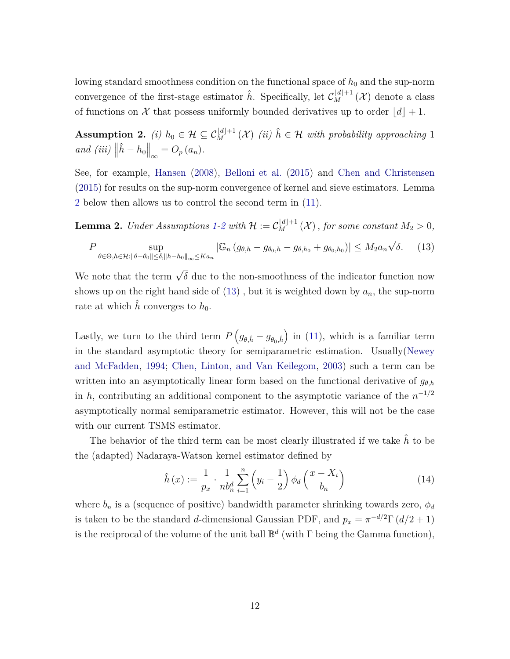lowing standard smoothness condition on the functional space of  $h_0$  and the sup-norm convergence of the first-stage estimator  $\hat{h}$ . Specifically, let  $\mathcal{C}_{M}^{[d]+1}(\mathcal{X})$  denote a class of functions on X that possess uniformly bounded derivatives up to order  $|d|+1$ .

<span id="page-11-1"></span>**Assumption 2.** *(i)*  $h_0 \in \mathcal{H} \subseteq C_M^{\lfloor d \rfloor + 1}(\mathcal{X})$  *(ii)*  $\hat{h} \in \mathcal{H}$  *with probability approaching* 1  $and (iii)$   $\left\| \hat{h} - h_0 \right\|_{\infty} = O_p(a_n).$ 

See, for example, [Hansen](#page-23-6) [\(2008\)](#page-23-6), [Belloni et al.](#page-23-9) [\(2015\)](#page-23-9) and [Chen and Christensen](#page-23-10) [\(2015\)](#page-23-10) for results on the sup-norm convergence of kernel and sieve estimators. Lemma [2](#page-11-0) below then allows us to control the second term in [\(11\)](#page-10-1).

<span id="page-11-0"></span>**Lemma [2](#page-11-1).** *Under Assumptions* [1-](#page-6-0)2 *with*  $\mathcal{H} := \mathcal{C}_M^{\lfloor d \rfloor + 1}(\mathcal{X})$  *, for some constant*  $M_2 > 0$ *,* 

<span id="page-11-2"></span>
$$
P \sup_{\theta \in \Theta, h \in \mathcal{H}: \|\theta - \theta_0\| \le \delta, \|h - h_0\|_{\infty} \le K a_n} |\mathbb{G}_n (g_{\theta,h} - g_{\theta_0,h} - g_{\theta,h_0} + g_{\theta_0,h_0})| \le M_2 a_n \sqrt{\delta}.
$$
 (13)

We note that the term  $\sqrt{\delta}$  due to the non-smoothness of the indicator function now shows up on the right hand side of  $(13)$ , but it is weighted down by  $a_n$ , the sup-norm rate at which  $\hat{h}$  converges to  $h_0$ .

Lastly, we turn to the third term  $P(g_{\theta,\hat{h}} - g_{\theta_0,\hat{h}})$  in [\(11\)](#page-10-1), which is a familiar term in the standard asymptotic theory for semiparametric estimation. Usually[\(Newey](#page-24-11) [and McFadden,](#page-24-11) [1994;](#page-24-11) [Chen, Linton, and Van Keilegom,](#page-23-7) [2003\)](#page-23-7) such a term can be written into an asymptotically linear form based on the functional derivative of  $g_{\theta,h}$ in *h*, contributing an additional component to the asymptotic variance of the  $n^{-1/2}$ asymptotically normal semiparametric estimator. However, this will not be the case with our current TSMS estimator.

The behavior of the third term can be most clearly illustrated if we take  $\hat{h}$  to be the (adapted) Nadaraya-Watson kernel estimator defined by

<span id="page-11-3"></span>
$$
\hat{h}\left(x\right) := \frac{1}{p_x} \cdot \frac{1}{n b_n^d} \sum_{i=1}^n \left(y_i - \frac{1}{2}\right) \phi_d\left(\frac{x - X_i}{b_n}\right) \tag{14}
$$

where  $b_n$  is a (sequence of positive) bandwidth parameter shrinking towards zero,  $\phi_d$ is taken to be the standard *d*-dimensional Gaussian PDF, and  $p_x = \pi^{-d/2} \Gamma(d/2 + 1)$ is the reciprocal of the volume of the unit ball  $\mathbb{B}^d$  (with  $\Gamma$  being the Gamma function),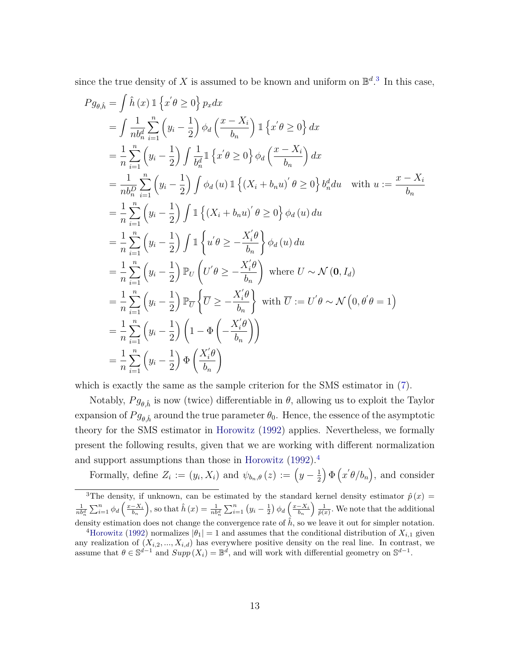since the true density of X is assumed to be known and uniform on  $\mathbb{B}^{d}$ .<sup>[3](#page-12-0)</sup> In this case,

$$
Pg_{\theta,\hat{h}} = \int \hat{h}(x) \mathbb{1} \left\{ x' \theta \ge 0 \right\} p_x dx
$$
  
\n
$$
= \int \frac{1}{nh_n^d} \sum_{i=1}^n \left( y_i - \frac{1}{2} \right) \phi_d \left( \frac{x - X_i}{b_n} \right) \mathbb{1} \left\{ x' \theta \ge 0 \right\} dx
$$
  
\n
$$
= \frac{1}{n} \sum_{i=1}^n \left( y_i - \frac{1}{2} \right) \int \frac{1}{b_n^d} \mathbb{1} \left\{ x' \theta \ge 0 \right\} \phi_d \left( \frac{x - X_i}{b_n} \right) dx
$$
  
\n
$$
= \frac{1}{nh_n^D} \sum_{i=1}^n \left( y_i - \frac{1}{2} \right) \int \phi_d(u) \mathbb{1} \left\{ (X_i + b_n u)' \theta \ge 0 \right\} b_n^d du \quad \text{with } u := \frac{x - X_i}{b_n}
$$
  
\n
$$
= \frac{1}{n} \sum_{i=1}^n \left( y_i - \frac{1}{2} \right) \int \mathbb{1} \left\{ (X_i + b_n u)' \theta \ge 0 \right\} \phi_d(u) du
$$
  
\n
$$
= \frac{1}{n} \sum_{i=1}^n \left( y_i - \frac{1}{2} \right) \int \mathbb{1} \left\{ u' \theta \ge -\frac{X_i' \theta}{b_n} \right\} \phi_d(u) du
$$
  
\n
$$
= \frac{1}{n} \sum_{i=1}^n \left( y_i - \frac{1}{2} \right) \mathbb{P}_U \left( U' \theta \ge -\frac{X_i' \theta}{b_n} \right) \text{ where } U \sim \mathcal{N}(\mathbf{0}, I_d)
$$
  
\n
$$
= \frac{1}{n} \sum_{i=1}^n \left( y_i - \frac{1}{2} \right) \mathbb{P}_{\overline{U}} \left\{ \overline{U} \ge -\frac{X_i' \theta}{b_n} \right\} \text{ with } \overline{U} := U' \theta \sim \mathcal{N} \left( 0, \theta' \theta = 1 \right)
$$
  
\n
$$
= \frac{1}{n} \sum_{i=1
$$

which is exactly the same as the sample criterion for the SMS estimator in [\(7\)](#page-6-1).

Notably,  $Pg_{\theta,\hat{h}}$  is now (twice) differentiable in  $\theta$ , allowing us to exploit the Taylor expansion of  $P g_{\theta}$ <sup> $\hat{h}$ </sup> around the true parameter  $\theta_0$ . Hence, the essence of the asymptotic theory for the SMS estimator in [Horowitz](#page-24-2) [\(1992\)](#page-24-2) applies. Nevertheless, we formally present the following results, given that we are working with different normalization and support assumptions than those in [Horowitz](#page-24-2) [\(1992\)](#page-24-2).[4](#page-12-1)

Formally, define  $Z_i := (y_i, X_i)$  and  $\psi_{b_n, \theta}(z) := (y - \frac{1}{2})$ 2  $\oint \Phi(x'\theta/b_n),$  and consider

<span id="page-12-0"></span><sup>&</sup>lt;sup>3</sup>The density, if unknown, can be estimated by the standard kernel density estimator  $\hat{p}(x)$  =  $\frac{1}{nb_n^d} \sum_{i=1}^n \phi_d\left(\frac{x-X_i}{b_n}\right)$ , so that  $\hat{h}(x) = \frac{1}{nb_n^d} \sum_{i=1}^n (y_i - \frac{1}{2}) \phi_d\left(\frac{x-X_i}{b_n}\right) \frac{1}{\hat{p}(x)}$ . We note that the additional density estimation does not change the convergence rate of  $\hat{h}$ , so we leave it out for simpler notation.

<span id="page-12-1"></span><sup>&</sup>lt;sup>4</sup>[Horowitz](#page-24-2) [\(1992\)](#page-24-2) normalizes  $|\theta_1| = 1$  and assumes that the conditional distribution of  $X_{i,1}$  given any realization of  $(X_{i,2},...,X_{i,d})$  has everywhere positive density on the real line. In contrast, we assume that  $\theta \in \mathbb{S}^{d-1}$  and  $Supp(X_i) = \mathbb{B}^d$ , and will work with differential geometry on  $\mathbb{S}^{d-1}$ .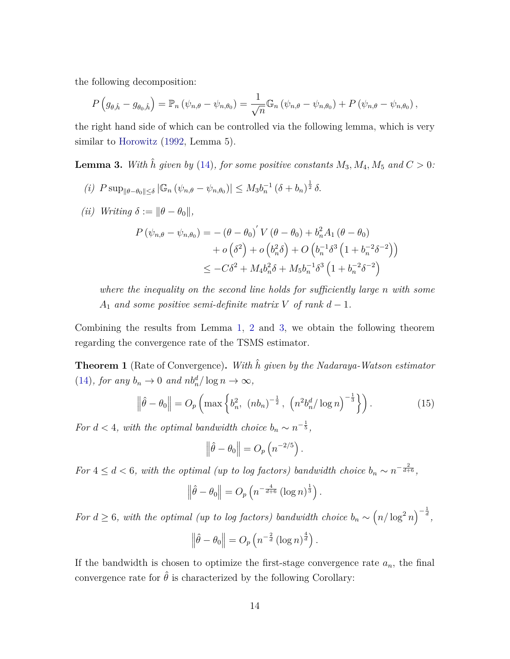the following decomposition:

$$
P(g_{\theta,\hat{h}}-g_{\theta_0,\hat{h}})=\mathbb{P}_n(\psi_{n,\theta}-\psi_{n,\theta_0})=\frac{1}{\sqrt{n}}\mathbb{G}_n(\psi_{n,\theta}-\psi_{n,\theta_0})+P(\psi_{n,\theta}-\psi_{n,\theta_0}),
$$

the right hand side of which can be controlled via the following lemma, which is very similar to [Horowitz](#page-24-2) [\(1992,](#page-24-2) Lemma 5).

<span id="page-13-0"></span>**Lemma 3.** With  $\hat{h}$  given by [\(14\)](#page-11-3), for some positive constants  $M_3$ ,  $M_4$ ,  $M_5$  and  $C > 0$ :

- $(i)$   $P \sup_{\|\theta-\theta_0\| \leq \delta} |\mathbb{G}_n (\psi_{n,\theta} \psi_{n,\theta_0})| \leq M_3 b_n^{-1} (\delta + b_n)^{\frac{1}{2}} \delta.$
- $(iii)$  *Writing*  $\delta := ||\theta \theta_0||$ ,

$$
P(\psi_{n,\theta} - \psi_{n,\theta_0}) = -(\theta - \theta_0)' V(\theta - \theta_0) + b_n^2 A_1 (\theta - \theta_0)
$$
  
+  $o(\delta^2) + o(b_n^2 \delta) + O(b_n^{-1} \delta^3 (1 + b_n^{-2} \delta^{-2}))$   
 $\leq -C\delta^2 + M_4 b_n^2 \delta + M_5 b_n^{-1} \delta^3 (1 + b_n^{-2} \delta^{-2})$ 

*where the inequality on the second line holds for sufficiently large n with some A*<sub>1</sub> *and some positive semi-definite matrix V of rank*  $d - 1$ *.* 

Combining the results from Lemma [1,](#page-10-0) [2](#page-11-0) and [3,](#page-13-0) we obtain the following theorem regarding the convergence rate of the TSMS estimator.

<span id="page-13-1"></span>**Theorem 1** (Rate of Convergence)**.** *With h*ˆ *given by the Nadaraya-Watson estimator* [\(14\)](#page-11-3)*, for any*  $b_n \to 0$  *and*  $nb_n^d / \log n \to \infty$ *,* 

<span id="page-13-2"></span>
$$
\left\|\hat{\theta} - \theta_0\right\| = O_p\left(\max\left\{b_n^2, (nb_n)^{-\frac{1}{2}}, \left(n^2 b_n^d / \log n\right)^{-\frac{1}{3}}\right\}\right).
$$
 (15)

*For*  $d < 4$ *, with the optimal bandwidth choice*  $b_n \sim n^{-\frac{1}{5}}$ *,* 

$$
\left\|\hat{\theta} - \theta_0\right\| = O_p\left(n^{-2/5}\right).
$$

*For*  $4 \leq d < 6$ , with the optimal (up to log factors) bandwidth choice  $b_n \sim n^{-\frac{2}{d+6}}$ ,

$$
\left\|\hat{\theta} - \theta_0\right\| = O_p\left(n^{-\frac{4}{d+6}}\left(\log n\right)^{\frac{1}{3}}\right).
$$

*For*  $d \geq 6$ , with the optimal (up to log factors) bandwidth choice  $b_n \sim (n/\log^2 n)^{-\frac{1}{d}}$ ,

$$
\left\|\hat{\theta} - \theta_0\right\| = O_p\left(n^{-\frac{2}{d}}\left(\log n\right)^{\frac{4}{d}}\right).
$$

If the bandwidth is chosen to optimize the first-stage convergence rate  $a_n$ , the final convergence rate for  $\hat{\theta}$  is characterized by the following Corollary: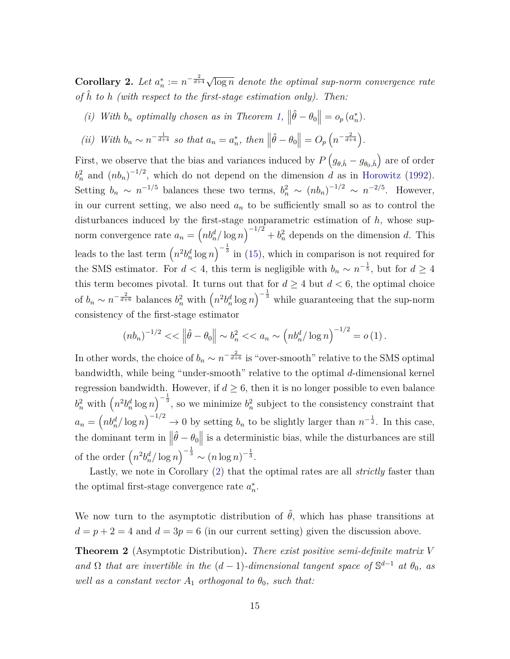<span id="page-14-0"></span>**Corollary 2.** Let  $a_n^* := n^{-\frac{2}{d+4}} \sqrt{\log n}$  denote the optimal sup-norm convergence rate *of h*ˆ *to h (with respect to the first-stage estimation only). Then:*

(*i*) *With*  $b_n$  *optimally chosen as in Theorem [1,](#page-13-1)*  $\left\|\hat{\theta} - \theta_0\right\| = o_p(a_n^*)$ .

(ii) With 
$$
b_n \sim n^{-\frac{1}{d+4}}
$$
 so that  $a_n = a_n^*$ , then  $\left\|\hat{\theta} - \theta_0\right\| = O_p\left(n^{-\frac{2}{d+4}}\right)$ .

First, we observe that the bias and variances induced by  $P(g_{\theta,\hat{h}} - g_{\theta_0,\hat{h}})$  are of order  $b_n^2$  and  $(nb_n)^{-1/2}$ , which do not depend on the dimension *d* as in [Horowitz](#page-24-2) [\(1992\)](#page-24-2). Setting  $b_n \sim n^{-1/5}$  balances these two terms,  $b_n^2 \sim (nb_n)^{-1/2} \sim n^{-2/5}$ . However, in our current setting, we also need *a<sup>n</sup>* to be sufficiently small so as to control the disturbances induced by the first-stage nonparametric estimation of *h*, whose supnorm convergence rate  $a_n = \left(n b_n^d / \log n\right)^{-1/2} + b_n^2$  depends on the dimension *d*. This leads to the last term  $\left(n^2 b_n^d \log n\right)^{-\frac{1}{3}}$  in [\(15\)](#page-13-2), which in comparison is not required for the SMS estimator. For  $d < 4$ , this term is negligible with  $b_n \sim n^{-\frac{1}{5}}$ , but for  $d \geq 4$ this term becomes pivotal. It turns out that for  $d \geq 4$  but  $d < 6$ , the optimal choice of  $b_n \sim n^{-\frac{2}{d+6}}$  balances  $b_n^2$  with  $\left(n^2 b_n^d \log n\right)^{-\frac{1}{3}}$  while guaranteeing that the sup-norm consistency of the first-stage estimator

$$
(nb_n)^{-1/2} < \left\|\hat{\theta} - \theta_0\right\| \sim b_n^2 < a_n \sim \left(n b_n^d / \log n\right)^{-1/2} = o\left(1\right).
$$

In other words, the choice of  $b_n \sim n^{-\frac{2}{d+6}}$  is "over-smooth" relative to the SMS optimal bandwidth, while being "under-smooth" relative to the optimal *d*-dimensional kernel regression bandwidth. However, if  $d \geq 6$ , then it is no longer possible to even balance  $b_n^2$  with  $\left(n^2 b_n^d \log n\right)^{-\frac{1}{3}}$ , so we minimize  $b_n^2$  subject to the consistency constraint that  $a_n = \left(n b_n^d / \log n\right)^{-1/2} \to 0$  by setting  $b_n$  to be slightly larger than  $n^{-\frac{1}{d}}$ . In this case, the dominant term in  $\|\hat{\theta} - \theta_0\|$  is a deterministic bias, while the disturbances are still of the order  $\left(n^2b_n^d/\log n\right)^{-\frac{1}{3}} \sim (n\log n)^{-\frac{1}{3}}$ .

Lastly, we note in Corollary [\(2\)](#page-14-0) that the optimal rates are all *strictly* faster than the optimal first-stage convergence rate  $a_n^*$ .

We now turn to the asymptotic distribution of  $\hat{\theta}$ , which has phase transitions at  $d = p + 2 = 4$  and  $d = 3p = 6$  (in our current setting) given the discussion above.

<span id="page-14-1"></span>**Theorem 2** (Asymptotic Distribution)**.** *There exist positive semi-definite matrix V and*  $\Omega$  *that are invertible in the*  $(d-1)$ *-dimensional tangent space of*  $\mathbb{S}^{d-1}$  *at*  $\theta_0$ *, as well as a constant vector*  $A_1$  *orthogonal to*  $\theta_0$ *, such that:*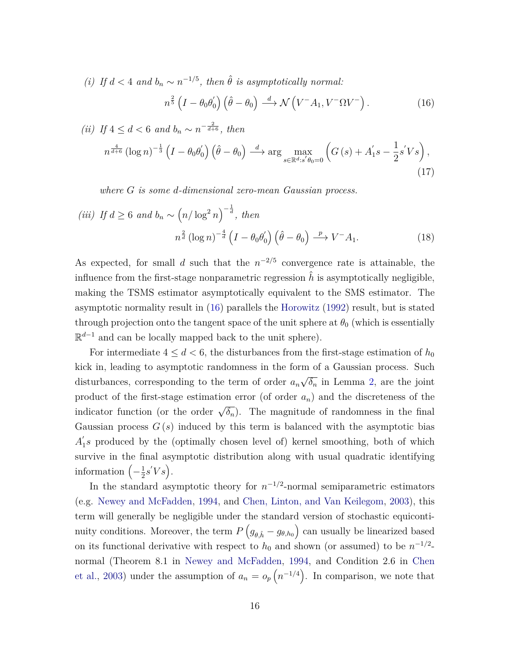*(i) If*  $d < 4$  *and*  $b_n \sim n^{-1/5}$ , *then*  $\hat{\theta}$  *is asymptotically normal:* 

<span id="page-15-0"></span>
$$
n^{\frac{2}{5}} \left( I - \theta_0 \theta'_0 \right) \left( \hat{\theta} - \theta_0 \right) \stackrel{d}{\longrightarrow} \mathcal{N} \left( V^- A_1, V^- \Omega V^- \right). \tag{16}
$$

$$
(ii) If  $4 \le d < 6$  and  $b_n \sim n^{-\frac{2}{d+6}}$ , then
$$

$$
n^{\frac{4}{d+6}}\left(\log n\right)^{-\frac{1}{3}}\left(I-\theta_0\theta_0'\right)\left(\hat{\theta}-\theta_0\right) \stackrel{d}{\longrightarrow} \arg\max_{s\in\mathbb{R}^d:s'\theta_0=0} \left(G\left(s\right)+A_1's-\frac{1}{2}s'Vs\right),\tag{17}
$$

*where G is some d-dimensional zero-mean Gaussian process.*

$$
(iii) \ If \ d \ge 6 \ and \ b_n \sim \left(n/\log^2 n\right)^{-\frac{1}{d}}, \ then
$$

$$
n^{\frac{2}{d}}\left(\log n\right)^{-\frac{4}{d}}\left(I - \theta_0\theta_0'\right)\left(\hat{\theta} - \theta_0\right) \xrightarrow{p} V^- A_1. \tag{18}
$$

As expected, for small *d* such that the  $n^{-2/5}$  convergence rate is attainable, the influence from the first-stage nonparametric regression  $\hat{h}$  is asymptotically negligible, making the TSMS estimator asymptotically equivalent to the SMS estimator. The asymptotic normality result in [\(16\)](#page-15-0) parallels the [Horowitz](#page-24-2) [\(1992\)](#page-24-2) result, but is stated through projection onto the tangent space of the unit sphere at  $\theta_0$  (which is essentially R *<sup>d</sup>*−<sup>1</sup> and can be locally mapped back to the unit sphere).

For intermediate  $4 \leq d < 6$ , the disturbances from the first-stage estimation of  $h_0$ kick in, leading to asymptotic randomness in the form of a Gaussian process. Such disturbances, corresponding to the term of order *a<sup>n</sup>* √ *δ<sup>n</sup>* in Lemma [2,](#page-11-0) are the joint product of the first-stage estimation error (of order *an*) and the discreteness of the indicator function (or the order  $\sqrt{\delta_n}$ ). The magnitude of randomness in the final Gaussian process  $G(s)$  induced by this term is balanced with the asymptotic bias  $A_1'$ 1 *s* produced by the (optimally chosen level of) kernel smoothing, both of which survive in the final asymptotic distribution along with usual quadratic identifying information  $\left(-\frac{1}{2}\right)$  $\frac{1}{2} s' V s$ .

In the standard asymptotic theory for  $n^{-1/2}$ -normal semiparametric estimators (e.g. [Newey and McFadden,](#page-24-11) [1994,](#page-24-11) and [Chen, Linton, and Van Keilegom,](#page-23-7) [2003\)](#page-23-7), this term will generally be negligible under the standard version of stochastic equicontinuity conditions. Moreover, the term  $P(g_{\theta,\hat{h}} - g_{\theta,h_0})$  can usually be linearized based on its functional derivative with respect to  $h_0$  and shown (or assumed) to be  $n^{-1/2}$ normal (Theorem 8.1 in [Newey and McFadden,](#page-24-11) [1994,](#page-24-11) and Condition 2.6 in [Chen](#page-23-7) [et al.,](#page-23-7) [2003\)](#page-23-7) under the assumption of  $a_n = o_p(n^{-1/4})$ . In comparison, we note that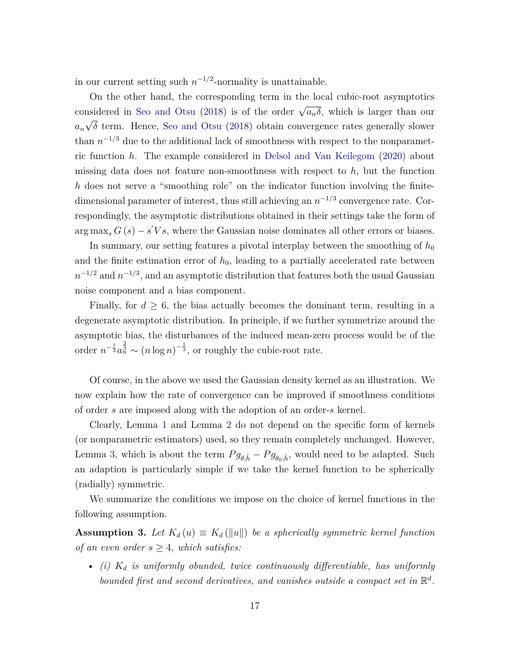in our current setting such  $n^{-1/2}$ -normality is unattainable.

On the other hand, the corresponding term in the local cubic-root asymptotics considered in [Seo and Otsu](#page-25-2) [\(2018\)](#page-25-2) is of the order  $\sqrt{a_n\delta}$ , which is larger than our *an* √ *δ* term. Hence, [Seo and Otsu](#page-25-2) [\(2018\)](#page-25-2) obtain convergence rates generally slower than  $n^{-1/3}$  due to the additional lack of smoothness with respect to the nonparametric function *h*. The example considered in [Delsol and Van Keilegom](#page-23-8) [\(2020\)](#page-23-8) about missing data does not feature non-smoothness with respect to *h*, but the function *h* does not serve a "smoothing role" on the indicator function involving the finitedimensional parameter of interest, thus still achieving an  $n^{-1/3}$  convergence rate. Correspondingly, the asymptotic distributions obtained in their settings take the form of  $\arg \max_{s} G(s) - s'Vs$ , where the Gaussian noise dominates all other errors or biases.

In summary, our setting features a pivotal interplay between the smoothing of  $h_0$ and the finite estimation error of  $h_0$ , leading to a partially accelerated rate between  $n^{-1/2}$  and  $n^{-1/3}$ , and an asymptotic distribution that features both the usual Gaussian noise component and a bias component.

Finally, for  $d \geq 6$ , the bias actually becomes the dominant term, resulting in a degenerate asymptotic distribution. In principle, if we further symmetrize around the asymptotic bias, the disturbances of the induced mean-zero process would be of the order  $n^{-\frac{1}{3}}a_n^{\frac{2}{3}} \sim (n \log n)^{-\frac{1}{3}}$ , or roughly the cubic-root rate.

Of course, in the above we used the Gaussian density kernel as an illustration. We now explain how the rate of convergence can be improved if smoothness conditions of order *s* are imposed along with the adoption of an order-*s* kernel.

Clearly, Lemma [1](#page-10-0) and Lemma [2](#page-11-0) do not depend on the specific form of kernels (or nonparametric estimators) used, so they remain completely unchanged. However, Lemma [3,](#page-13-0) which is about the term  $P g_{\theta,\hat{h}} - P g_{\theta_0,\hat{h}}$ , would need to be adapted. Such an adaption is particularly simple if we take the kernel function to be spherically (radially) symmetric.

We summarize the conditions we impose on the choice of kernel functions in the following assumption.

<span id="page-16-0"></span>**Assumption 3.** *Let*  $K_d(u) \equiv K_d(\|u\|)$  *be a spherically symmetric kernel function of an even order*  $s \geq 4$ *, which satisfies:* 

• *(i) K<sup>d</sup> is uniformly obunded, twice continuously differentiable, has uniformly bounded first and second derivatives, and vanishes outside a compact set in*  $\mathbb{R}^d$ .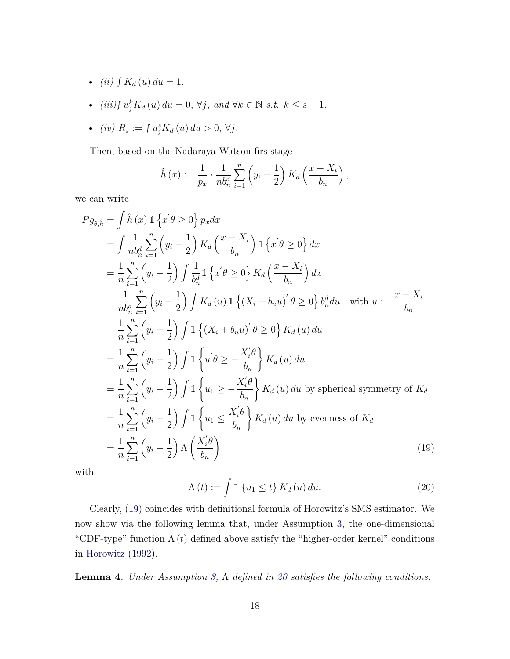- *(ii)*  $\int K_d(u) \, du = 1$ .
- *(iii)* $\int u_j^k K_d(u) \, du = 0, \forall j, \text{ and } \forall k \in \mathbb{N} \text{ s.t. } k \leq s 1.$
- *(iv)*  $R_s := \int u_j^s K_d(u) \, du > 0, \, \forall j.$

Then, based on the Nadaraya-Watson firs stage

$$
\hat{h}(x) := \frac{1}{p_x} \cdot \frac{1}{nb_n^d} \sum_{i=1}^n \left( y_i - \frac{1}{2} \right) K_d \left( \frac{x - X_i}{b_n} \right),
$$

we can write

$$
Pg_{\theta,\hat{h}} = \int \hat{h}(x) \, \mathbb{1}\left\{x^{'}\theta \ge 0\right\} p_x dx
$$
  
\n
$$
= \int \frac{1}{n b_n^d} \sum_{i=1}^n \left(y_i - \frac{1}{2}\right) K_d \left(\frac{x - X_i}{b_n}\right) \mathbb{1}\left\{x^{'}\theta \ge 0\right\} dx
$$
  
\n
$$
= \frac{1}{n} \sum_{i=1}^n \left(y_i - \frac{1}{2}\right) \int \frac{1}{b_n^d} \mathbb{1}\left\{x^{'}\theta \ge 0\right\} K_d \left(\frac{x - X_i}{b_n}\right) dx
$$
  
\n
$$
= \frac{1}{n b_n^d} \sum_{i=1}^n \left(y_i - \frac{1}{2}\right) \int K_d(u) \mathbb{1}\left\{(X_i + b_n u)^{'}\theta \ge 0\right\} b_n^d du \quad \text{with } u := \frac{x - X_i}{b_n}
$$
  
\n
$$
= \frac{1}{n} \sum_{i=1}^n \left(y_i - \frac{1}{2}\right) \int \mathbb{1}\left\{(X_i + b_n u)^{'}\theta \ge 0\right\} K_d(u) du
$$
  
\n
$$
= \frac{1}{n} \sum_{i=1}^n \left(y_i - \frac{1}{2}\right) \int \mathbb{1}\left\{u^{'}\theta \ge -\frac{X_i^{'}\theta}{b_n}\right\} K_d(u) du
$$
  
\n
$$
= \frac{1}{n} \sum_{i=1}^n \left(y_i - \frac{1}{2}\right) \int \mathbb{1}\left\{u_1 \ge -\frac{X_i^{'}\theta}{b_n}\right\} K_d(u) du \text{ by spherical symmetry of } K_d
$$
  
\n
$$
= \frac{1}{n} \sum_{i=1}^n \left(y_i - \frac{1}{2}\right) \int \mathbb{1}\left\{u_1 \le \frac{X_i^{'}\theta}{b_n}\right\} K_d(u) du \text{ by evenness of } K_d
$$
  
\n
$$
= \frac{1}{n} \sum_{i=1}^n \left(y_i - \frac{1}{2}\right) \Lambda \left(\frac{X_i^{'}\theta}{b_n}\right)
$$
  
\n(19)

with

<span id="page-17-1"></span><span id="page-17-0"></span>
$$
\Lambda(t) := \int \mathbb{1}\left\{u_1 \le t\right\} K_d(u) \, du. \tag{20}
$$

Clearly, [\(19\)](#page-17-0) coincides with definitional formula of Horowitz's SMS estimator. We now show via the following lemma that, under Assumption [3,](#page-16-0) the one-dimensional "CDF-type" function  $\Lambda(t)$  defined above satisfy the "higher-order kernel" conditions in [Horowitz](#page-24-2) [\(1992\)](#page-24-2).

**Lemma 4.** *Under Assumption [3,](#page-16-0)* Λ *defined in [20](#page-17-1) satisfies the following conditions:*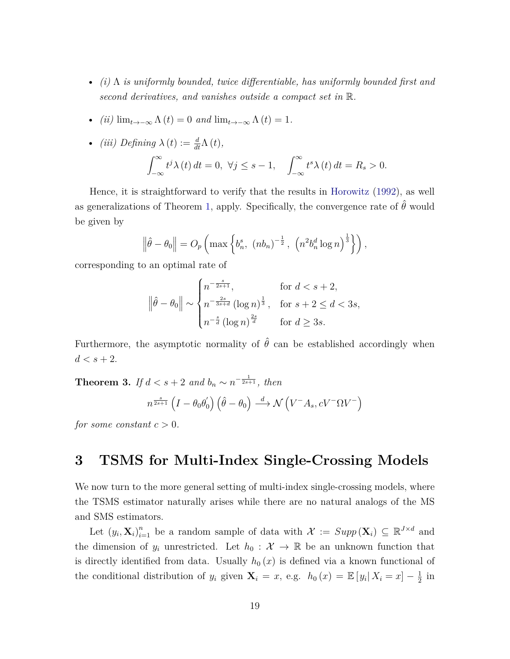- *(i)* Λ *is uniformly bounded, twice differentiable, has uniformly bounded first and second derivatives, and vanishes outside a compact set in* R*.*
- *(ii)*  $\lim_{t\to-\infty} \Lambda(t) = 0$  *and*  $\lim_{t\to-\infty} \Lambda(t) = 1$ .

• *(iii)* Defining 
$$
\lambda(t) := \frac{d}{dt}\Lambda(t)
$$
,  

$$
\int_{-\infty}^{\infty} t^j \lambda(t) dt = 0, \ \forall j \le s - 1, \quad \int_{-\infty}^{\infty} t^s \lambda(t) dt = R_s > 0.
$$

Hence, it is straightforward to verify that the results in [Horowitz](#page-24-2) [\(1992\)](#page-24-2), as well as generalizations of Theorem [1,](#page-13-1) apply. Specifically, the convergence rate of  $\hat{\theta}$  would be given by

$$
\left\|\hat{\theta}-\theta_0\right\| = O_p\left(\max\left\{b_n^s, (nb_n)^{-\frac{1}{2}}, \left(n^2b_n^d\log n\right)^{\frac{1}{3}}\right\}\right),\right\}
$$

corresponding to an optimal rate of

$$
\|\hat{\theta} - \theta_0\| \sim \begin{cases} n^{-\frac{s}{2s+1}}, & \text{for } d < s+2, \\ n^{-\frac{2s}{3s+d}} \left(\log n\right)^{\frac{1}{3}}, & \text{for } s+2 \le d < 3s, \\ n^{-\frac{s}{d}} \left(\log n\right)^{\frac{2s}{d}} & \text{for } d \ge 3s. \end{cases}
$$

Furthermore, the asymptotic normality of  $\hat{\theta}$  can be established accordingly when  $d < s + 2$ .

**Theorem 3.** *If*  $d < s + 2$  *and*  $b_n \sim n^{-\frac{1}{2s+1}}$ *, then* 

$$
n^{\frac{s}{2s+1}} \left( I - \theta_0 \theta_0' \right) \left( \hat{\theta} - \theta_0 \right) \stackrel{d}{\longrightarrow} \mathcal{N} \left( V^- A_s, c V^- \Omega V^- \right)
$$

*for some constant*  $c > 0$ *.* 

## **3 TSMS for Multi-Index Single-Crossing Models**

We now turn to the more general setting of multi-index single-crossing models, where the TSMS estimator naturally arises while there are no natural analogs of the MS and SMS estimators.

Let  $(y_i, \mathbf{X}_i)_{i=1}^n$  be a random sample of data with  $\mathcal{X} := \text{Supp}(\mathbf{X}_i) \subseteq \mathbb{R}^{J \times d}$  and the dimension of  $y_i$  unrestricted. Let  $h_0: \mathcal{X} \to \mathbb{R}$  be an unknown function that is directly identified from data. Usually  $h_0(x)$  is defined via a known functional of the conditional distribution of  $y_i$  given  $\mathbf{X}_i = x$ , e.g.  $h_0(x) = \mathbb{E}[y_i | X_i = x] - \frac{1}{2}$  $rac{1}{2}$  in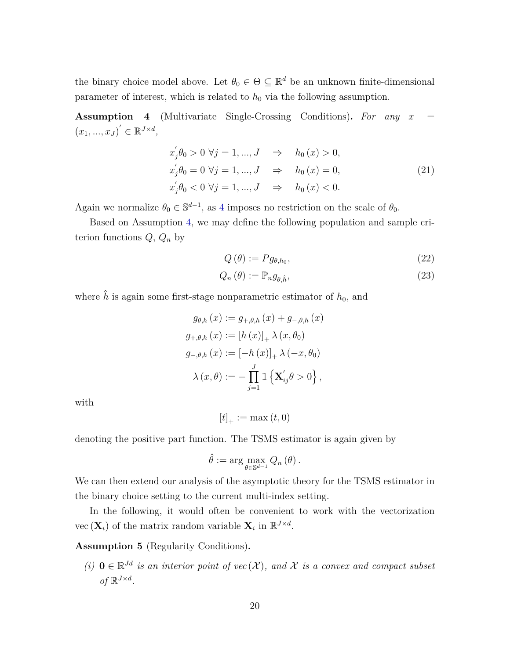the binary choice model above. Let  $\theta_0 \in \Theta \subseteq \mathbb{R}^d$  be an unknown finite-dimensional parameter of interest, which is related to  $h_0$  via the following assumption.

<span id="page-19-0"></span>**Assumption 4** (Multivariate Single-Crossing Conditions)**.** *For any x* =  $(x_1, ..., x_J)' \in \mathbb{R}^{J \times d}$ 

$$
x'_{j}\theta_{0} > 0 \ \forall j = 1, ..., J \quad \Rightarrow \quad h_{0}(x) > 0,
$$
  
\n
$$
x'_{j}\theta_{0} = 0 \ \forall j = 1, ..., J \quad \Rightarrow \quad h_{0}(x) = 0,
$$
  
\n
$$
x'_{j}\theta_{0} < 0 \ \forall j = 1, ..., J \quad \Rightarrow \quad h_{0}(x) < 0.
$$
  
\n(21)

Again we normalize  $\theta_0 \in \mathbb{S}^{d-1}$ , as [4](#page-19-0) imposes no restriction on the scale of  $\theta_0$ .

Based on Assumption [4,](#page-19-0) we may define the following population and sample criterion functions *Q*, *Q<sup>n</sup>* by

<span id="page-19-1"></span>
$$
Q(\theta) := P g_{\theta, h_0},\tag{22}
$$

$$
Q_n(\theta) := \mathbb{P}_n g_{\theta, \hat{h}},\tag{23}
$$

where  $\hat{h}$  is again some first-stage nonparametric estimator of  $h_0$ , and

$$
g_{\theta,h}(x) := g_{+,\theta,h}(x) + g_{-,\theta,h}(x)
$$
  
\n
$$
g_{+,\theta,h}(x) := [h(x)]_+ \lambda (x, \theta_0)
$$
  
\n
$$
g_{-,\theta,h}(x) := [-h(x)]_+ \lambda (-x, \theta_0)
$$
  
\n
$$
\lambda (x, \theta) := -\prod_{j=1}^J \mathbb{1} \{ \mathbf{X}'_{ij} \theta > 0 \},
$$

with

$$
[t]_{+} := \max(t, 0)
$$

denoting the positive part function. The TSMS estimator is again given by

$$
\hat{\theta} := \arg \max_{\theta \in \mathbb{S}^{d-1}} Q_n(\theta).
$$

We can then extend our analysis of the asymptotic theory for the TSMS estimator in the binary choice setting to the current multi-index setting.

In the following, it would often be convenient to work with the vectorization vec  $(\mathbf{X}_i)$  of the matrix random variable  $\mathbf{X}_i$  in  $\mathbb{R}^{J \times d}$ .

<span id="page-19-2"></span>**Assumption 5** (Regularity Conditions)**.**

(*i*) **0** ∈  $\mathbb{R}^{Jd}$  *is an interior point of vec* (*X*), and *X is a convex and compact subset of*  $\mathbb{R}^{J \times d}$ *.*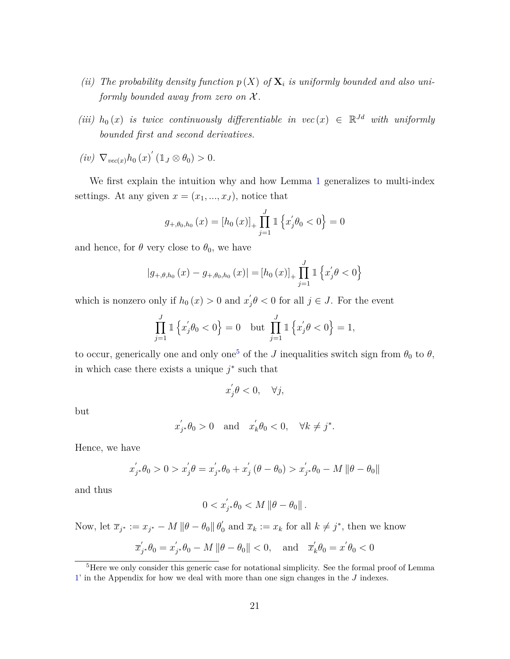- (*ii*) The probability density function  $p(X)$  of  $X_i$  is uniformly bounded and also uni*formly bounded away from zero on* X *.*
- *(iii)*  $h_0(x)$  *is twice continuously differentiable in vec*  $(x) \in \mathbb{R}^{Jd}$  *with uniformly bounded first and second derivatives.*
- $(iv) \nabla_{vec(x)} h_0(x) (1_J \otimes \theta_0) > 0.$

We first explain the intuition why and how Lemma [1](#page-10-0) generalizes to multi-index settings. At any given  $x = (x_1, ..., x_J)$ , notice that

$$
g_{+, \theta_0, h_0}(x) = [h_0(x)]_+ \prod_{j=1}^J \mathbb{1} \left\{ x'_j \theta_0 < 0 \right\} = 0
$$

and hence, for  $\theta$  very close to  $\theta_0$ , we have

$$
|g_{+,\theta,h_0}(x) - g_{+,\theta_0,h_0}(x)| = [h_0(x)]_+ \prod_{j=1}^J \mathbb{1} \left\{ x_j' \theta < 0 \right\}
$$

which is nonzero only if  $h_0(x) > 0$  and  $x'_1$  $j_{j} \theta < 0$  for all  $j \in J$ . For the event

$$
\prod_{j=1}^{J} \mathbb{1} \left\{ x_j^{'} \theta_0 < 0 \right\} = 0 \quad \text{but} \quad \prod_{j=1}^{J} \mathbb{1} \left\{ x_j^{'} \theta < 0 \right\} = 1,
$$

to occur, generically one and only one<sup>[5](#page-20-0)</sup> of the *J* inequalities switch sign from  $\theta_0$  to  $\theta$ , in which case there exists a unique  $j^*$  such that

$$
x_j^{'}\theta < 0, \quad \forall j,
$$

but

$$
x'_{j^*}\theta_0 > 0 \quad \text{and} \quad x'_k\theta_0 < 0, \quad \forall k \neq j^*.
$$

Hence, we have

$$
x'_{j*}\theta_0 > 0 > x'_{j}\theta = x'_{j*}\theta_0 + x'_{j} (\theta - \theta_0) > x'_{j*}\theta_0 - M \|\theta - \theta_0\|
$$

and thus

$$
0 < x'_{j^*} \theta_0 < M \left\|\theta - \theta_0\right\|.
$$

Now, let  $\bar{x}_{j^*} := x_{j^*} - M \|\theta - \theta_0\| \theta_0'$  $\overline{x}_k := x_k$  for all  $k \neq j^*$ , then we know

$$
\overline{x}'_{j^*} \theta_0 = x'_{j^*} \theta_0 - M \|\theta - \theta_0\| < 0, \quad \text{and} \quad \overline{x}'_k \theta_0 = x' \theta_0 < 0
$$

<span id="page-20-0"></span><sup>&</sup>lt;sup>5</sup>Here we only consider this generic case for notational simplicity. See the formal proof of Lemma [1'](#page-10-0) in the Appendix for how we deal with more than one sign changes in the *J* indexes.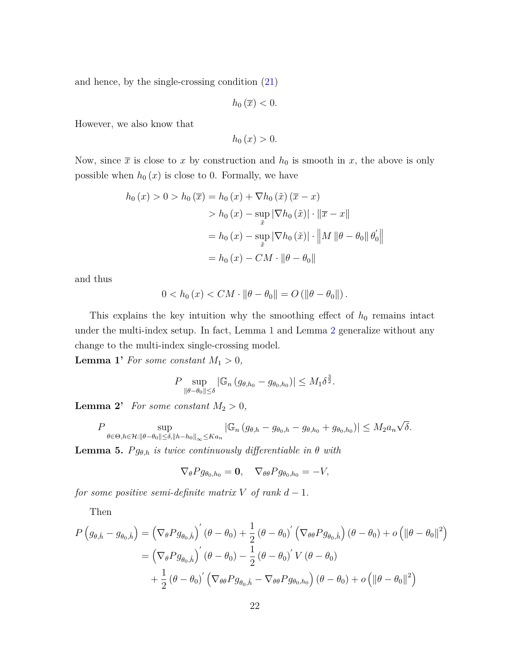and hence, by the single-crossing condition [\(21\)](#page-19-1)

 $h_0(\overline{x}) < 0$ .

However, we also know that

 $h_0(x) > 0.$ 

Now, since  $\bar{x}$  is close to *x* by construction and  $h_0$  is smooth in *x*, the above is only possible when  $h_0(x)$  is close to 0. Formally, we have

$$
h_0(x) > 0 > h_0(\overline{x}) = h_0(x) + \nabla h_0(\tilde{x}) (\overline{x} - x)
$$
  
> 
$$
h_0(x) - \sup_{\tilde{x}} |\nabla h_0(\tilde{x})| \cdot ||\overline{x} - x||
$$
  
= 
$$
h_0(x) - \sup_{\tilde{x}} |\nabla h_0(\tilde{x})| \cdot ||M||\theta - \theta_0|| \theta'_0||
$$
  
= 
$$
h_0(x) - CM \cdot ||\theta - \theta_0||
$$

and thus

$$
0 < h_0(x) < CM \cdot \|\theta - \theta_0\| = O\left(\|\theta - \theta_0\|\right).
$$

This explains the key intuition why the smoothing effect of  $h_0$  remains intact under the multi-index setup. In fact, Lemma [1](#page-10-0) and Lemma [2](#page-11-0) generalize without any change to the multi-index single-crossing model.

<span id="page-21-0"></span>**Lemma 1'** *For some constant*  $M_1 > 0$ *,* 

$$
P \sup_{\|\theta-\theta_0\| \le \delta} |\mathbb{G}_n (g_{\theta,h_0} - g_{\theta_0,h_0})| \le M_1 \delta^{\frac{3}{2}}.
$$

**Lemma 2'** *For some constant*  $M_2 > 0$ *,* 

<span id="page-21-1"></span>
$$
P \sup_{\theta \in \Theta, h \in \mathcal{H}: \|\theta - \theta_0\| \leq \delta, \|h - h_0\|_{\infty} \leq Ka_n} |\mathbb{G}_n (g_{\theta,h} - g_{\theta_0,h} - g_{\theta,h_0} + g_{\theta_0,h_0})| \leq M_2 a_n \sqrt{\delta}.
$$

**Lemma 5.**  $Pg_{\theta,h}$  *is twice continuously differentiable in*  $\theta$  *with* 

$$
\nabla_{\theta} P g_{\theta_0, h_0} = \mathbf{0}, \quad \nabla_{\theta \theta} P g_{\theta_0, h_0} = -V,
$$

*for some positive semi-definite matrix*  $V$  *of rank*  $d-1$ *.* 

Then

$$
P(g_{\theta,\hat{h}} - g_{\theta_0,\hat{h}}) = (\nabla_{\theta} P g_{\theta_0,\hat{h}})'(\theta - \theta_0) + \frac{1}{2}(\theta - \theta_0)'(\nabla_{\theta\theta} P g_{\theta_0,\hat{h}})(\theta - \theta_0) + o(\|\theta - \theta_0\|^2)
$$
  
=  $(\nabla_{\theta} P g_{\theta_0,\hat{h}})'(\theta - \theta_0) - \frac{1}{2}(\theta - \theta_0)'V(\theta - \theta_0)$   
 $+ \frac{1}{2}(\theta - \theta_0)'(\nabla_{\theta\theta} P g_{\theta_0,\hat{h}} - \nabla_{\theta\theta} P g_{\theta_0,h_0})(\theta - \theta_0) + o(\|\theta - \theta_0\|^2)$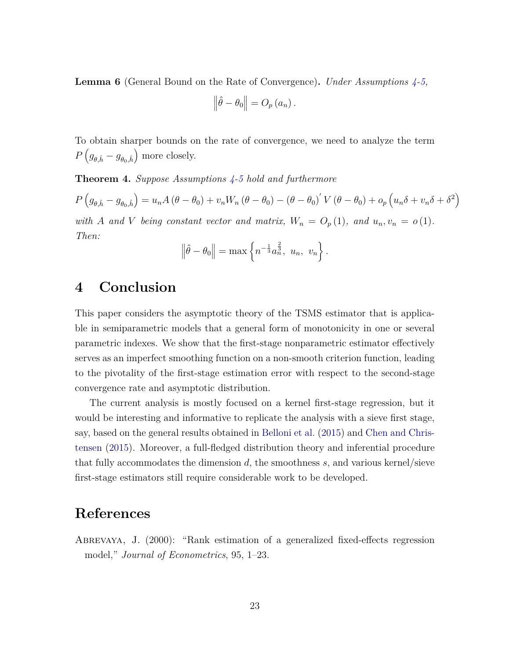<span id="page-22-1"></span>**Lemma 6** (General Bound on the Rate of Convergence)**.** *Under Assumptions [4](#page-19-0)[-5,](#page-19-2)*

$$
\left\|\hat{\theta}-\theta_0\right\|=O_p(a_n).
$$

To obtain sharper bounds on the rate of convergence, we need to analyze the term  $P\left(g_{\theta,\hat{h}} - g_{\theta_0,\hat{h}}\right)$  more closely.

<span id="page-22-2"></span>**Theorem 4.** *Suppose Assumptions [4](#page-19-0)[-5](#page-19-2) hold and furthermore*

$$
P(g_{\theta,\hat{h}} - g_{\theta_0,\hat{h}}) = u_n A(\theta - \theta_0) + v_n W_n(\theta - \theta_0) - (\theta - \theta_0)' V(\theta - \theta_0) + o_p (u_n \delta + v_n \delta + \delta^2)
$$

*with A* and *V being constant vector and matrix,*  $W_n = O_p(1)$ *, and*  $u_n, v_n = o(1)$ *. Then:*

$$
\|\hat{\theta} - \theta_0\| = \max \left\{ n^{-\frac{1}{3}} a_n^{\frac{2}{3}}, u_n, v_n \right\}.
$$

## **4 Conclusion**

This paper considers the asymptotic theory of the TSMS estimator that is applicable in semiparametric models that a general form of monotonicity in one or several parametric indexes. We show that the first-stage nonparametric estimator effectively serves as an imperfect smoothing function on a non-smooth criterion function, leading to the pivotality of the first-stage estimation error with respect to the second-stage convergence rate and asymptotic distribution.

The current analysis is mostly focused on a kernel first-stage regression, but it would be interesting and informative to replicate the analysis with a sieve first stage, say, based on the general results obtained in [Belloni et al.](#page-23-9) [\(2015\)](#page-23-9) and [Chen and Chris](#page-23-10)[tensen](#page-23-10) [\(2015\)](#page-23-10). Moreover, a full-fledged distribution theory and inferential procedure that fully accommodates the dimension *d*, the smoothness *s*, and various kernel/sieve first-stage estimators still require considerable work to be developed.

## **References**

<span id="page-22-0"></span>Abrevaya, J. (2000): "Rank estimation of a generalized fixed-effects regression model," *Journal of Econometrics*, 95, 1–23.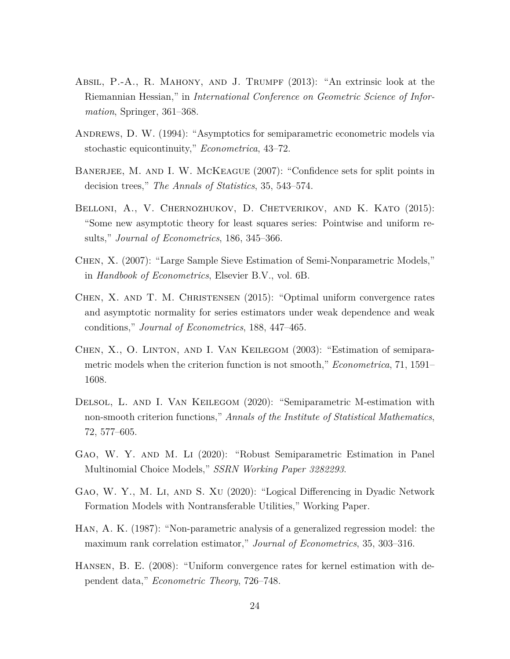- <span id="page-23-11"></span>Absil, P.-A., R. Mahony, and J. Trumpf (2013): "An extrinsic look at the Riemannian Hessian," in *International Conference on Geometric Science of Information*, Springer, 361–368.
- <span id="page-23-4"></span>Andrews, D. W. (1994): "Asymptotics for semiparametric econometric models via stochastic equicontinuity," *Econometrica*, 43–72.
- <span id="page-23-3"></span>BANERJEE, M. AND I. W. MCKEAGUE (2007): "Confidence sets for split points in decision trees," *The Annals of Statistics*, 35, 543–574.
- <span id="page-23-9"></span>BELLONI, A., V. CHERNOZHUKOV, D. CHETVERIKOV, AND K. KATO (2015): "Some new asymptotic theory for least squares series: Pointwise and uniform results," *Journal of Econometrics*, 186, 345–366.
- <span id="page-23-5"></span>Chen, X. (2007): "Large Sample Sieve Estimation of Semi-Nonparametric Models," in *Handbook of Econometrics*, Elsevier B.V., vol. 6B.
- <span id="page-23-10"></span>CHEN, X. AND T. M. CHRISTENSEN (2015): "Optimal uniform convergence rates and asymptotic normality for series estimators under weak dependence and weak conditions," *Journal of Econometrics*, 188, 447–465.
- <span id="page-23-7"></span>Chen, X., O. Linton, and I. Van Keilegom (2003): "Estimation of semiparametric models when the criterion function is not smooth," *Econometrica*, 71, 1591– 1608.
- <span id="page-23-8"></span>Delsol, L. and I. Van Keilegom (2020): "Semiparametric M-estimation with non-smooth criterion functions," *Annals of the Institute of Statistical Mathematics*, 72, 577–605.
- <span id="page-23-0"></span>Gao, W. Y. and M. Li (2020): "Robust Semiparametric Estimation in Panel Multinomial Choice Models," *SSRN Working Paper 3282293*.
- <span id="page-23-1"></span>Gao, W. Y., M. Li, and S. Xu (2020): "Logical Differencing in Dyadic Network Formation Models with Nontransferable Utilities," Working Paper.
- <span id="page-23-2"></span>Han, A. K. (1987): "Non-parametric analysis of a generalized regression model: the maximum rank correlation estimator," *Journal of Econometrics*, 35, 303–316.
- <span id="page-23-6"></span>Hansen, B. E. (2008): "Uniform convergence rates for kernel estimation with dependent data," *Econometric Theory*, 726–748.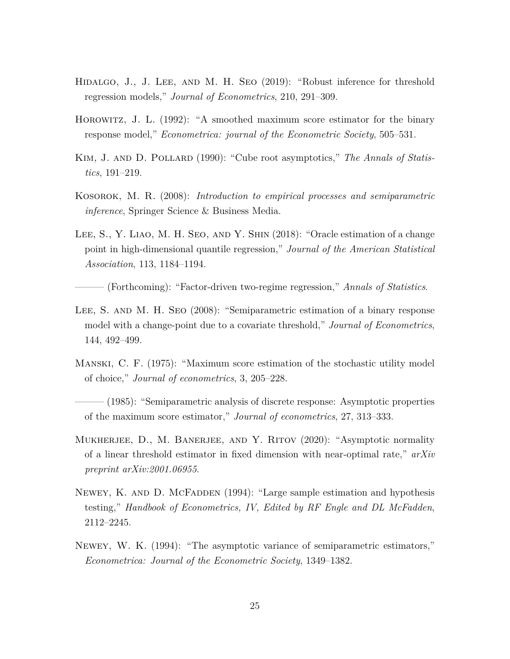- <span id="page-24-7"></span>HIDALGO, J., J. LEE, AND M. H. SEO (2019): "Robust inference for threshold regression models," *Journal of Econometrics*, 210, 291–309.
- <span id="page-24-2"></span>Horowitz, J. L. (1992): "A smoothed maximum score estimator for the binary response model," *Econometrica: journal of the Econometric Society*, 505–531.
- <span id="page-24-3"></span>KIM, J. AND D. POLLARD (1990): "Cube root asymptotics," *The Annals of Statistics*, 191–219.
- <span id="page-24-5"></span>Kosorok, M. R. (2008): *Introduction to empirical processes and semiparametric inference*, Springer Science & Business Media.
- <span id="page-24-6"></span>Lee, S., Y. Liao, M. H. Seo, and Y. Shin (2018): "Oracle estimation of a change point in high-dimensional quantile regression," *Journal of the American Statistical Association*, 113, 1184–1194.
	- ——— (Forthcoming): "Factor-driven two-regime regression," *Annals of Statistics*.
- <span id="page-24-8"></span><span id="page-24-4"></span>Lee, S. and M. H. Seo (2008): "Semiparametric estimation of a binary response model with a change-point due to a covariate threshold," *Journal of Econometrics*, 144, 492–499.
- <span id="page-24-0"></span>Manski, C. F. (1975): "Maximum score estimation of the stochastic utility model of choice," *Journal of econometrics*, 3, 205–228.

<span id="page-24-1"></span>——— (1985): "Semiparametric analysis of discrete response: Asymptotic properties of the maximum score estimator," *Journal of econometrics*, 27, 313–333.

- <span id="page-24-9"></span>MUKHERJEE, D., M. BANERJEE, AND Y. RITOV (2020): "Asymptotic normality of a linear threshold estimator in fixed dimension with near-optimal rate," *arXiv preprint arXiv:2001.06955*.
- <span id="page-24-11"></span>Newey, K. AND D. MCFADDEN (1994): "Large sample estimation and hypothesis testing," *Handbook of Econometrics, IV, Edited by RF Engle and DL McFadden*, 2112–2245.
- <span id="page-24-10"></span>Newey, W. K. (1994): "The asymptotic variance of semiparametric estimators," *Econometrica: Journal of the Econometric Society*, 1349–1382.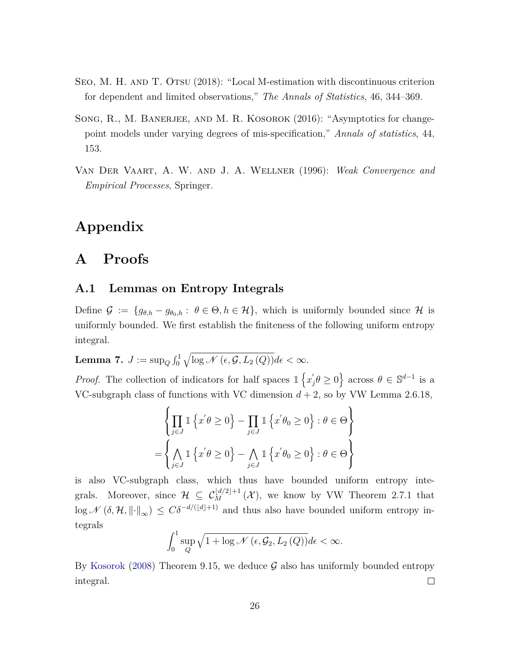- <span id="page-25-2"></span>SEO, M. H. AND T. OTSU (2018): "Local M-estimation with discontinuous criterion for dependent and limited observations," *The Annals of Statistics*, 46, 344–369.
- <span id="page-25-0"></span>SONG, R., M. BANERJEE, AND M. R. KOSOROK (2016): "Asymptotics for changepoint models under varying degrees of mis-specification," *Annals of statistics*, 44, 153.
- <span id="page-25-1"></span>Van Der Vaart, A. W. and J. A. Wellner (1996): *Weak Convergence and Empirical Processes*, Springer.

# **Appendix**

# **A Proofs**

### **A.1 Lemmas on Entropy Integrals**

Define  $\mathcal{G} := \{g_{\theta,h} - g_{\theta_0,h} : \theta \in \Theta, h \in \mathcal{H}\}\$ , which is uniformly bounded since  $\mathcal{H}$  is uniformly bounded. We first establish the finiteness of the following uniform entropy integral.

<span id="page-25-3"></span> $\textbf{Lemma 7.} \ \ J:=\sup_{Q}\int_{0}^{1}\sqrt{\log \mathscr{N}\left(\epsilon,\mathcal{G},L_2\left(Q\right)\right)}d\epsilon<\infty.$ 

*Proof.* The collection of indicators for half spaces  $\mathbb{1}\left\{x\right\}$  $\left\{ \theta \geq 0 \right\}$  across  $\theta \in \mathbb{S}^{d-1}$  is a VC-subgraph class of functions with VC dimension  $d + 2$ , so by VW Lemma 2.6.18,

$$
\left\{\prod_{j\in J} \mathbb{1}\left\{x'\theta \ge 0\right\} - \prod_{j\in J} \mathbb{1}\left\{x'\theta_0 \ge 0\right\} : \theta \in \Theta\right\}
$$

$$
= \left\{\bigwedge_{j\in J} \mathbb{1}\left\{x'\theta \ge 0\right\} - \bigwedge_{j\in J} \mathbb{1}\left\{x'\theta_0 \ge 0\right\} : \theta \in \Theta\right\}
$$

is also VC-subgraph class, which thus have bounded uniform entropy integrals. Moreover, since  $\mathcal{H} \subseteq C_M^{\lfloor d/2 \rfloor + 1}(\mathcal{X})$ , we know by VW Theorem 2.7.1 that  $\log \mathcal{N}(\delta, \mathcal{H}, \|\cdot\|_{\infty}) \leq C\delta^{-d/(d+1)}$  and thus also have bounded uniform entropy integrals

$$
\int_0^1 \sup_Q \sqrt{1 + \log \mathcal{N}\left(\epsilon, \mathcal{G}_2, L_2\left(Q\right)\right)} d\epsilon < \infty.
$$

By [Kosorok](#page-24-5) [\(2008\)](#page-24-5) Theorem 9.15, we deduce  $\mathcal G$  also has uniformly bounded entropy integral.  $\Box$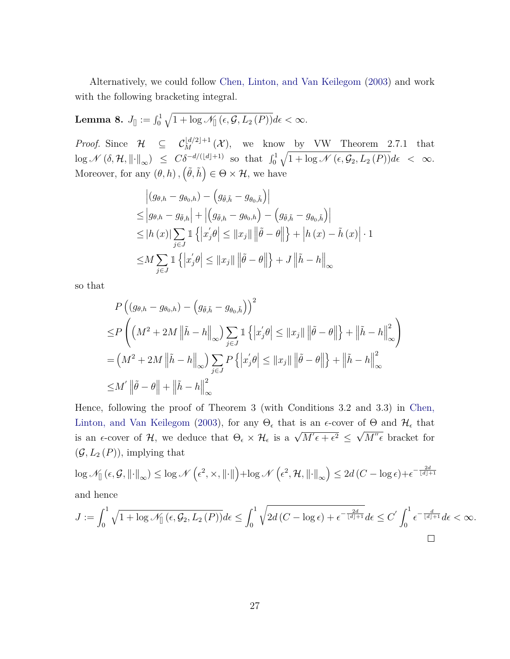Alternatively, we could follow [Chen, Linton, and Van Keilegom](#page-23-7) [\(2003\)](#page-23-7) and work with the following bracketing integral.

 $\textbf{Lemma 8.}\ \ J_{[]}:=\int_{0}^{1} \sqrt{1+\log \mathscr{N}_{[]}\left(\epsilon,\mathcal{G},L_2\left(P\right)\right)}d\epsilon<\infty.$ 

*Proof.* Since  $\mathcal{H} \subseteq \mathcal{C}_M^{\lfloor d/2 \rfloor + 1}(\mathcal{X}),$  we know by VW Theorem 2.7.1 that  $\log \mathscr{N}\left(\delta, \mathcal{H}, \left\|\cdot\right\|_{\infty}\right) \leq C\delta^{-d/(\lfloor d \rfloor+1)}$  so that  $\int_0^1 \sqrt{1 + \log \mathscr{N}\left(\epsilon, \mathcal{G}_2, L_2\left(P\right)\right)} d\epsilon < \infty$ . Moreover, for any  $(\theta, h), (\tilde{\theta}, \tilde{h}) \in \Theta \times \mathcal{H}$ , we have

$$
\begin{aligned} \left| (g_{\theta,h} - g_{\theta_0,h}) - \left( g_{\tilde{\theta},\tilde{h}} - g_{\theta_0,\tilde{h}} \right) \right| \\ &\leq \left| g_{\theta,h} - g_{\tilde{\theta},h} \right| + \left| \left( g_{\tilde{\theta},h} - g_{\theta_0,h} \right) - \left( g_{\tilde{\theta},\tilde{h}} - g_{\theta_0,\tilde{h}} \right) \right| \\ &\leq \left| h(x) \right| \sum_{j \in J} \mathbb{1} \left\{ \left| x_j' \theta \right| \leq \left\| x_j \right\| \left\| \tilde{\theta} - \theta \right\| \right\} + \left| h(x) - \tilde{h}(x) \right| \cdot 1 \\ &\leq M \sum_{j \in J} \mathbb{1} \left\{ \left| x_j' \theta \right| \leq \left\| x_j \right\| \left\| \tilde{\theta} - \theta \right\| \right\} + J \left\| \tilde{h} - h \right\|_{\infty} \end{aligned}
$$

so that

$$
P\left((g_{\theta,h} - g_{\theta_0,h}) - (g_{\tilde{\theta},\tilde{h}} - g_{\theta_0,\tilde{h}})\right)^2
$$
  
\n
$$
\leq P\left((M^2 + 2M \left\|\tilde{h} - h\right\|_{\infty}) \sum_{j\in J} \mathbb{1}\left\{|x'_j\theta| \leq ||x_j|| \left\|\tilde{\theta} - \theta\right\|\right\} + \left\|\tilde{h} - h\right\|_{\infty}^2\right)
$$
  
\n
$$
= (M^2 + 2M \left\|\tilde{h} - h\right\|_{\infty}) \sum_{j\in J} P\left\{|x'_j\theta| \leq ||x_j|| \left\|\tilde{\theta} - \theta\right\|\right\} + \left\|\tilde{h} - h\right\|_{\infty}^2
$$
  
\n
$$
\leq M' \left\|\tilde{\theta} - \theta\right\| + \left\|\tilde{h} - h\right\|_{\infty}^2
$$

Hence, following the proof of Theorem 3 (with Conditions 3.2 and 3.3) in [Chen,](#page-23-7) [Linton, and Van Keilegom](#page-23-7) [\(2003\)](#page-23-7), for any  $\Theta_{\epsilon}$  that is an  $\epsilon$ -cover of  $\Theta$  and  $\mathcal{H}_{\epsilon}$  that is an  $\epsilon$ -cover of  $\mathcal{H}$ , we deduce that  $\Theta_{\epsilon} \times \mathcal{H}_{\epsilon}$  is a  $\sqrt{M^{\prime}\epsilon + \epsilon^2} \leq$ µب<br>∕  $M''\epsilon$  bracket for  $(\mathcal{G}, L_2(P))$ , implying that

$$
\log \mathcal{N}_{\parallel}(\epsilon, \mathcal{G}, \left\| \cdot \right\|_{\infty}) \le \log \mathcal{N}\left(\epsilon^2, \times, \left\| \cdot \right\| \right) + \log \mathcal{N}\left(\epsilon^2, \mathcal{H}, \left\| \cdot \right\|_{\infty}\right) \le 2d\left(C - \log \epsilon\right) + \epsilon^{-\frac{2d}{\lfloor d \rfloor + 1}}
$$
  
and hence

$$
J:=\int_0^1\sqrt{1+\log \mathscr{N}_{[]}\left(\epsilon,\mathcal{G}_2,L_2\left(P\right)\right)}d\epsilon\leq \int_0^1\sqrt{2d\left(C-\log \epsilon\right)+\epsilon^{-\frac{2d}{\lfloor d\rfloor+1}}}d\epsilon\leq C^{'}\int_0^1\epsilon^{-\frac{d}{\lfloor d\rfloor+1}}d\epsilon<\infty.
$$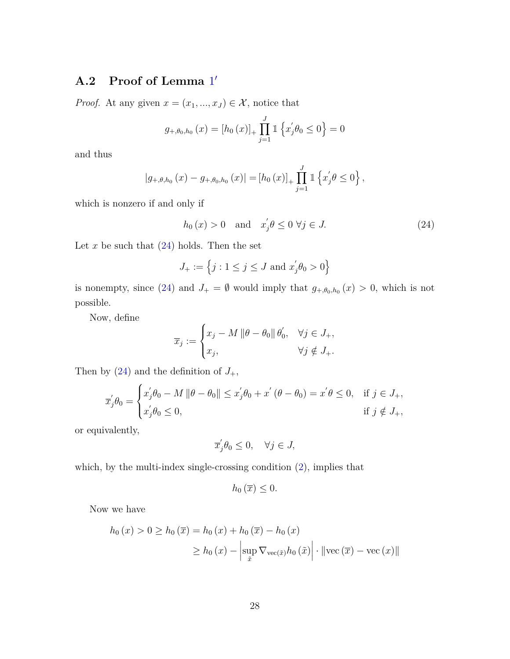## **A.2 Proof of Lemma** [1](#page-21-0) ′

*Proof.* At any given  $x = (x_1, ..., x_J) \in \mathcal{X}$ , notice that

$$
g_{+,\theta_0,h_0}(x) = [h_0(x)]_+ \prod_{j=1}^J \mathbb{1} \left\{ x'_j \theta_0 \le 0 \right\} = 0
$$

and thus

$$
|g_{+,\theta,h_0}(x) - g_{+,\theta_0,h_0}(x)| = [h_0(x)]_+ \prod_{j=1}^J \mathbb{1} \left\{ x'_j \theta \le 0 \right\},
$$

which is nonzero if and only if

<span id="page-27-0"></span>
$$
h_0(x) > 0 \quad \text{and} \quad x_j' \theta \le 0 \,\,\forall j \in J. \tag{24}
$$

Let  $x$  be such that  $(24)$  holds. Then the set

$$
J_+ := \left\{ j : 1 \le j \le J \text{ and } x'_j \theta_0 > 0 \right\}
$$

is nonempty, since [\(24\)](#page-27-0) and  $J_+ = \emptyset$  would imply that  $g_{+,\theta_0,h_0}(x) > 0$ , which is not possible.

Now, define

$$
\overline{x}_j := \begin{cases} x_j - M \left\|\theta - \theta_0\right\| \theta'_0, & \forall j \in J_+, \\ x_j, & \forall j \notin J_+. \end{cases}
$$

Then by  $(24)$  and the definition of  $J_+$ ,

$$
\overline{x}'_j \theta_0 = \begin{cases} x'_j \theta_0 - M \left\|\theta - \theta_0\right\| \le x'_j \theta_0 + x' \left(\theta - \theta_0\right) = x' \theta \le 0, & \text{if } j \in J_+, \\ x'_j \theta_0 \le 0, & \text{if } j \notin J_+, \end{cases}
$$

or equivalently,

$$
\overline{x}_j'\theta_0 \le 0, \quad \forall j \in J,
$$

which, by the multi-index single-crossing condition  $(2)$ , implies that

$$
h_0(\overline{x})\leq 0.
$$

Now we have

$$
h_0(x) > 0 \ge h_0(\overline{x}) = h_0(x) + h_0(\overline{x}) - h_0(x)
$$

$$
\ge h_0(x) - \left| \sup_{\tilde{x}} \nabla_{\text{vec}(\tilde{x})} h_0(\tilde{x}) \right| \cdot \left| \left| \text{vec}(\overline{x}) - \text{vec}(x) \right| \right|
$$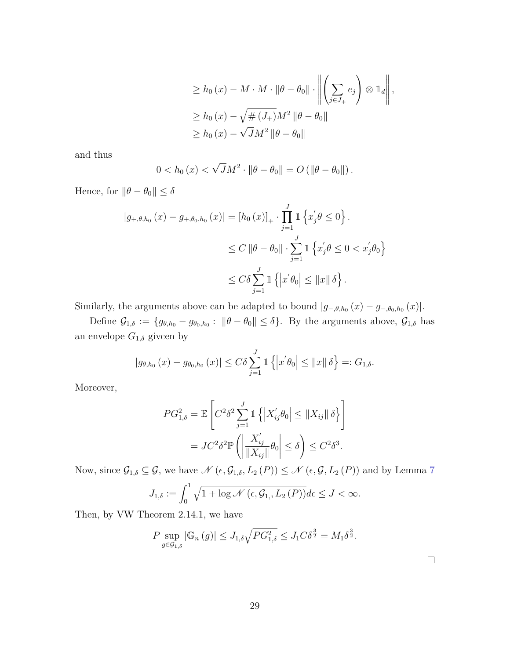$$
\geq h_0(x) - M \cdot M \cdot \|\theta - \theta_0\| \cdot \left\| \left( \sum_{j \in J_+} e_j \right) \otimes \mathbb{1}_d \right\|,
$$
  
\n
$$
\geq h_0(x) - \sqrt{\# (J_+)} M^2 \|\theta - \theta_0\|
$$
  
\n
$$
\geq h_0(x) - \sqrt{J} M^2 \|\theta - \theta_0\|
$$

and thus

$$
0 < h_0(x) < \sqrt{J}M^2 \cdot \|\theta - \theta_0\| = O\left(\|\theta - \theta_0\|\right).
$$

Hence, for  $\|\theta - \theta_0\| \le \delta$ 

$$
|g_{+,\theta,h_0}(x) - g_{+,\theta_0,h_0}(x)| = [h_0(x)]_+ \cdot \prod_{j=1}^J \mathbb{1} \left\{ x'_j \theta \le 0 \right\}.
$$
  

$$
\le C \|\theta - \theta_0\| \cdot \sum_{j=1}^J \mathbb{1} \left\{ x'_j \theta \le 0 < x'_j \theta_0 \right\}
$$
  

$$
\le C \delta \sum_{j=1}^J \mathbb{1} \left\{ \left| x' \theta_0 \right| \le ||x|| \delta \right\}.
$$

Similarly, the arguments above can be adapted to bound  $|g_{-\theta,h_0}(x) - g_{-\theta_0,h_0}(x)|$ .

Define  $\mathcal{G}_{1,\delta} := \{g_{\theta,h_0} - g_{\theta_0,h_0}: \|\theta - \theta_0\| \leq \delta\}$ . By the arguments above,  $\mathcal{G}_{1,\delta}$  has an envelope  $G_{1,\delta}$  giveen by

$$
|g_{\theta,h_0}(x) - g_{\theta_0,h_0}(x)| \leq C\delta \sum_{j=1}^J \mathbb{1}\left\{|x'\theta_0| \leq ||x|| \delta\right\} =: G_{1,\delta}.
$$

Moreover,

$$
PG_{1,\delta}^2 = \mathbb{E}\left[C^2\delta^2 \sum_{j=1}^J \mathbb{1}\left\{|X_{ij}'\theta_0| \leq ||X_{ij}|| \delta\right\}\right]
$$

$$
= JC^2\delta^2 \mathbb{P}\left(\left|\frac{X_{ij}'}{||X_{ij}||}\theta_0\right| \leq \delta\right) \leq C^2\delta^3.
$$

Now, since  $\mathcal{G}_{1,\delta} \subseteq \mathcal{G}$ , we have  $\mathcal{N}(\epsilon, \mathcal{G}_{1,\delta}, L_2(P)) \le \mathcal{N}(\epsilon, \mathcal{G}, L_2(P))$  and by Lemma [7](#page-25-3)

$$
J_{1,\delta} := \int_0^1 \sqrt{1 + \log \mathcal{N}\left(\epsilon, \mathcal{G}_{1,\delta}, L_2(P)\right)} d\epsilon \le J < \infty.
$$

Then, by VW Theorem 2.14.1, we have

$$
P \sup_{g \in \mathcal{G}_{1,\delta}} |\mathbb{G}_n(g)| \le J_{1,\delta} \sqrt{PG_{1,\delta}^2} \le J_1 C \delta^{\frac{3}{2}} = M_1 \delta^{\frac{3}{2}}.
$$

 $\Box$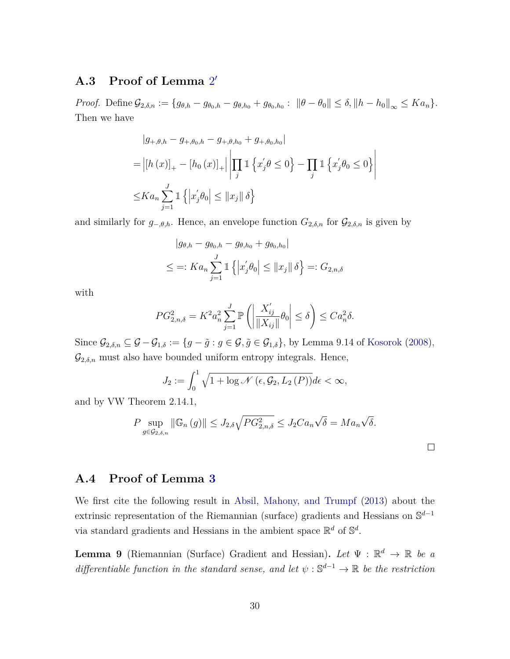## **A.3 Proof of Lemma** [2](#page-21-1) ′

*Proof.* Define  $G_{2,\delta,n} := \{g_{\theta,h} - g_{\theta_0,h} - g_{\theta,h_0} + g_{\theta_0,h_0}: ||\theta - \theta_0|| \leq \delta, ||h - h_0||_{\infty} \leq Ka_n\}.$ Then we have

$$
|g_{+, \theta, h} - g_{+, \theta_0, h} - g_{+, \theta, h_0} + g_{+, \theta_0, h_0}|
$$
  
= 
$$
| [h(x)]_+ - [h_0(x)]_+ | \left| \prod_j \mathbb{1} \left\{ x'_j \theta \le 0 \right\} - \prod_j \mathbb{1} \left\{ x'_j \theta_0 \le 0 \right\} \right|
$$
  

$$
\le Ka_n \sum_{j=1}^J \mathbb{1} \left\{ |x'_j \theta_0| \le ||x_j|| \delta \right\}
$$

and similarly for  $g_{-\theta,h}$ . Hence, an envelope function  $G_{2,\delta,n}$  for  $\mathcal{G}_{2,\delta,n}$  is given by

$$
|g_{\theta,h} - g_{\theta_0,h} - g_{\theta,h_0} + g_{\theta_0,h_0}|
$$
  

$$
\leq =: Ka_n \sum_{j=1}^J \mathbb{1} \left\{ \left| x_j' \theta_0 \right| \leq ||x_j|| \delta \right\} =: G_{2,n,\delta}
$$

with

$$
PG_{2,n,\delta}^2 = K^2 a_n^2 \sum_{j=1}^J \mathbb{P}\left(\left|\frac{X'_{ij}}{\|X_{ij}\|} \theta_0\right| \le \delta\right) \le Ca_n^2 \delta.
$$

Since  $\mathcal{G}_{2,\delta,n} \subseteq \mathcal{G} - \mathcal{G}_{1,\delta} := \{g - \tilde{g} : g \in \mathcal{G}, \tilde{g} \in \mathcal{G}_{1,\delta}\}\$ , by Lemma 9.14 of [Kosorok](#page-24-5) [\(2008\)](#page-24-5),  $\mathcal{G}_{2,\delta,n}$  must also have bounded uniform entropy integrals. Hence,

$$
J_2 := \int_0^1 \sqrt{1 + \log \mathcal{N}\left(\epsilon, \mathcal{G}_2, L_2\left(P\right)\right)} d\epsilon < \infty,
$$

and by VW Theorem 2.14.1,

$$
P \sup_{g \in \mathcal{G}_{2,\delta,n}} \|\mathbb{G}_n(g)\| \le J_{2,\delta} \sqrt{PG_{2,n,\delta}^2} \le J_2 Ca_n \sqrt{\delta} = Ma_n \sqrt{\delta}.
$$

 $\Box$ 

### **A.4 Proof of Lemma [3](#page-13-0)**

We first cite the following result in [Absil, Mahony, and Trumpf](#page-23-11) [\(2013\)](#page-23-11) about the extrinsic representation of the Riemannian (surface) gradients and Hessians on S *d*−1 via standard gradients and Hessians in the ambient space  $\mathbb{R}^d$  of  $\mathbb{S}^d$ .

**Lemma 9** (Riemannian (Surface) Gradient and Hessian). Let  $\Psi : \mathbb{R}^d \to \mathbb{R}$  be a differentiable function in the standard sense, and let  $\psi : \mathbb{S}^{d-1} \to \mathbb{R}$  be the restriction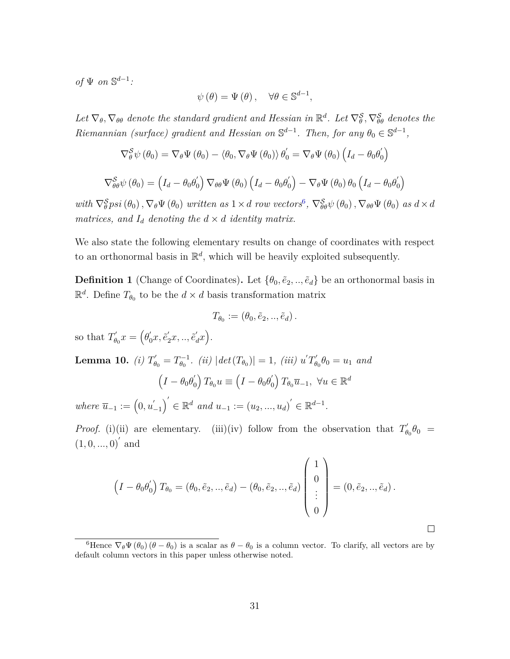*of*  $\Psi$  *on*  $\mathbb{S}^{d-1}$ *:* 

$$
\psi(\theta) = \Psi(\theta), \quad \forall \theta \in \mathbb{S}^{d-1},
$$

Let  $\nabla_{\theta}$ ,  $\nabla_{\theta\theta}$  denote the standard gradient and Hessian in  $\mathbb{R}^d$ . Let  $\nabla_{\theta}^S$ ,  $\nabla_{\theta\theta}^S$  denotes the *Riemannian (surface) gradient and Hessian on*  $\mathbb{S}^{d-1}$ *. Then, for any*  $\theta_0 \in \mathbb{S}^{d-1}$ *,* 

$$
\nabla_{\theta}^{S} \psi (\theta_{0}) = \nabla_{\theta} \Psi (\theta_{0}) - \langle \theta_{0}, \nabla_{\theta} \Psi (\theta_{0}) \rangle \theta_{0}' = \nabla_{\theta} \Psi (\theta_{0}) \left( I_{d} - \theta_{0} \theta_{0}' \right)
$$

$$
\nabla_{\theta \theta}^{S} \psi (\theta_{0}) = \left( I_{d} - \theta_{0} \theta_{0}' \right) \nabla_{\theta \theta} \Psi (\theta_{0}) \left( I_{d} - \theta_{0} \theta_{0}' \right) - \nabla_{\theta} \Psi (\theta_{0}) \theta_{0} \left( I_{d} - \theta_{0} \theta_{0}' \right)
$$

with  $\nabla_{\theta}^{\mathcal{S}} p s i(\theta_0), \nabla_{\theta} \Psi(\theta_0)$  written as  $1 \times d$  row vectors<sup>[6](#page-30-0)</sup>,  $\nabla_{\theta\theta}^{\mathcal{S}} \psi(\theta_0), \nabla_{\theta\theta} \Psi(\theta_0)$  as  $d \times d$ *matrices, and*  $I_d$  *denoting the*  $d \times d$  *identity matrix.* 

We also state the following elementary results on change of coordinates with respect to an orthonormal basis in  $\mathbb{R}^d$ , which will be heavily exploited subsequently.

<span id="page-30-1"></span>**Definition 1** (Change of Coordinates). Let  $\{\theta_0, \tilde{e}_2, \dots, \tilde{e}_d\}$  be an orthonormal basis in  $\mathbb{R}^d$ . Define  $T_{\theta_0}$  to be the  $d \times d$  basis transformation matrix

$$
T_{\theta_0} := (\theta_0, \tilde{e}_2, \ldots, \tilde{e}_d).
$$

so that  $T'_{\theta}$  $\theta_0^{'x} = (\theta_0^{'}x, \tilde{e}_2^{'}x, ..., \tilde{e}_d^{'}x).$ 

<span id="page-30-2"></span>**Lemma 10.** *(i)*  $T'_{\theta_0} = T_{\theta_0}^{-1}$  $\left| \frac{\partial}{\partial \theta_0} \right|$ *. (ii)*  $|det(T_{\theta_0})| = 1$ *, (iii)*  $u' T'_{\theta_0}$  $\theta_0' \theta_0 = u_1$  *and*  $(I - \theta_0 \theta'_0)$  $\int_0^\prime \int T_{\theta_0} u \equiv \left( I - \theta_0 \theta_0^\prime \right)$  $\left(\begin{smallmatrix} \prime \\ 0 \end{smallmatrix}\right) T_{\theta_0} \overline{u}_{-1}, \ \forall u \in \mathbb{R}^d$ 

 $where \ \overline{u}_{-1} := (0, u)$  $\binom{m}{-1}^{\prime} \in \mathbb{R}^d$  *and*  $u_{-1} := (u_2, ..., u_d)^{\prime} \in \mathbb{R}^{d-1}$ *.* 

*Proof.* (i)(ii) are elementary. (iii)(iv) follow from the observation that  $T'_{\theta}$  $b_0^{\prime}$  $\theta_0$  =  $(1, 0, ..., 0)^{7}$  and

$$
\left(I - \theta_0 \theta'_0\right) T_{\theta_0} = (\theta_0, \tilde{e}_2, ..., \tilde{e}_d) - (\theta_0, \tilde{e}_2, ..., \tilde{e}_d) \begin{pmatrix} 1 \\ 0 \\ \vdots \\ 0 \end{pmatrix} = (0, \tilde{e}_2, ..., \tilde{e}_d).
$$

 $\Box$ 

<span id="page-30-0"></span><sup>&</sup>lt;sup>6</sup>Hence  $\nabla_{\theta} \Psi (\theta_0) (\theta - \theta_0)$  is a scalar as  $\theta - \theta_0$  is a column vector. To clarify, all vectors are by default column vectors in this paper unless otherwise noted.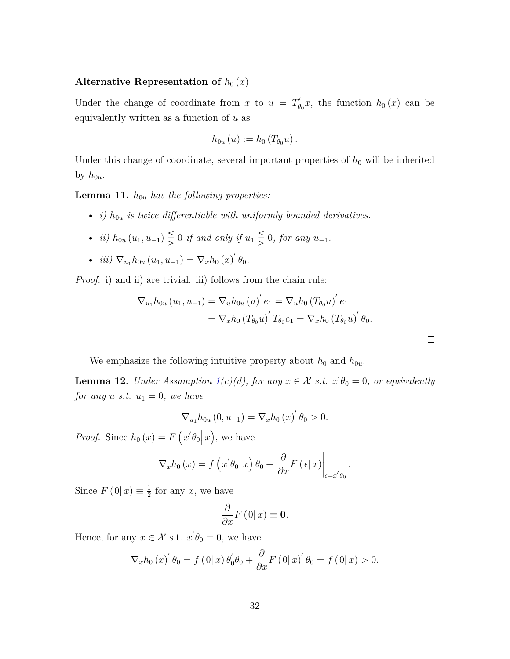#### Alternative Representation of  $h_0(x)$

Under the change of coordinate from *x* to  $u = T'_\theta$  $b_{\theta}^{\prime}$ , the function  $h_0(x)$  can be equivalently written as a function of *u* as

$$
h_{0u}(u) := h_0(T_{\theta_0}u).
$$

Under this change of coordinate, several important properties of  $h_0$  will be inherited by  $h_{0u}$ .

**Lemma 11.**  $h_{0u}$  *has the following properties:* 

- *i)*  $h_{0u}$  *is twice differentiable with uniformly bounded derivatives.*
- *ii*)  $h_{0u}(u_1, u_{-1}) \leq 0$  *if and only if*  $u_1 \leq 0$ *, for any*  $u_{-1}$ *.*
- *iii*)  $\nabla_{u_1} h_{0u} (u_1, u_{-1}) = \nabla_x h_0 (x) \theta_0.$

*Proof.* i) and ii) are trivial. iii) follows from the chain rule:

$$
\nabla_{u_1} h_{0u} (u_1, u_{-1}) = \nabla_u h_{0u} (u)' e_1 = \nabla_u h_0 (T_{\theta_0} u)' e_1
$$
  
=  $\nabla_x h_0 (T_{\theta_0} u)' T_{\theta_0} e_1 = \nabla_x h_0 (T_{\theta_0} u)' \theta_0.$ 

*.*

We emphasize the following intuitive property about  $h_0$  and  $h_{0u}$ .

**Lemma 12.** *Under Assumption*  $1(c)(d)$  $1(c)(d)$ , for any  $x \in \mathcal{X}$  s.t.  $x' \theta_0 = 0$ , or equivalently *for any u s.t.*  $u_1 = 0$ *, we have* 

$$
\nabla_{u_1} h_{0u} (0, u_{-1}) = \nabla_x h_0 (x) \, b_0 > 0.
$$

*Proof.* Since  $h_0(x) = F(x'\theta_0|x)$ , we have

$$
\nabla_x h_0(x) = f\left(x'\theta_0\middle|x\right)\theta_0 + \frac{\partial}{\partial x}F\left(\epsilon\middle|x\right)\middle|_{\epsilon=x'\theta_0}
$$

Since  $F(0|x) \equiv \frac{1}{2}$  $\frac{1}{2}$  for any *x*, we have

$$
\frac{\partial}{\partial x}F\left(0\right|x\right)\equiv\mathbf{0}.
$$

Hence, for any  $x \in \mathcal{X}$  s.t.  $x' \theta_0 = 0$ , we have

$$
\nabla_x h_0(x)'\,\theta_0 = f(0|x)\,\theta'_0\theta_0 + \frac{\partial}{\partial x}F(0|x)'\,\theta_0 = f(0|x) > 0.
$$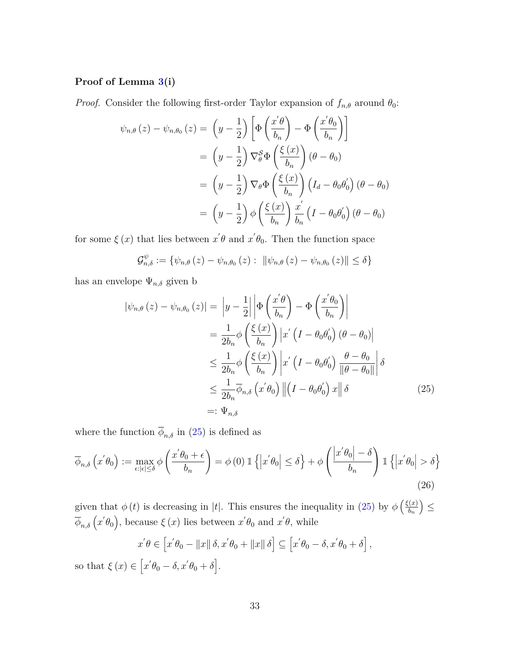### **Proof of Lemma [3\(](#page-13-0)i)**

*Proof.* Consider the following first-order Taylor expansion of  $f_{n,\theta}$  around  $\theta_0$ :

$$
\psi_{n,\theta}(z) - \psi_{n,\theta_0}(z) = \left(y - \frac{1}{2}\right) \left[\Phi\left(\frac{x^{'\theta}}{b_n}\right) - \Phi\left(\frac{x^{'\theta_0}}{b_n}\right)\right]
$$

$$
= \left(y - \frac{1}{2}\right) \nabla_{\theta}^{S} \Phi\left(\frac{\xi(x)}{b_n}\right) (\theta - \theta_0)
$$

$$
= \left(y - \frac{1}{2}\right) \nabla_{\theta} \Phi\left(\frac{\xi(x)}{b_n}\right) \left(I_d - \theta_0 \theta_0^{'}\right) (\theta - \theta_0)
$$

$$
= \left(y - \frac{1}{2}\right) \phi\left(\frac{\xi(x)}{b_n}\right) \frac{x^{'}}{b_n} \left(I - \theta_0 \theta_0^{'}\right) (\theta - \theta_0)
$$

for some  $\xi(x)$  that lies between  $x' \theta$  and  $x' \theta_0$ . Then the function space

$$
\mathcal{G}_{n,\delta}^{\psi} := \{ \psi_{n,\theta}(z) - \psi_{n,\theta_0}(z) : ||\psi_{n,\theta}(z) - \psi_{n,\theta_0}(z)|| \le \delta \}
$$

has an envelope  $\Psi_{n,\delta}$  given b

<span id="page-32-0"></span>
$$
|\psi_{n,\theta}(z) - \psi_{n,\theta_0}(z)| = \left| y - \frac{1}{2} \right| \left| \Phi\left(\frac{x^{\prime}\theta}{b_n}\right) - \Phi\left(\frac{x^{\prime}\theta_0}{b_n}\right) \right|
$$
  
\n
$$
= \frac{1}{2b_n} \phi\left(\frac{\xi(x)}{b_n}\right) |x^{\prime} (I - \theta_0 \theta_0^{\prime}) (\theta - \theta_0)|
$$
  
\n
$$
\leq \frac{1}{2b_n} \phi\left(\frac{\xi(x)}{b_n}\right) |x^{\prime} (I - \theta_0 \theta_0^{\prime}) \frac{\theta - \theta_0}{\|\theta - \theta_0\|} \left| \delta \right|
$$
  
\n
$$
\leq \frac{1}{2b_n} \overline{\phi}_{n,\delta} (x^{\prime}\theta_0) \| (I - \theta_0 \theta_0^{\prime}) x \| \delta
$$
  
\n
$$
=:\Psi_{n,\delta}
$$
 (25)

where the function  $\overline{\phi}_{n,\delta}$  in [\(25\)](#page-32-0) is defined as

$$
\overline{\phi}_{n,\delta}\left(x^{'}\theta_{0}\right) := \max_{\epsilon:\left|\epsilon\right| \leq \delta} \phi\left(\frac{x^{'}\theta_{0} + \epsilon}{b_{n}}\right) = \phi\left(0\right) \mathbb{1}\left\{\left|x^{'}\theta_{0}\right| \leq \delta\right\} + \phi\left(\frac{\left|x^{'}\theta_{0}\right| - \delta}{b_{n}}\right) \mathbb{1}\left\{\left|x^{'}\theta_{0}\right| > \delta\right\}
$$
\n(26)

given that  $\phi(t)$  is decreasing in |t|. This ensures the inequality in [\(25\)](#page-32-0) by  $\phi\left(\frac{\xi(x)}{h}\right)$ *bn*  $\geq$  $\overline{\phi}_{n,\delta}\left(x'\theta_0\right)$ , because  $\xi(x)$  lies between  $x'\theta_0$  and  $x'\theta$ , while

$$
x^{'}\theta \in [x^{'}\theta_0 - ||x|| \delta, x^{'}\theta_0 + ||x|| \delta] \subseteq [x^{'}\theta_0 - \delta, x^{'}\theta_0 + \delta],
$$
  

$$
\phi \in [x^{'}\theta_0 - \delta, x^{'}\theta_0 + \delta].
$$

so that  $\xi(x) \in [x'\theta_0 - \delta, x'\theta_0 + \delta].$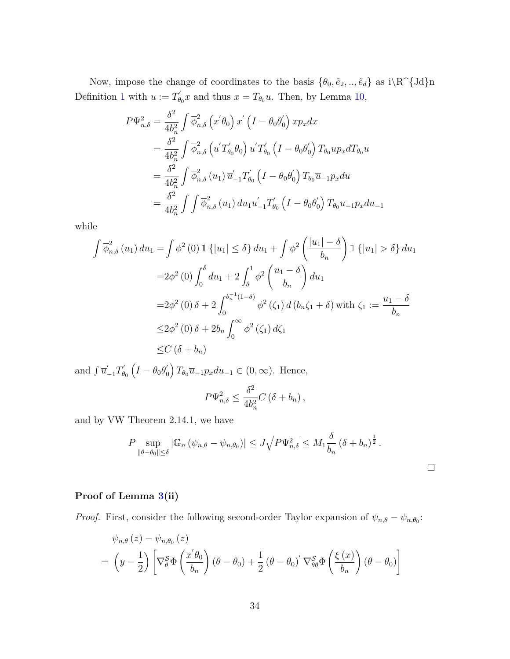Now, impose the change of coordinates to the basis  $\{\theta_0, \tilde{e}_2, ..., \tilde{e}_d\}$  as  $i \R^{\{Jd\}n}$ Definition [1](#page-30-1) with  $u := T'_\theta$  $g'_{\theta_0} x$  and thus  $x = T_{\theta_0} u$ . Then, by Lemma [10,](#page-30-2)

$$
P\Psi_{n,\delta}^{2} = \frac{\delta^{2}}{4b_{n}^{2}} \int \overline{\phi}_{n,\delta}^{2} (x^{'}\theta_{0}) x^{'} (I - \theta_{0}\theta_{0}^{'} ) x p_{x} dx
$$
  
\n
$$
= \frac{\delta^{2}}{4b_{n}^{2}} \int \overline{\phi}_{n,\delta}^{2} (u^{'}T_{\theta_{0}}^{'}\theta_{0}) u^{'}T_{\theta_{0}}' (I - \theta_{0}\theta_{0}^{'} ) T_{\theta_{0}} u p_{x} dT_{\theta_{0}} u
$$
  
\n
$$
= \frac{\delta^{2}}{4b_{n}^{2}} \int \overline{\phi}_{n,\delta}^{2} (u_{1}) \overline{u}_{-1}^{'}T_{\theta_{0}}' (I - \theta_{0}\theta_{0}^{'} ) T_{\theta_{0}} \overline{u}_{-1} p_{x} du
$$
  
\n
$$
= \frac{\delta^{2}}{4b_{n}^{2}} \int \int \overline{\phi}_{n,\delta}^{2} (u_{1}) du_{1} \overline{u}_{-1}^{'}T_{\theta_{0}}' (I - \theta_{0}\theta_{0}^{'} ) T_{\theta_{0}} \overline{u}_{-1} p_{x} du_{-1}
$$

while

$$
\int \overline{\phi}_{n,\delta}^{2} (u_{1}) du_{1} = \int \phi^{2} (0) \mathbb{1} \{ |u_{1}| \leq \delta \} du_{1} + \int \phi^{2} \left( \frac{|u_{1}| - \delta}{b_{n}} \right) \mathbb{1} \{ |u_{1}| > \delta \} du_{1}
$$
  
=  $2\phi^{2} (0) \int_{0}^{\delta} du_{1} + 2 \int_{\delta}^{1} \phi^{2} \left( \frac{u_{1} - \delta}{b_{n}} \right) du_{1}$   
=  $2\phi^{2} (0) \delta + 2 \int_{0}^{b_{n}^{-1}(1 - \delta)} \phi^{2} (\zeta_{1}) d (b_{n} \zeta_{1} + \delta) \text{ with } \zeta_{1} := \frac{u_{1} - \delta}{b_{n}}$   
 $\leq 2\phi^{2} (0) \delta + 2b_{n} \int_{0}^{\infty} \phi^{2} (\zeta_{1}) d \zeta_{1}$   
 $\leq C (\delta + b_{n})$ 

and  $\int \overline{u}'_{-1} T'_{\theta}$  $\theta_{0}^{'}\left(I-\theta_{0}\theta_{0}^{'}\right)$  $\binom{1}{0} T_{\theta_0} \overline{u}_{-1} p_x du_{-1} \in (0, \infty)$ . Hence,

$$
P\Psi_{n,\delta}^2 \le \frac{\delta^2}{4b_n^2} C(\delta + b_n),
$$

and by VW Theorem 2.14.1, we have

$$
P \sup_{\|\theta-\theta_0\| \leq \delta} |\mathbb{G}_n \left(\psi_{n,\theta} - \psi_{n,\theta_0}\right)| \leq J \sqrt{P \Psi_{n,\delta}^2} \leq M_1 \frac{\delta}{b_n} \left(\delta + b_n\right)^{\frac{1}{2}}.
$$

### **Proof of Lemma [3\(](#page-13-0)ii)**

*Proof.* First, consider the following second-order Taylor expansion of  $\psi_{n,\theta} - \psi_{n,\theta_0}$ :

$$
\psi_{n,\theta}(z) - \psi_{n,\theta_0}(z)
$$
  
=  $\left(y - \frac{1}{2}\right) \left[ \nabla_{\theta}^{\mathcal{S}} \Phi\left(\frac{x^{\prime} \theta_0}{b_n}\right) (\theta - \theta_0) + \frac{1}{2} (\theta - \theta_0)^{\prime} \nabla_{\theta \theta}^{\mathcal{S}} \Phi\left(\frac{\xi(x)}{b_n}\right) (\theta - \theta_0) \right]$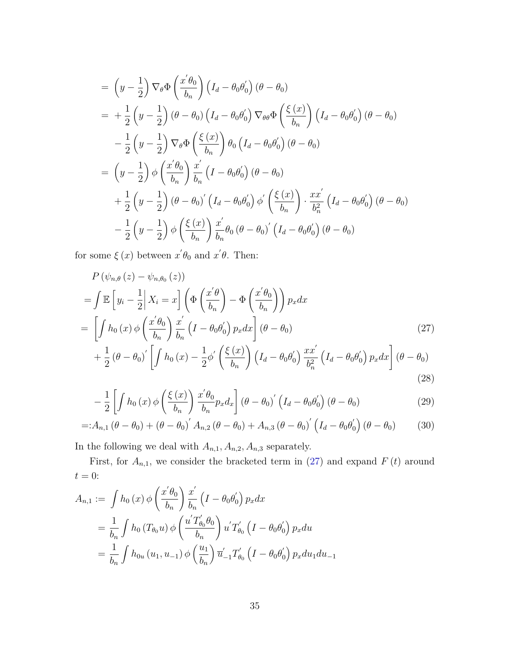$$
= \left(y - \frac{1}{2}\right) \nabla_{\theta} \Phi\left(\frac{x^{'}\theta_{0}}{b_{n}}\right) \left(I_{d} - \theta_{0}\theta_{0}^{\prime}\right) (\theta - \theta_{0})
$$
  
\n
$$
= + \frac{1}{2} \left(y - \frac{1}{2}\right) (\theta - \theta_{0}) \left(I_{d} - \theta_{0}\theta_{0}^{\prime}\right) \nabla_{\theta\theta} \Phi\left(\frac{\xi(x)}{b_{n}}\right) \left(I_{d} - \theta_{0}\theta_{0}^{\prime}\right) (\theta - \theta_{0})
$$
  
\n
$$
- \frac{1}{2} \left(y - \frac{1}{2}\right) \nabla_{\theta} \Phi\left(\frac{\xi(x)}{b_{n}}\right) \theta_{0} \left(I_{d} - \theta_{0}\theta_{0}^{\prime}\right) (\theta - \theta_{0})
$$
  
\n
$$
= \left(y - \frac{1}{2}\right) \phi\left(\frac{x^{'}\theta_{0}}{b_{n}}\right) \frac{x^{'}}{b_{n}} \left(I - \theta_{0}\theta_{0}^{\prime}\right) (\theta - \theta_{0})
$$
  
\n
$$
+ \frac{1}{2} \left(y - \frac{1}{2}\right) (\theta - \theta_{0})^{\prime} \left(I_{d} - \theta_{0}\theta_{0}^{\prime}\right) \phi^{\prime}\left(\frac{\xi(x)}{b_{n}}\right) \cdot \frac{x x^{'}}{b_{n}^{2}} \left(I_{d} - \theta_{0}\theta_{0}^{\prime}\right) (\theta - \theta_{0})
$$
  
\n
$$
- \frac{1}{2} \left(y - \frac{1}{2}\right) \phi\left(\frac{\xi(x)}{b_{n}}\right) \frac{x^{'}}{b_{n}} \theta_{0} (\theta - \theta_{0})^{\prime} \left(I_{d} - \theta_{0}\theta_{0}^{\prime}\right) (\theta - \theta_{0})
$$

for some  $\xi(x)$  between  $x' \theta_0$  and  $x' \theta$ . Then:

$$
P(\psi_{n,\theta}(z) - \psi_{n,\theta_0}(z))
$$
  
= 
$$
\int \mathbb{E}\left[y_i - \frac{1}{2}\middle|X_i = x\right] \left(\Phi\left(\frac{x^{\prime}\theta}{b_n}\right) - \Phi\left(\frac{x^{\prime}\theta_0}{b_n}\right)\right) p_x dx
$$
  
= 
$$
\left[\int h_0(x) \phi\left(\frac{x^{\prime}\theta_0}{b_n}\right) \frac{x^{\prime}}{b_n} \left(I - \theta_0 \theta_0\right) p_x dx\right] (\theta - \theta_0)
$$
 (27)

<span id="page-34-0"></span>
$$
+\frac{1}{2}(\theta-\theta_0)'\left[\int h_0(x)-\frac{1}{2}\phi'\left(\frac{\xi(x)}{b_n}\right)\left(I_d-\theta_0\theta'_0\right)\frac{xx'}{b_n^2}\left(I_d-\theta_0\theta'_0\right)p_xdx\right](\theta-\theta_0) \tag{28}
$$

<span id="page-34-3"></span><span id="page-34-2"></span><span id="page-34-1"></span>
$$
-\frac{1}{2}\left[\int h_0(x)\,\phi\left(\frac{\xi(x)}{b_n}\right)\frac{x'\theta_0}{b_n}p_xd_x\right]\left(\theta-\theta_0\right)'\left(I_d-\theta_0\theta_0'\right)\left(\theta-\theta_0\right) \tag{29}
$$

=:
$$
A_{n,1}(\theta - \theta_0) + (\theta - \theta_0)' A_{n,2}(\theta - \theta_0) + A_{n,3}(\theta - \theta_0)' (I_d - \theta_0 \theta'_0) (\theta - \theta_0)
$$
 (30)

In the following we deal with  $A_{n,1}, A_{n,2}, A_{n,3}$  separately.

First, for  $A_{n,1}$ , we consider the bracketed term in [\(27\)](#page-34-0) and expand  $F(t)$  around  $t=0\mathrm{:}$ 

$$
A_{n,1} := \int h_0(x) \phi\left(\frac{x'\theta_0}{b_n}\right) \frac{x'}{b_n} \left(I - \theta_0 \theta'_0\right) p_x dx
$$
  
=  $\frac{1}{b_n} \int h_0(T_{\theta_0}u) \phi\left(\frac{u'T'_{\theta_0}\theta_0}{b_n}\right) u'T'_{\theta_0} \left(I - \theta_0 \theta'_0\right) p_x du$   
=  $\frac{1}{b_n} \int h_{0u}(u_1, u_{-1}) \phi\left(\frac{u_1}{b_n}\right) \overline{u}'_{-1} T'_{\theta_0} \left(I - \theta_0 \theta'_0\right) p_x du_1 du_{-1}$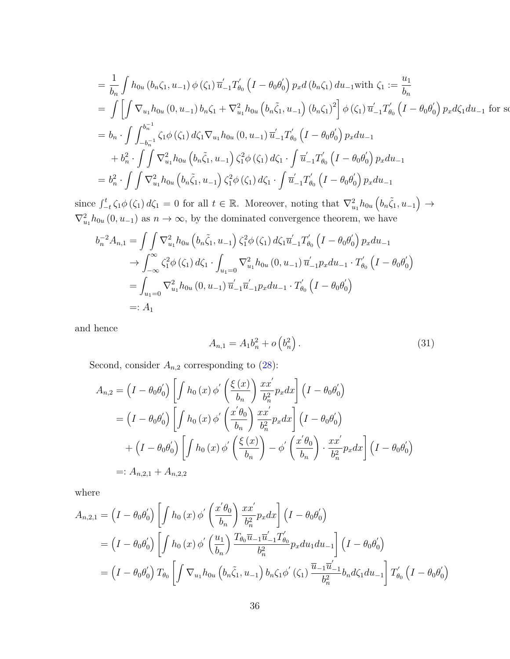$$
= \frac{1}{b_n} \int h_{0u} (b_n \zeta_1, u_{-1}) \phi(\zeta_1) \overline{u}'_{-1} T'_{\theta_0} (I - \theta_0 \theta'_0) p_x d (b_n \zeta_1) du_{-1} \text{ with } \zeta_1 := \frac{u_1}{b_n}
$$
  
\n
$$
= \int \left[ \int \nabla_{u_1} h_{0u} (0, u_{-1}) b_n \zeta_1 + \nabla_{u_1}^2 h_{0u} (b_n \zeta_1, u_{-1}) (b_n \zeta_1)^2 \right] \phi(\zeta_1) \overline{u}'_{-1} T'_{\theta_0} (I - \theta_0 \theta'_0) p_x d \zeta_1 du_{-1} \text{ for so }
$$
  
\n
$$
= b_n \cdot \int \int_{-b_n^{-1}}^{b_n^{-1}} \zeta_1 \phi(\zeta_1) d\zeta_1 \nabla_{u_1} h_{0u} (0, u_{-1}) \overline{u}'_{-1} T'_{\theta_0} (I - \theta_0 \theta'_0) p_x du_{-1}
$$
  
\n
$$
+ b_n^2 \cdot \int \int \nabla_{u_1}^2 h_{0u} (b_n \zeta_1, u_{-1}) \zeta_1^2 \phi(\zeta_1) d\zeta_1 \cdot \int \overline{u}'_{-1} T'_{\theta_0} (I - \theta_0 \theta'_0) p_x du_{-1}
$$
  
\n
$$
= b_n^2 \cdot \int \int \nabla_{u_1}^2 h_{0u} (b_n \zeta_1, u_{-1}) \zeta_1^2 \phi(\zeta_1) d\zeta_1 \cdot \int \overline{u}'_{-1} T'_{\theta_0} (I - \theta_0 \theta'_0) p_x du_{-1}
$$

since  $\int_{-t}^{t} \zeta_1 \phi(\zeta_1) d\zeta_1 = 0$  for all  $t \in \mathbb{R}$ . Moreover, noting that  $\nabla_{u_1}^2 h_{0u} \left( b_n \tilde{\zeta}_1, u_{-1} \right) \to$  $\nabla_{u_1}^2 h_{0u} (0, u_{-1})$  as  $n \to \infty$ , by the dominated convergence theorem, we have

$$
b_n^{-2}A_{n,1} = \iint \nabla_{u_1}^2 h_{0u} \left( b_n \tilde{\zeta}_1, u_{-1} \right) \zeta_1^2 \phi \left( \zeta_1 \right) d\zeta_1 \overline{u}'_{-1} T'_{\theta_0} \left( I - \theta_0 \theta'_0 \right) p_x du_{-1}
$$
  
\n
$$
\to \int_{-\infty}^{\infty} \zeta_1^2 \phi \left( \zeta_1 \right) d\zeta_1 \cdot \int_{u_1=0} \nabla_{u_1}^2 h_{0u} \left( 0, u_{-1} \right) \overline{u}'_{-1} p_x du_{-1} \cdot T'_{\theta_0} \left( I - \theta_0 \theta'_0 \right)
$$
  
\n
$$
= \int_{u_1=0} \nabla_{u_1}^2 h_{0u} \left( 0, u_{-1} \right) \overline{u}'_{-1} \overline{u}'_{-1} p_x du_{-1} \cdot T'_{\theta_0} \left( I - \theta_0 \theta'_0 \right)
$$
  
\n
$$
=: A_1
$$

and hence

<span id="page-35-0"></span>
$$
A_{n,1} = A_1 b_n^2 + o\left(b_n^2\right). \tag{31}
$$

Second, consider  $A_{n,2}$  corresponding to [\(28\)](#page-34-1):

$$
A_{n,2} = (I - \theta_0 \theta'_0) \left[ \int h_0(x) \phi' \left( \frac{\xi(x)}{b_n} \right) \frac{x x'}{b_n^2} p_x dx \right] (I - \theta_0 \theta'_0)
$$
  
\n
$$
= (I - \theta_0 \theta'_0) \left[ \int h_0(x) \phi' \left( \frac{x' \theta_0}{b_n} \right) \frac{x x'}{b_n^2} p_x dx \right] (I - \theta_0 \theta'_0)
$$
  
\n
$$
+ (I - \theta_0 \theta'_0) \left[ \int h_0(x) \phi' \left( \frac{\xi(x)}{b_n} \right) - \phi' \left( \frac{x' \theta_0}{b_n} \right) \cdot \frac{x x'}{b_n^2} p_x dx \right] (I - \theta_0 \theta'_0)
$$
  
\n
$$
=: A_{n,2,1} + A_{n,2,2}
$$

where

$$
A_{n,2,1} = \left(I - \theta_0 \theta'_0\right) \left[\int h_0(x) \phi' \left(\frac{x'\theta_0}{b_n}\right) \frac{x x'}{b_n^2} p_x dx\right] \left(I - \theta_0 \theta'_0\right)
$$
  
\n
$$
= \left(I - \theta_0 \theta'_0\right) \left[\int h_0(x) \phi' \left(\frac{u_1}{b_n}\right) \frac{T_{\theta_0} \overline{u}_{-1} \overline{u}'_{-1} T'_{\theta_0}}{b_n^2} p_x du_1 du_{-1}\right] \left(I - \theta_0 \theta'_0\right)
$$
  
\n
$$
= \left(I - \theta_0 \theta'_0\right) T_{\theta_0} \left[\int \nabla_{u_1} h_{0u} \left(b_n \tilde{\zeta}_1, u_{-1}\right) b_n \zeta_1 \phi' \left(\zeta_1\right) \frac{\overline{u}_{-1} \overline{u}'_{-1}}{b_n^2} b_n d\zeta_1 du_{-1}\right] T'_{\theta_0} \left(I - \theta_0 \theta'_0\right)
$$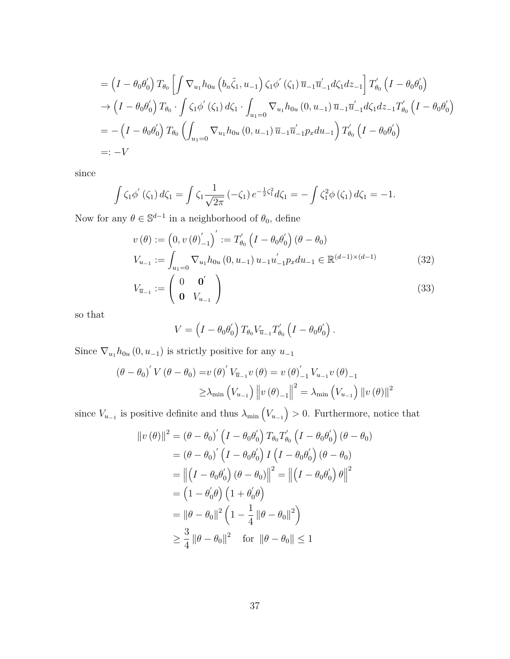$$
= (I - \theta_0 \theta'_0) T_{\theta_0} \left[ \int \nabla_{u_1} h_{0u} \left( b_n \tilde{\zeta}_1, u_{-1} \right) \zeta_1 \phi' \left( \zeta_1 \right) \overline{u}_{-1} \overline{u}'_{-1} d\zeta_1 dz_{-1} \right] T'_{\theta_0} \left( I - \theta_0 \theta'_0 \right)
$$
  
\n
$$
\rightarrow (I - \theta_0 \theta'_0) T_{\theta_0} \cdot \int \zeta_1 \phi' \left( \zeta_1 \right) d\zeta_1 \cdot \int_{u_1 = 0} \nabla_{u_1} h_{0u} \left( 0, u_{-1} \right) \overline{u}_{-1} \overline{u}'_{-1} d\zeta_1 dz_{-1} T'_{\theta_0} \left( I - \theta_0 \theta'_0 \right)
$$
  
\n
$$
= - (I - \theta_0 \theta'_0) T_{\theta_0} \left( \int_{u_1 = 0} \nabla_{u_1} h_{0u} \left( 0, u_{-1} \right) \overline{u}_{-1} \overline{u}'_{-1} p_x du_{-1} \right) T'_{\theta_0} \left( I - \theta_0 \theta'_0 \right)
$$
  
\n
$$
=: -V
$$

since

$$
\int \zeta_1 \phi'(\zeta_1) d\zeta_1 = \int \zeta_1 \frac{1}{\sqrt{2\pi}} (-\zeta_1) e^{-\frac{1}{2}\zeta_1^2} d\zeta_1 = -\int \zeta_1^2 \phi(\zeta_1) d\zeta_1 = -1.
$$

Now for any  $\theta \in \mathbb{S}^{d-1}$  in a neighborhood of  $\theta_0$ , define

$$
v(\theta) := (0, v(\theta)_{-1}')':= T'_{\theta_0} (I - \theta_0 \theta'_0) (\theta - \theta_0)
$$
  

$$
V_{u_{-1}} := \int_{u_1=0} \nabla_{u_1} h_{0u} (0, u_{-1}) u_{-1} u'_{-1} p_x du_{-1} \in \mathbb{R}^{(d-1)\times(d-1)}
$$
(32)

$$
V_{\overline{u}_{-1}} := \left(\begin{array}{cc} 0 & \mathbf{0}' \\ \mathbf{0} & V_{u_{-1}} \end{array}\right) \tag{33}
$$

so that

<span id="page-36-0"></span>
$$
V = \left(I - \theta_0 \theta'_0\right) T_{\theta_0} V_{\overline{u}_{-1}} T'_{\theta_0} \left(I - \theta_0 \theta'_0\right).
$$

Since  $\nabla_{u_1} h_{0u} (0, u_{-1})$  is strictly positive for any  $u_{-1}$ 

$$
(\theta - \theta_0)' V (\theta - \theta_0) = v (\theta)' V_{\overline{u}_{-1}} v (\theta) = v (\theta)'_{-1} V_{u_{-1}} v (\theta)_{-1}
$$
  

$$
\geq \lambda_{\min} (V_{u_{-1}}) ||v (\theta)_{-1}||^2 = \lambda_{\min} (V_{u_{-1}}) ||v (\theta)||^2
$$

since  $V_{u_{-1}}$  is positive definite and thus  $\lambda_{\min} (V_{u_{-1}}) > 0$ . Furthermore, notice that

$$
||v(\theta)||^2 = (\theta - \theta_0)' (I - \theta_0 \theta'_0) T_{\theta_0} T'_{\theta_0} (I - \theta_0 \theta'_0) (\theta - \theta_0)
$$
  

$$
= (\theta - \theta_0)' (I - \theta_0 \theta'_0) I (I - \theta_0 \theta'_0) (\theta - \theta_0)
$$
  

$$
= ||(I - \theta_0 \theta'_0) (\theta - \theta_0)||^2 = ||(I - \theta_0 \theta'_0) \theta||^2
$$
  

$$
= (1 - \theta'_0 \theta) (1 + \theta'_0 \theta)
$$
  

$$
= ||\theta - \theta_0||^2 (1 - \frac{1}{4} ||\theta - \theta_0||^2)
$$
  

$$
\geq \frac{3}{4} ||\theta - \theta_0||^2 \quad \text{for } ||\theta - \theta_0|| \leq 1
$$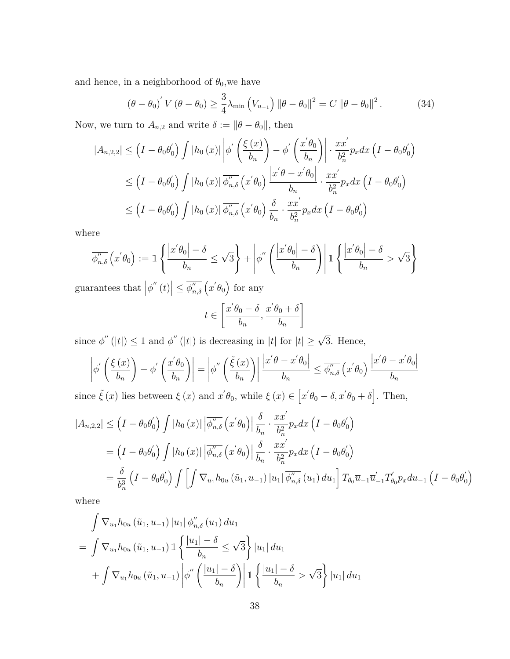and hence, in a neighborhood of  $\theta_0$ , we have

$$
\left(\theta - \theta_0\right)' V \left(\theta - \theta_0\right) \ge \frac{3}{4} \lambda_{\min} \left(V_{u_{-1}}\right) \left\|\theta - \theta_0\right\|^2 = C \left\|\theta - \theta_0\right\|^2. \tag{34}
$$

Now, we turn to  $A_{n,2}$  and write  $\delta := \|\theta - \theta_0\|$ , then

$$
|A_{n,2,2}| \leq \left(I - \theta_0 \theta'_0\right) \int |h_0(x)| \left| \phi' \left(\frac{\xi(x)}{b_n}\right) - \phi' \left(\frac{x'\theta_0}{b_n}\right) \right| \cdot \frac{x x'}{b_n^2} p_x dx \left(I - \theta_0 \theta'_0\right)
$$
  

$$
\leq \left(I - \theta_0 \theta'_0\right) \int |h_0(x)| \overline{\phi''_{n,\delta}} \left(x'\theta_0\right) \frac{\left|x'\theta - x'\theta_0\right|}{b_n} \cdot \frac{x x'}{b_n^2} p_x dx \left(I - \theta_0 \theta'_0\right)
$$
  

$$
\leq \left(I - \theta_0 \theta'_0\right) \int |h_0(x)| \overline{\phi''_{n,\delta}} \left(x'\theta_0\right) \frac{\delta}{b_n} \cdot \frac{x x'}{b_n^2} p_x dx \left(I - \theta_0 \theta'_0\right)
$$

where

$$
\overline{\phi_{n,\delta}''}\left(x'\theta_0\right) := \mathbb{1}\left\{\frac{\left|x'\theta_0\right| - \delta}{b_n} \le \sqrt{3}\right\} + \left|\phi''\left(\frac{\left|x'\theta_0\right| - \delta}{b_n}\right)\right| \mathbb{1}\left\{\frac{\left|x'\theta_0\right| - \delta}{b_n} > \sqrt{3}\right\}
$$

guarantees that  $|\phi''(t)| \leq \overline{\phi''_{n,\delta}}(x' \theta_0)$  for any

$$
t \in \left[\frac{x'\theta_0 - \delta}{b_n}, \frac{x'\theta_0 + \delta}{b_n}\right]
$$

since  $\phi''(|t|) \leq 1$  and  $\phi''(|t|)$  is decreasing in |*t*| for  $|t| \geq \sqrt{3}$ . Hence,

$$
\left|\phi'\left(\frac{\xi(x)}{b_n}\right) - \phi'\left(\frac{x'\theta_0}{b_n}\right)\right| = \left|\phi''\left(\frac{\tilde{\xi}(x)}{b_n}\right)\right| \frac{\left|x'\theta - x'\theta_0\right|}{b_n} \le \overline{\phi_{n,\delta}''}\left(x'\theta_0\right) \frac{\left|x'\theta - x'\theta_0\right|}{b_n}
$$
\n
$$
\sum_{n=0}^{\infty} \tilde{\phi}'(n) \lim_{n \to \infty} \text{ between } \zeta(n) \text{ and } \pi'(0) \text{ while } \zeta(n) \in \left[\pi'(0) - \delta, \pi'(0) + \delta\right] \text{ Then}
$$

since  $\tilde{\xi}(x)$  lies between  $\xi(x)$  and  $x' \theta_0$ , while  $\xi(x) \in [x' \theta_0 - \delta, x' \theta_0 + \delta]$ . Then,

$$
|A_{n,2,2}| \leq \left(I - \theta_0 \theta'_0\right) \int |h_0(x)| \left| \overline{\phi''_{n,\delta}} \left(x' \theta_0\right) \right| \frac{\delta}{b_n} \cdot \frac{x x'}{b_n^2} p_x dx \left(I - \theta_0 \theta'_0\right)
$$
  
\n
$$
= \left(I - \theta_0 \theta'_0\right) \int |h_0(x)| \left| \overline{\phi''_{n,\delta}} \left(x' \theta_0\right) \right| \frac{\delta}{b_n} \cdot \frac{x x'}{b_n^2} p_x dx \left(I - \theta_0 \theta'_0\right)
$$
  
\n
$$
= \frac{\delta}{b_n^3} \left(I - \theta_0 \theta'_0\right) \int \left[\int \nabla_{u_1} h_{0u} \left(\tilde{u}_1, u_{-1}\right) |u_1| \overline{\phi''_{n,\delta}} \left(u_1\right) du_1\right] T_{\theta_0} \overline{u}_{-1} \overline{u}'_{-1} T'_{\theta_0} p_x du_{-1} \left(I - \theta_0 \theta'_0\right)
$$

where

$$
\int \nabla_{u_1} h_{0u} (\tilde{u}_1, u_{-1}) |u_1| \overline{\phi''_{n,\delta}} (u_1) du_1
$$
\n
$$
= \int \nabla_{u_1} h_{0u} (\tilde{u}_1, u_{-1}) \mathbb{1} \left\{ \frac{|u_1| - \delta}{b_n} \le \sqrt{3} \right\} |u_1| du_1
$$
\n
$$
+ \int \nabla_{u_1} h_{0u} (\tilde{u}_1, u_{-1}) \left| \phi'' \left( \frac{|u_1| - \delta}{b_n} \right) \right| \mathbb{1} \left\{ \frac{|u_1| - \delta}{b_n} > \sqrt{3} \right\} |u_1| du_1
$$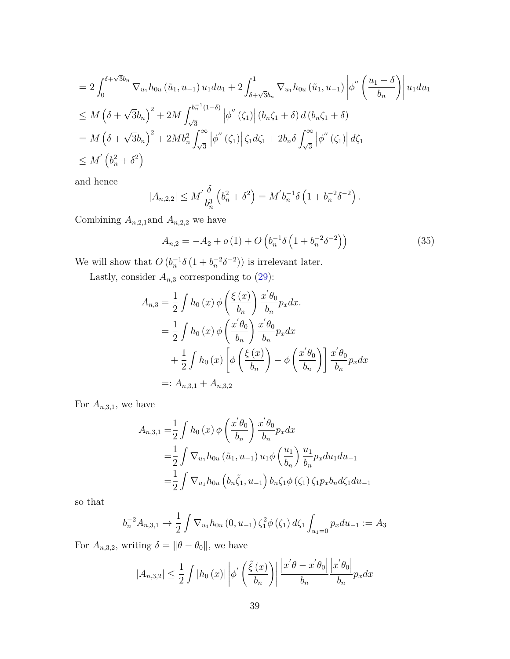$$
= 2 \int_0^{\delta + \sqrt{3}b_n} \nabla_{u_1} h_{0u} (\tilde{u}_1, u_{-1}) u_1 du_1 + 2 \int_{\delta + \sqrt{3}b_n}^1 \nabla_{u_1} h_{0u} (\tilde{u}_1, u_{-1}) \left| \phi''\left(\frac{u_1 - \delta}{b_n}\right) \right| u_1 du_1
$$
  
\n
$$
\leq M \left(\delta + \sqrt{3}b_n\right)^2 + 2M \int_{\sqrt{3}}^{b_n^{-1}(1-\delta)} \left| \phi''\left(\zeta_1\right) \right| (b_n \zeta_1 + \delta) d(b_n \zeta_1 + \delta)
$$
  
\n
$$
= M \left(\delta + \sqrt{3}b_n\right)^2 + 2M b_n^2 \int_{\sqrt{3}}^{\infty} \left| \phi''\left(\zeta_1\right) \right| \zeta_1 d\zeta_1 + 2b_n \delta \int_{\sqrt{3}}^{\infty} \left| \phi''\left(\zeta_1\right) \right| d\zeta_1
$$
  
\n
$$
\leq M' \left(b_n^2 + \delta^2\right)
$$

and hence

$$
|A_{n,2,2}| \le M' \frac{\delta}{b_n^3} \left( b_n^2 + \delta^2 \right) = M' b_n^{-1} \delta \left( 1 + b_n^{-2} \delta^{-2} \right).
$$

Combining  $A_{n,2,1}$ and  $A_{n,2,2}$  we have

<span id="page-38-0"></span>
$$
A_{n,2} = -A_2 + o(1) + O\left(b_n^{-1}\delta\left(1 + b_n^{-2}\delta^{-2}\right)\right)
$$
 (35)

We will show that  $O(b_n^{-1}\delta(1+b_n^{-2}\delta^{-2}))$  is irrelevant later.

Lastly, consider  $A_{n,3}$  corresponding to  $(29)$ :

$$
A_{n,3} = \frac{1}{2} \int h_0(x) \phi\left(\frac{\xi(x)}{b_n}\right) \frac{x'\theta_0}{b_n} p_x dx.
$$
  
\n
$$
= \frac{1}{2} \int h_0(x) \phi\left(\frac{x'\theta_0}{b_n}\right) \frac{x'\theta_0}{b_n} p_x dx
$$
  
\n
$$
+ \frac{1}{2} \int h_0(x) \left[\phi\left(\frac{\xi(x)}{b_n}\right) - \phi\left(\frac{x'\theta_0}{b_n}\right)\right] \frac{x'\theta_0}{b_n} p_x dx
$$
  
\n
$$
=: A_{n,3,1} + A_{n,3,2}
$$

For  $A_{n,3,1}$ , we have

$$
A_{n,3,1} = \frac{1}{2} \int h_0(x) \phi\left(\frac{x'\theta_0}{b_n}\right) \frac{x'\theta_0}{b_n} p_x dx
$$
  
=  $\frac{1}{2} \int \nabla_{u_1} h_{0u}(\tilde{u}_1, u_{-1}) u_1 \phi\left(\frac{u_1}{b_n}\right) \frac{u_1}{b_n} p_x du_1 du_{-1}$   
=  $\frac{1}{2} \int \nabla_{u_1} h_{0u} \left(b_n \tilde{\zeta}_1, u_{-1}\right) b_n \zeta_1 \phi\left(\zeta_1\right) \zeta_1 p_x b_n d\zeta_1 du_{-1}$ 

so that

$$
b_n^{-2}A_{n,3,1} \to \frac{1}{2} \int \nabla_{u_1} h_{0u} (0, u_{-1}) \zeta_1^2 \phi(\zeta_1) d\zeta_1 \int_{u_1=0} p_x du_{-1} := A_3
$$

For  $A_{n,3,2}$ , writing  $\delta = ||\theta - \theta_0||$ , we have

$$
|A_{n,3,2}| \leq \frac{1}{2} \int |h_0(x)| \left| \phi' \left( \frac{\tilde{\xi}(x)}{b_n} \right) \right| \frac{\left| x' \theta - x' \theta_0 \right|}{b_n} \frac{\left| x' \theta_0 \right|}{b_n} p_x dx
$$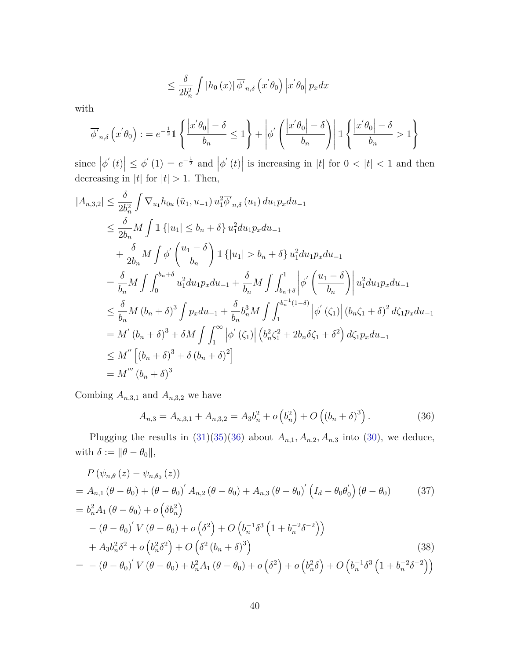$$
\leq \frac{\delta}{2b_n^2} \int |h_0(x)| \overline{\phi'}_{n,\delta} (x'\theta_0) |x'\theta_0| p_x dx
$$

with

$$
\overline{\phi'}_{n,\delta}\left(x'\theta_0\right) := e^{-\frac{1}{2}} \mathbb{1} \left\{ \frac{\left|x'\theta_0\right| - \delta}{b_n} \le 1 \right\} + \left|\phi'\left(\frac{\left|x'\theta_0\right| - \delta}{b_n}\right) \right| \mathbb{1} \left\{ \frac{\left|x'\theta_0\right| - \delta}{b_n} > 1 \right\}
$$

since  $|\phi'(t)| \leq \phi'(1) = e^{-\frac{1}{2}}$  and  $|\phi'(t)|$  is increasing in |t| for  $0 < |t| < 1$  and then decreasing in  $|t|$  for  $|t| > 1$ . Then,

$$
|A_{n,3,2}| \leq \frac{\delta}{2b_n^2} \int \nabla_{u_1} h_{0u} (\tilde{u}_1, u_{-1}) u_1^2 \overline{\phi}_{n,\delta}(u_1) du_1 p_x du_{-1}
$$
  
\n
$$
\leq \frac{\delta}{2b_n} M \int \mathbb{1} \{ |u_1| \leq b_n + \delta \} u_1^2 du_1 p_x du_{-1}
$$
  
\n
$$
+ \frac{\delta}{2b_n} M \int \phi' \left( \frac{u_1 - \delta}{b_n} \right) \mathbb{1} \{ |u_1| > b_n + \delta \} u_1^2 du_1 p_x du_{-1}
$$
  
\n
$$
= \frac{\delta}{b_n} M \int \int_0^{b_n + \delta} u_1^2 du_1 p_x du_{-1} + \frac{\delta}{b_n} M \int \int_{b_n + \delta}^1 \phi' \left( \frac{u_1 - \delta}{b_n} \right) u_1^2 du_1 p_x du_{-1}
$$
  
\n
$$
\leq \frac{\delta}{b_n} M (b_n + \delta)^3 \int p_x du_{-1} + \frac{\delta}{b_n} b_n^3 M \int \int_1^{b_n - 1} (1 - \delta) |\phi'(\zeta_1)| (b_n \zeta_1 + \delta)^2 d\zeta_1 p_x du_{-1}
$$
  
\n
$$
= M' (b_n + \delta)^3 + \delta M \int \int_1^\infty |\phi'(\zeta_1)| (b_n^2 \zeta_1^2 + 2b_n \delta \zeta_1 + \delta^2) d\zeta_1 p_x du_{-1}
$$
  
\n
$$
\leq M'' \left[ (b_n + \delta)^3 + \delta (b_n + \delta)^2 \right]
$$
  
\n
$$
= M''' (b_n + \delta)^3
$$

Combing  $A_{n,3,1}$  and  $A_{n,3,2}$  we have

<span id="page-39-1"></span><span id="page-39-0"></span>
$$
A_{n,3} = A_{n,3,1} + A_{n,3,2} = A_3 b_n^2 + o\left(b_n^2\right) + O\left((b_n + \delta)^3\right). \tag{36}
$$

Plugging the results in  $(31)(35)(36)$  $(31)(35)(36)$  $(31)(35)(36)$  about  $A_{n,1}, A_{n,2}, A_{n,3}$  into  $(30)$ , we deduce, with  $\delta := \|\theta - \theta_0\|$ ,

$$
P(\psi_{n,\theta}(z) - \psi_{n,\theta_0}(z))
$$
  
=  $A_{n,1}(\theta - \theta_0) + (\theta - \theta_0)' A_{n,2}(\theta - \theta_0) + A_{n,3}(\theta - \theta_0)' (I_d - \theta_0 \theta'_0) (\theta - \theta_0)$  (37)  
=  $b_n^2 A_1(\theta - \theta_0) + o(\delta b_n^2)$   

$$
- (\theta - \theta_0)' V (\theta - \theta_0) + o(\delta^2) + O(b_n^{-1} \delta^3 (1 + b_n^{-2} \delta^{-2}))
$$
  
+  $A_3 b_n^2 \delta^2 + o(b_n^2 \delta^2) + O(\delta^2 (b_n + \delta)^3)$  (38)  
=  $-(\theta - \theta_0)' V (\theta - \theta_0) + b_n^2 A_1 (\theta - \theta_0) + o(\delta^2) + o(b_n^2 \delta) + O(b_n^{-1} \delta^3 (1 + b_n^{-2} \delta^{-2}))$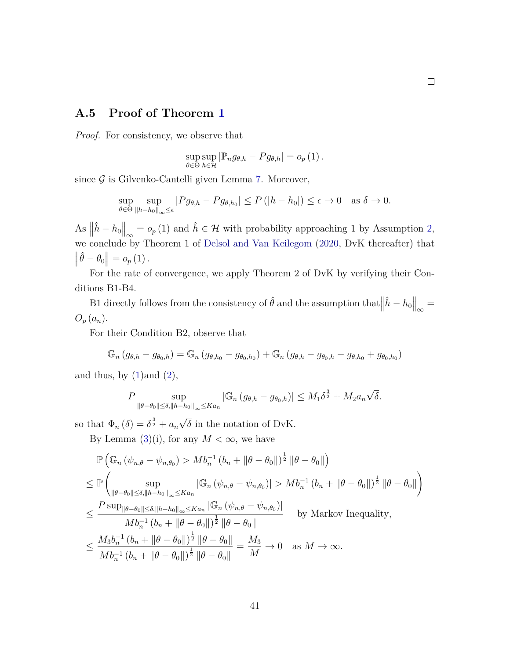### **A.5 Proof of Theorem [1](#page-13-1)**

*Proof.* For consistency, we observe that

$$
\sup_{\theta \in \Theta} \sup_{h \in \mathcal{H}} |\mathbb{P}_n g_{\theta,h} - P g_{\theta,h}| = o_p(1).
$$

since  $\mathcal G$  is Gilvenko-Cantelli given Lemma [7.](#page-25-3) Moreover,

$$
\sup_{\theta \in \Theta} \sup_{\|h - h_0\|_{\infty} \le \epsilon} |P g_{\theta, h} - P g_{\theta, h_0}| \le P(|h - h_0|) \le \epsilon \to 0 \quad \text{as } \delta \to 0.
$$

As  $\left\|\hat{h} - h_0\right\|_{\infty} = o_p(1)$  and  $\hat{h} \in \mathcal{H}$  with probability approaching 1 by Assumption [2,](#page-11-1) we conclude by Theorem 1 of [Delsol and Van Keilegom](#page-23-8) [\(2020,](#page-23-8) DvK thereafter) that  $\left\|\hat{\theta} - \theta_0\right\| = o_p(1)$ .

For the rate of convergence, we apply Theorem 2 of DvK by verifying their Conditions B1-B4.

B1 directly follows from the consistency of  $\hat{\theta}$  and the assumption that  $\left\|\hat{h} - h_0\right\|_{\infty} =$  $O_p(a_n)$ .

For their Condition B2, observe that

$$
\mathbb{G}_n(g_{\theta,h}-g_{\theta_0,h})=\mathbb{G}_n(g_{\theta,h_0}-g_{\theta_0,h_0})+\mathbb{G}_n(g_{\theta,h}-g_{\theta_0,h}-g_{\theta,h_0}+g_{\theta_0,h_0})
$$

and thus, by  $(1)$  and  $(2)$ ,

$$
P \sup_{\|\theta-\theta_0\| \le \delta, \|h-h_0\|_{\infty} \le Ka_n} |\mathbb{G}_n (g_{\theta,h} - g_{\theta_0,h})| \le M_1 \delta^{\frac{3}{2}} + M_2 a_n \sqrt{\delta}.
$$

so that  $\Phi_n(\delta) = \delta^{\frac{3}{2}} + a_n$ √ *δ* in the notation of DvK.

By Lemma  $(3)(i)$  $(3)(i)$ , for any  $M < \infty$ , we have

$$
\mathbb{P}\left(\mathbb{G}_{n}\left(\psi_{n,\theta}-\psi_{n,\theta_{0}}\right) > Mb_{n}^{-1}\left(b_{n}+\|\theta-\theta_{0}\|\right)^{\frac{1}{2}}\|\theta-\theta_{0}\|\right) \n\leq \mathbb{P}\left(\sup_{\|\theta-\theta_{0}\| \leq \delta,\|h-h_{0}\|_{\infty} \leq Ka_{n}}|\mathbb{G}_{n}\left(\psi_{n,\theta}-\psi_{n,\theta_{0}}\right)| > Mb_{n}^{-1}\left(b_{n}+\|\theta-\theta_{0}\|\right)^{\frac{1}{2}}\|\theta-\theta_{0}\|\right) \n\leq \frac{P \sup_{\|\theta-\theta_{0}\| \leq \delta,\|h-h_{0}\|_{\infty} \leq Ka_{n}}|\mathbb{G}_{n}\left(\psi_{n,\theta}-\psi_{n,\theta_{0}}\right)|}{Mb_{n}^{-1}\left(b_{n}+\|\theta-\theta_{0}\|\right)^{\frac{1}{2}}\|\theta-\theta_{0}\|} \qquad \text{by Markov Inequality,} \n\leq \frac{M_{3}b_{n}^{-1}\left(b_{n}+\|\theta-\theta_{0}\|\right)^{\frac{1}{2}}\|\theta-\theta_{0}\|}{Mb_{n}^{-1}\left(b_{n}+\|\theta-\theta_{0}\|\right)^{\frac{1}{2}}\|\theta-\theta_{0}\|} = \frac{M_{3}}{M} \to 0 \quad \text{as } M \to \infty.
$$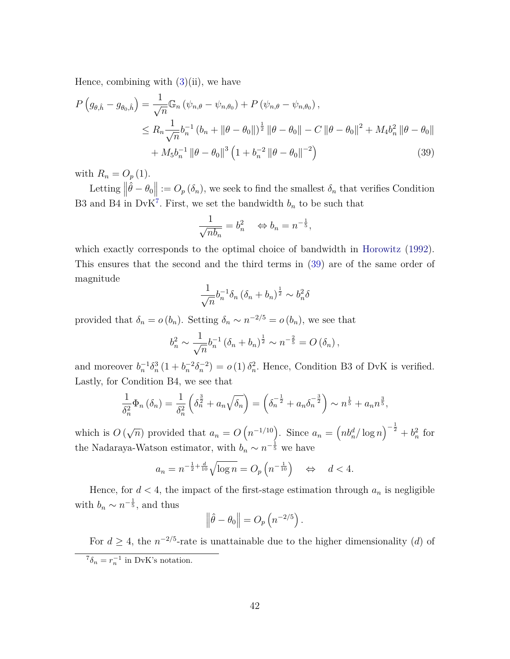Hence, combining with  $(3)(ii)$  $(3)(ii)$ , we have

$$
P\left(g_{\theta,\hat{h}} - g_{\theta_{0},\hat{h}}\right) = \frac{1}{\sqrt{n}} \mathbb{G}_{n} \left(\psi_{n,\theta} - \psi_{n,\theta_{0}}\right) + P\left(\psi_{n,\theta} - \psi_{n,\theta_{0}}\right),
$$
  
\n
$$
\leq R_{n} \frac{1}{\sqrt{n}} b_{n}^{-1} \left(b_{n} + \|\theta - \theta_{0}\|\right)^{\frac{1}{2}} \left\|\theta - \theta_{0}\right\| - C \left\|\theta - \theta_{0}\right\|^{2} + M_{4} b_{n}^{2} \left\|\theta - \theta_{0}\right\| + M_{5} b_{n}^{-1} \left\|\theta - \theta_{0}\right\|^{3} \left(1 + b_{n}^{-2} \left\|\theta - \theta_{0}\right\|^{-2}\right)
$$
\n(39)

with  $R_n = O_p(1)$ .

Letting  $\left\|\hat{\theta} - \theta_0\right\| := O_p(\delta_n)$ , we seek to find the smallest  $\delta_n$  that verifies Condition B3 and B4 in DvK<sup>[7](#page-41-0)</sup>. First, we set the bandwidth  $b_n$  to be such that

<span id="page-41-1"></span>
$$
\frac{1}{\sqrt{nb_n}} = b_n^2 \quad \Leftrightarrow b_n = n^{-\frac{1}{5}},
$$

which exactly corresponds to the optimal choice of bandwidth in [Horowitz](#page-24-2) [\(1992\)](#page-24-2). This ensures that the second and the third terms in [\(39\)](#page-41-1) are of the same order of magnitude

$$
\frac{1}{\sqrt{n}} b_n^{-1} \delta_n \left( \delta_n + b_n \right)^{\frac{1}{2}} \sim b_n^2 \delta
$$

provided that  $\delta_n = o(b_n)$ . Setting  $\delta_n \sim n^{-2/5} = o(b_n)$ , we see that

$$
b_n^2 \sim \frac{1}{\sqrt{n}} b_n^{-1} (\delta_n + b_n)^{\frac{1}{2}} \sim n^{-\frac{2}{5}} = O\left(\delta_n\right),
$$

and moreover  $b_n^{-1} \delta_n^3 (1 + b_n^{-2} \delta_n^{-2}) = o(1) \delta_n^2$ . Hence, Condition B3 of DvK is verified. Lastly, for Condition B4, we see that

$$
\frac{1}{\delta_n^2} \Phi_n \left( \delta_n \right) = \frac{1}{\delta_n^2} \left( \delta_n^{\frac{3}{2}} + a_n \sqrt{\delta_n} \right) = \left( \delta_n^{-\frac{1}{2}} + a_n \delta_n^{-\frac{3}{2}} \right) \sim n^{\frac{1}{5}} + a_n n^{\frac{3}{5}},
$$

which is *O* ( √  $\overline{n}$ ) provided that  $a_n = O\left(n^{-1/10}\right)$ . Since  $a_n = \left(n b_n^d / \log n\right)^{-\frac{1}{2}} + b_n^2$  for the Nadaraya-Watson estimator, with  $b_n \sim n^{-\frac{1}{5}}$  we have

$$
a_n = n^{-\frac{1}{2} + \frac{d}{10}} \sqrt{\log n} = O_p\left(n^{-\frac{1}{10}}\right) \quad \Leftrightarrow \quad d < 4.
$$

Hence, for  $d < 4$ , the impact of the first-stage estimation through  $a_n$  is negligible with  $b_n \sim n^{-\frac{1}{5}}$ , and thus

$$
\left\|\hat{\theta}-\theta_0\right\| = O_p\left(n^{-2/5}\right).
$$

For  $d \geq 4$ , the  $n^{-2/5}$ -rate is unattainable due to the higher dimensionality (*d*) of

<span id="page-41-0"></span> ${}^{7}\delta_{n} = r_{n}^{-1}$  in DvK's notation.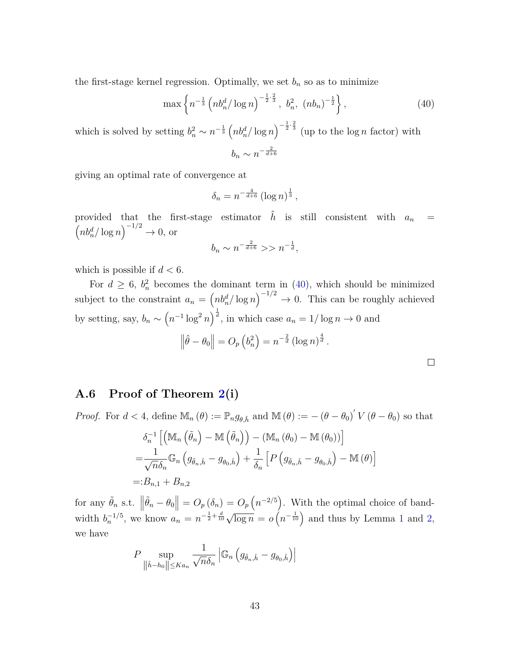the first-stage kernel regression. Optimally, we set  $b_n$  so as to minimize

<span id="page-42-0"></span>
$$
\max\left\{n^{-\frac{1}{3}}\left(n b_n^d / \log n\right)^{-\frac{1}{2} \cdot \frac{2}{3}}, b_n^2, (nb_n)^{-\frac{1}{2}}\right\},\tag{40}
$$

which is solved by setting  $b_n^2 \sim n^{-\frac{1}{3}} \left(n b_n^d / \log n\right)^{-\frac{1}{2} \cdot \frac{2}{3}}$  (up to the log *n* factor) with  $b_n \sim n^{-\frac{2}{d+6}}$ 

giving an optimal rate of convergence at

$$
\delta_n = n^{-\frac{4}{d+6}} \left( \log n \right)^{\frac{1}{3}},
$$

provided that the first-stage estimator  $\hat{h}$  is still consistent with  $a_n =$  $\left(n b_n^d / \log n\right)^{-1/2} \to 0$ , or

$$
b_n \sim n^{-\frac{2}{d+6}} >> n^{-\frac{1}{d}},
$$

which is possible if *d <* 6.

For  $d \geq 6$ ,  $b_n^2$  becomes the dominant term in [\(40\)](#page-42-0), which should be minimized subject to the constraint  $a_n = \left(n b_n^d / \log n\right)^{-1/2} \to 0$ . This can be roughly achieved by setting, say,  $b_n \sim (n^{-1} \log^2 n)^{\frac{1}{d}}$ , in which case  $a_n = 1/\log n \to 0$  and  $\left\|\hat{\theta} - \theta_0\right\| = O_p\left(b_n^2\right) = n^{-\frac{2}{d}}\left(\log n\right)^{\frac{4}{d}}.$ 

### **A.6 Proof of Theorem [2\(](#page-14-1)i)**

*Proof.* For  $d < 4$ , define  $\mathbb{M}_n(\theta) := \mathbb{P}_n g_{\theta,\hat{h}}$  and  $\mathbb{M}(\theta) := -(\theta - \theta_0)' V(\theta - \theta_0)$  so that

$$
\delta_n^{-1} \left[ \left( \mathbb{M}_n \left( \tilde{\theta}_n \right) - \mathbb{M} \left( \tilde{\theta}_n \right) \right) - \left( \mathbb{M}_n \left( \theta_0 \right) - \mathbb{M} \left( \theta_0 \right) \right) \right]
$$
\n
$$
= \frac{1}{\sqrt{n} \delta_n} \mathbb{G}_n \left( g_{\tilde{\theta}_n, \hat{h}} - g_{\theta_0, \hat{h}} \right) + \frac{1}{\delta_n} \left[ P \left( g_{\tilde{\theta}_n, \hat{h}} - g_{\theta_0, \hat{h}} \right) - \mathbb{M} \left( \theta \right) \right]
$$
\n
$$
= :B_{n,1} + B_{n,2}
$$

for any  $\tilde{\theta}_n$  s.t.  $\left\|\tilde{\theta}_n - \theta_0\right\| = O_p\left(\delta_n\right) = O_p\left(n^{-2/5}\right)$ . With the optimal choice of bandwidth  $b_n^{-1/5}$  $b_n^{-1/5}$  $b_n^{-1/5}$ , we know  $a_n = n^{-\frac{1}{2} + \frac{d}{10}} \sqrt{\log n} = o\left(n^{-\frac{1}{10}}\right)$  and thus by Lemma 1 and [2,](#page-11-0) we have

$$
P \sup_{\|\hat{h}-h_0\| \leq Ka_n} \frac{1}{\sqrt{n}\delta_n} \left| \mathbb{G}_n \left( g_{\tilde{\theta}_n,\hat{h}} - g_{\theta_0,\hat{h}} \right) \right|
$$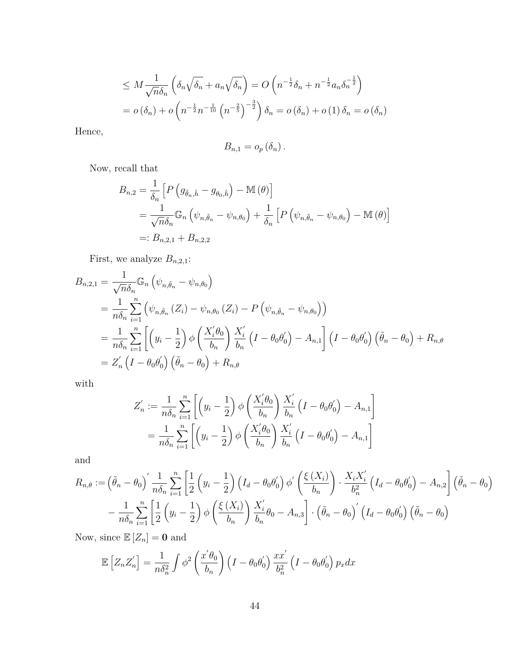$$
\leq M \frac{1}{\sqrt{n} \delta_n} \left( \delta_n \sqrt{\delta_n} + a_n \sqrt{\delta_n} \right) = O \left( n^{-\frac{1}{2}} \delta_n + n^{-\frac{1}{2}} a_n \delta_n^{-\frac{1}{2}} \right)
$$
  
=  $o \left( \delta_n \right) + o \left( n^{-\frac{1}{2}} n^{-\frac{1}{10}} \left( n^{-\frac{2}{5}} \right)^{-\frac{3}{2}} \right) \delta_n = o \left( \delta_n \right) + o \left( 1 \right) \delta_n = o \left( \delta_n \right)$ 

Hence,

$$
B_{n,1}=o_p\left(\delta_n\right).
$$

Now, recall that

$$
B_{n,2} = \frac{1}{\delta_n} \left[ P \left( g_{\tilde{\theta}_n, \hat{h}} - g_{\theta_0, \hat{h}} \right) - \mathbb{M} \left( \theta \right) \right]
$$
  
= 
$$
\frac{1}{\sqrt{n} \delta_n} \mathbb{G}_n \left( \psi_{n, \tilde{\theta}_n} - \psi_{n, \theta_0} \right) + \frac{1}{\delta_n} \left[ P \left( \psi_{n, \tilde{\theta}_n} - \psi_{n, \theta_0} \right) - \mathbb{M} \left( \theta \right) \right]
$$
  
=: 
$$
B_{n,2,1} + B_{n,2,2}
$$

First, we analyze  $B_{n,2,1}$ :

$$
B_{n,2,1} = \frac{1}{\sqrt{n}\delta_n} \mathbb{G}_n \left( \psi_{n,\tilde{\theta}_n} - \psi_{n,\theta_0} \right)
$$
  
\n
$$
= \frac{1}{n\delta_n} \sum_{i=1}^n \left( \psi_{n,\tilde{\theta}_n} (Z_i) - \psi_{n,\theta_0} (Z_i) - P \left( \psi_{n,\tilde{\theta}_n} - \psi_{n,\theta_0} \right) \right)
$$
  
\n
$$
= \frac{1}{n\delta_n} \sum_{i=1}^n \left[ \left( y_i - \frac{1}{2} \right) \phi \left( \frac{X_i^{\prime} \theta_0}{b_n} \right) \frac{X_i^{\prime}}{b_n} \left( I - \theta_0 \theta_0^{\prime} \right) - A_{n,1} \right] \left( I - \theta_0 \theta_0^{\prime} \right) \left( \tilde{\theta}_n - \theta_0 \right) + R_{n,\theta}
$$
  
\n
$$
= Z_n^{\prime} \left( I - \theta_0 \theta_0^{\prime} \right) \left( \tilde{\theta}_n - \theta_0 \right) + R_{n,\theta}
$$

with

$$
Z'_n := \frac{1}{n\delta_n} \sum_{i=1}^n \left[ \left( y_i - \frac{1}{2} \right) \phi \left( \frac{X'_i \theta_0}{b_n} \right) \frac{X'_i}{b_n} \left( I - \theta_0 \theta'_0 \right) - A_{n,1} \right]
$$
  
= 
$$
\frac{1}{n\delta_n} \sum_{i=1}^n \left[ \left( y_i - \frac{1}{2} \right) \phi \left( \frac{X'_i \theta_0}{b_n} \right) \frac{X'_i}{b_n} \left( I - \theta_0 \theta'_0 \right) - A_{n,1} \right]
$$

and

$$
R_{n,\theta} := \left(\tilde{\theta}_n - \theta_0\right)' \frac{1}{n\delta_n} \sum_{i=1}^n \left[\frac{1}{2} \left(y_i - \frac{1}{2}\right) \left(I_d - \theta_0 \theta_0'\right) \phi'\left(\frac{\xi(X_i)}{b_n}\right) \cdot \frac{X_i X_i'}{b_n^2} \left(I_d - \theta_0 \theta_0'\right) - A_{n,2}\right] \left(\tilde{\theta}_n - \theta_0\right)
$$

$$
- \frac{1}{n\delta_n} \sum_{i=1}^n \left[\frac{1}{2} \left(y_i - \frac{1}{2}\right) \phi\left(\frac{\xi(X_i)}{b_n}\right) \frac{X_i'}{b_n} \theta_0 - A_{n,3}\right] \cdot \left(\tilde{\theta}_n - \theta_0\right)' \left(I_d - \theta_0 \theta_0'\right) \left(\tilde{\theta}_n - \theta_0\right)
$$

Now, since  $\mathbb{E}[Z_n] = \mathbf{0}$  and

$$
\mathbb{E}\left[Z_n Z_n'\right] = \frac{1}{n\delta_n^2} \int \phi^2 \left(\frac{x'\theta_0}{b_n}\right) \left(I - \theta_0 \theta_0'\right) \frac{x x'}{b_n^2} \left(I - \theta_0 \theta_0'\right) p_x dx
$$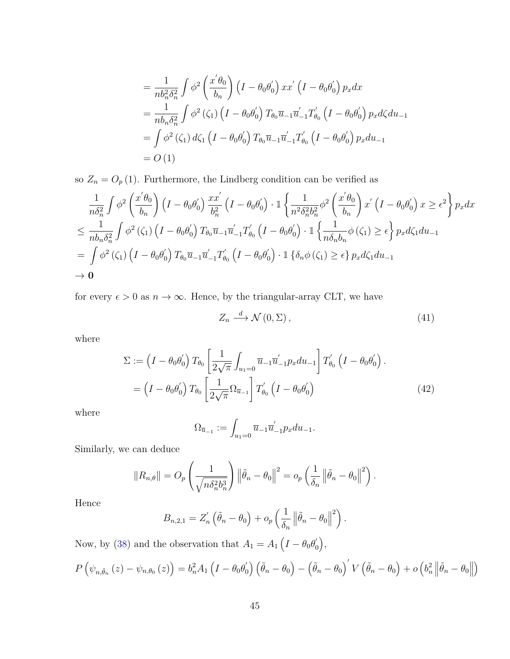$$
= \frac{1}{nb_n^2 \delta_n^2} \int \phi^2 \left(\frac{x' \theta_0}{b_n}\right) \left(I - \theta_0 \theta'_0\right) xx' \left(I - \theta_0 \theta'_0\right) p_x dx
$$
  
\n
$$
= \frac{1}{nb_n \delta_n^2} \int \phi^2 \left(\zeta_1\right) \left(I - \theta_0 \theta'_0\right) T_{\theta_0} \overline{u}_{-1} \overline{u}'_{-1} T'_{\theta_0} \left(I - \theta_0 \theta'_0\right) p_x d\zeta du_{-1}
$$
  
\n
$$
= \int \phi^2 \left(\zeta_1\right) d\zeta_1 \left(I - \theta_0 \theta'_0\right) T_{\theta_0} \overline{u}_{-1} \overline{u}'_{-1} T'_{\theta_0} \left(I - \theta_0 \theta'_0\right) p_x du_{-1}
$$
  
\n
$$
= O\left(1\right)
$$

so  $Z_n = O_p(1)$ . Furthermore, the Lindberg condition can be verified as

$$
\frac{1}{n\delta_n^2} \int \phi^2 \left(\frac{x'\theta_0}{b_n}\right) \left(I - \theta_0 \theta'_0\right) \frac{x x'}{b_n^2} \left(I - \theta_0 \theta'_0\right) \cdot \mathbb{1} \left\{\frac{1}{n^2 \delta_n^2 b_n^2} \phi^2 \left(\frac{x'\theta_0}{b_n}\right) x' \left(I - \theta_0 \theta'_0\right) x \ge \epsilon^2\right\} p_x dx
$$
\n
$$
\le \frac{1}{n b_n \delta_n^2} \int \phi^2 \left(\zeta_1\right) \left(I - \theta_0 \theta'_0\right) T_{\theta_0} \overline{u}_{-1} \overline{u}'_{-1} T'_{\theta_0} \left(I - \theta_0 \theta'_0\right) \cdot \mathbb{1} \left\{\frac{1}{n \delta_n b_n} \phi \left(\zeta_1\right) \ge \epsilon\right\} p_x d\zeta_1 du_{-1}
$$
\n
$$
= \int \phi^2 \left(\zeta_1\right) \left(I - \theta_0 \theta'_0\right) T_{\theta_0} \overline{u}_{-1} \overline{u}'_{-1} T'_{\theta_0} \left(I - \theta_0 \theta'_0\right) \cdot \mathbb{1} \left\{\delta_n \phi \left(\zeta_1\right) \ge \epsilon\right\} p_x d\zeta_1 du_{-1}
$$
\n
$$
\to 0
$$

for every  $\epsilon > 0$  as  $n \to \infty$ . Hence, by the triangular-array CLT, we have

$$
Z_n \stackrel{d}{\longrightarrow} \mathcal{N}(0, \Sigma) \,, \tag{41}
$$

where

$$
\Sigma := \left(I - \theta_0 \theta'_0\right) T_{\theta_0} \left[\frac{1}{2\sqrt{\pi}} \int_{u_1=0} \overline{u}_{-1} \overline{u}'_{-1} p_x du_{-1}\right] T'_{\theta_0} \left(I - \theta_0 \theta'_0\right).
$$

$$
= \left(I - \theta_0 \theta'_0\right) T_{\theta_0} \left[\frac{1}{2\sqrt{\pi}} \Omega_{\overline{u}_{-1}}\right] T'_{\theta_0} \left(I - \theta_0 \theta'_0\right)
$$
(42)

where

$$
\Omega_{\overline{u}_{-1}} := \int_{u_1=0} \overline{u}_{-1} \overline{u}'_{-1} p_x du_{-1}.
$$

Similarly, we can deduce

$$
||R_{n,\theta}|| = O_p\left(\frac{1}{\sqrt{n\delta_n^2 b_n^3}}\right) \left\|\tilde{\theta}_n - \theta_0\right\|^2 = o_p\left(\frac{1}{\delta_n} \left\|\tilde{\theta}_n - \theta_0\right\|^2\right).
$$

Hence

$$
B_{n,2,1} = Z'_n \left( \tilde{\theta}_n - \theta_0 \right) + o_p \left( \frac{1}{\delta_n} \left\| \tilde{\theta}_n - \theta_0 \right\|^2 \right).
$$

Now, by [\(38\)](#page-39-1) and the observation that  $A_1 = A_1 \left( I - \theta_0 \theta_0' \right)$  $_{0}^{\prime }\big),$ 

$$
P(\psi_{n,\tilde{\theta}_n}(z) - \psi_{n,\theta_0}(z)) = b_n^2 A_1 \left(I - \theta_0 \theta_0'\right) \left(\tilde{\theta}_n - \theta_0\right) - \left(\tilde{\theta}_n - \theta_0\right)' V \left(\tilde{\theta}_n - \theta_0\right) + o\left(b_n^2 \left\|\tilde{\theta}_n - \theta_0\right\|\right)
$$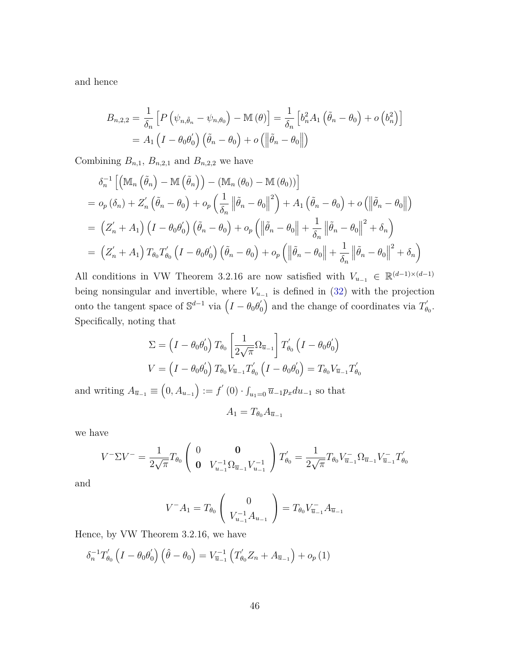and hence

$$
B_{n,2,2} = \frac{1}{\delta_n} \left[ P \left( \psi_{n,\tilde{\theta}_n} - \psi_{n,\theta_0} \right) - \mathbb{M} \left( \theta \right) \right] = \frac{1}{\delta_n} \left[ b_n^2 A_1 \left( \tilde{\theta}_n - \theta_0 \right) + o \left( b_n^2 \right) \right]
$$
  
=  $A_1 \left( I - \theta_0 \theta_0' \right) \left( \tilde{\theta}_n - \theta_0 \right) + o \left( \left\| \tilde{\theta}_n - \theta_0 \right\| \right)$ 

Combining  $B_{n,1}$ ,  $B_{n,2,1}$  and  $B_{n,2,2}$  we have

$$
\delta_n^{-1} \left[ \left( \mathbb{M}_n \left( \tilde{\theta}_n \right) - \mathbb{M} \left( \tilde{\theta}_n \right) \right) - \left( \mathbb{M}_n \left( \theta_0 \right) - \mathbb{M} \left( \theta_0 \right) \right) \right]
$$
\n
$$
= o_p \left( \delta_n \right) + Z'_n \left( \tilde{\theta}_n - \theta_0 \right) + o_p \left( \frac{1}{\delta_n} \left\| \tilde{\theta}_n - \theta_0 \right\|^2 \right) + A_1 \left( \tilde{\theta}_n - \theta_0 \right) + o \left( \left\| \tilde{\theta}_n - \theta_0 \right\| \right)
$$
\n
$$
= \left( Z'_n + A_1 \right) \left( I - \theta_0 \theta'_0 \right) \left( \tilde{\theta}_n - \theta_0 \right) + o_p \left( \left\| \tilde{\theta}_n - \theta_0 \right\| + \frac{1}{\delta_n} \left\| \tilde{\theta}_n - \theta_0 \right\|^2 + \delta_n \right)
$$
\n
$$
= \left( Z'_n + A_1 \right) T_{\theta_0} T'_{\theta_0} \left( I - \theta_0 \theta'_0 \right) \left( \tilde{\theta}_n - \theta_0 \right) + o_p \left( \left\| \tilde{\theta}_n - \theta_0 \right\| + \frac{1}{\delta_n} \left\| \tilde{\theta}_n - \theta_0 \right\|^2 + \delta_n \right)
$$

All conditions in VW Theorem 3.2.16 are now satisfied with  $V_{u_{-1}} \in \mathbb{R}^{(d-1)\times(d-1)}$ being nonsingular and invertible, where  $V_{u-1}$  is defined in [\(32\)](#page-36-0) with the projection onto the tangent space of  $\mathbb{S}^{d-1}$  via  $\left(I - \theta_0 \theta_0'\right)$  $\binom{7}{0}$  and the change of coordinates via  $T'_{\theta}$ ,,<br> $\theta_0$  . Specifically, noting that

$$
\Sigma = \left(I - \theta_0 \theta_0'\right) T_{\theta_0} \left[\frac{1}{2\sqrt{\pi}} \Omega_{\overline{u}_{-1}}\right] T'_{\theta_0} \left(I - \theta_0 \theta_0'\right)
$$

$$
V = \left(I - \theta_0 \theta_0'\right) T_{\theta_0} V_{\overline{u}_{-1}} T'_{\theta_0} \left(I - \theta_0 \theta_0'\right) = T_{\theta_0} V_{\overline{u}_{-1}} T'_{\theta_0}
$$

and writing  $A_{\bar{u}_{-1}} \equiv (0, A_{u_{-1}}) := f'(0) \cdot \int_{u_1=0} \bar{u}_{-1} p_x du_{-1}$  so that

$$
A_1 = T_{\theta_0} A_{\overline{u}_{-1}}
$$

we have

$$
V^-\Sigma V^- = \frac{1}{2\sqrt{\pi}}T_{\theta_0}\left(\begin{array}{cc} 0 & \mathbf{0} \\ \mathbf{0} & V_{u_{-1}}^{-1}\Omega_{\overline{u}_{-1}}V_{u_{-1}}^{-1}\end{array}\right)T_{\theta_0}' = \frac{1}{2\sqrt{\pi}}T_{\theta_0}V_{\overline{u}_{-1}}^{-}\Omega_{\overline{u}_{-1}}V_{\overline{u}_{-1}}^{-}T_{\theta_0}'
$$

and

$$
V^{-}A_{1} = T_{\theta_{0}}\left(\begin{array}{c} 0\\ V_{u-1}^{-1}A_{u-1} \end{array}\right) = T_{\theta_{0}}V_{\overline{u}_{-1}}^{-}A_{\overline{u}_{-1}}
$$

Hence, by VW Theorem 3.2.16, we have

$$
\delta_n^{-1} T'_{\theta_0} \left( I - \theta_0 \theta'_0 \right) \left( \hat{\theta} - \theta_0 \right) = V_{\overline{u}_{-1}}^{-1} \left( T'_{\theta_0} Z_n + A_{\overline{u}_{-1}} \right) + o_p(1)
$$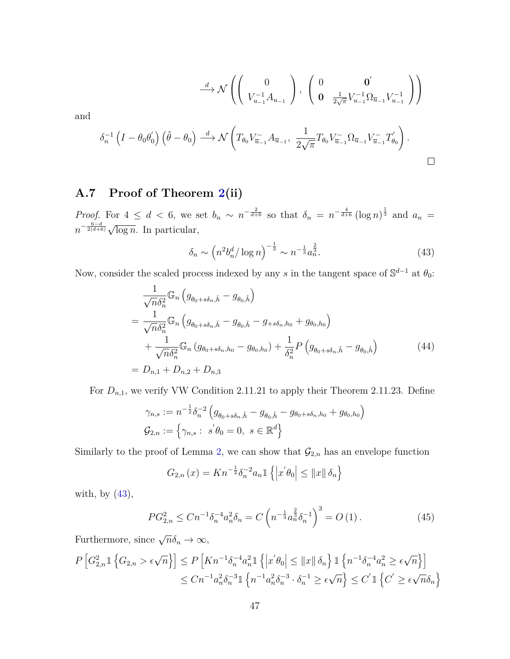$$
\stackrel{d}{\longrightarrow} \mathcal{N}\left(\begin{pmatrix} 0 \\ V_{u-1}^{-1}A_{u-1} \end{pmatrix}, \begin{pmatrix} 0 & \mathbf{0}' \\ \mathbf{0} & \frac{1}{2\sqrt{\pi}}V_{u-1}^{-1}\Omega_{\overline{u}-1}V_{u-1}^{-1} \end{pmatrix}\right)
$$

$$
\delta_n^{-1}\left(I - \theta_0\theta_0'\right)\left(\hat{\theta} - \theta_0\right) \stackrel{d}{\longrightarrow} \mathcal{N}\left(T_{\theta_0}V_{\overline{u}-1}^{-}A_{\overline{u}-1}, \frac{1}{2\sqrt{\pi}}T_{\theta_0}V_{\overline{u}-1}^{-}\Omega_{\overline{u}-1}V_{\overline{u}-1}^{-}T_{\theta_0}'\right).
$$

## **A.7 Proof of Theorem [2\(](#page-14-1)ii)**

and

*Proof.* For  $4 \leq d < 6$ , we set  $b_n \sim n^{-\frac{2}{d+6}}$  so that  $\delta_n = n^{-\frac{4}{d+6}} (\log n)^{\frac{1}{3}}$  and  $a_n =$  $n^{-\frac{6-d}{2(d+6)}}\sqrt{\log n}$ . In particular,

<span id="page-46-0"></span>
$$
\delta_n \sim \left( n^2 b_n^d / \log n \right)^{-\frac{1}{3}} \sim n^{-\frac{1}{3}} a_n^{\frac{2}{3}}.
$$
 (43)

Now, consider the scaled process indexed by any *s* in the tangent space of  $\mathbb{S}^{d-1}$  at  $\theta_0$ :

$$
\frac{1}{\sqrt{n}\delta_n^2} \mathbb{G}_n \left( g_{\theta_0 + s\delta_n, \hat{h}} - g_{\theta_0, \hat{h}} \right)
$$
\n
$$
= \frac{1}{\sqrt{n}\delta_n^2} \mathbb{G}_n \left( g_{\theta_0 + s\delta_n, \hat{h}} - g_{\theta_0, \hat{h}} - g_{+s\delta_n, h_0} + g_{\theta_0, h_0} \right)
$$
\n
$$
+ \frac{1}{\sqrt{n}\delta_n^2} \mathbb{G}_n \left( g_{\theta_0 + s\delta_n, h_0} - g_{\theta_0, h_0} \right) + \frac{1}{\delta_n^2} P \left( g_{\theta_0 + s\delta_n, \hat{h}} - g_{\theta_0, \hat{h}} \right)
$$
\n
$$
= D_{n,1} + D_{n,2} + D_{n,3}
$$
\n(44)

For  $D_{n,1}$ , we verify VW Condition 2.11.21 to apply their Theorem 2.11.23. Define

$$
\gamma_{n,s} := n^{-\frac{1}{2}} \delta_n^{-2} \left( g_{\theta_0 + s\delta_n, \hat{h}} - g_{\theta_0, \hat{h}} - g_{\theta_0 + s\delta_n, h_0} + g_{\theta_0, h_0} \right)
$$
  

$$
\mathcal{G}_{2,n} := \left\{ \gamma_{n,s} : s'\theta_0 = 0, s \in \mathbb{R}^d \right\}
$$

Similarly to the proof of Lemma [2,](#page-11-0) we can show that  $\mathcal{G}_{2,n}$  has an envelope function

$$
G_{2,n}(x) = Kn^{-\frac{1}{2}}\delta_n^{-2}a_n \mathbb{1}\left\{|x'\theta_0| \leq ||x|| \delta_n\right\}
$$

with, by  $(43)$ ,

<span id="page-46-1"></span>
$$
PG_{2,n}^2 \le Cn^{-1} \delta_n^{-4} a_n^2 \delta_n = C \left( n^{-\frac{1}{3}} a_n^{\frac{2}{3}} \delta_n^{-1} \right)^3 = O \left( 1 \right). \tag{45}
$$

Furthermore, since  $\sqrt{n}\delta_n \to \infty$ ,

$$
P\left[G_{2,n}^2 \mathbb{1}\left\{G_{2,n} > \epsilon\sqrt{n}\right\}\right] \le P\left[Kn^{-1}\delta_n^{-4}a_n^2 \mathbb{1}\left\{\left|x'\theta_0\right| \leq \|x\| \delta_n\right\} \mathbb{1}\left\{n^{-1}\delta_n^{-4}a_n^2 \geq \epsilon\sqrt{n}\right\}\right]
$$
  

$$
\le Cn^{-1}a_n^2\delta_n^{-3} \mathbb{1}\left\{n^{-1}a_n^2\delta_n^{-3} \cdot \delta_n^{-1} \geq \epsilon\sqrt{n}\right\} \le C' \mathbb{1}\left\{C' \geq \epsilon\sqrt{n}\delta_n\right\}
$$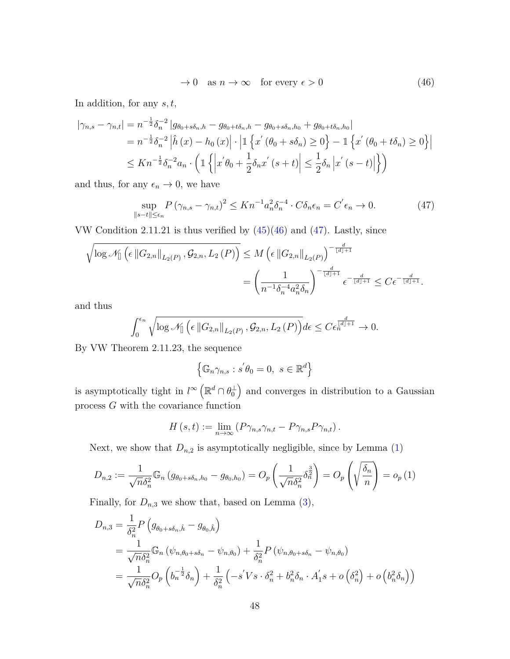<span id="page-47-1"></span><span id="page-47-0"></span>
$$
\to 0 \quad \text{as } n \to \infty \quad \text{for every } \epsilon > 0 \tag{46}
$$

In addition, for any *s, t*,

$$
\begin{split} |\gamma_{n,s} - \gamma_{n,t}| &= n^{-\frac{1}{2}} \delta_n^{-2} \left| g_{\theta_0 + s\delta_n, h} - g_{\theta_0 + t\delta_n, h_0} - g_{\theta_0 + s\delta_n, h_0} + g_{\theta_0 + t\delta_n, h_0} \right| \\ &= n^{-\frac{1}{2}} \delta_n^{-2} \left| \hat{h}(x) - h_0(x) \right| \cdot \left| \mathbb{1} \left\{ x' \left( \theta_0 + s\delta_n \right) \ge 0 \right\} - \mathbb{1} \left\{ x' \left( \theta_0 + t\delta_n \right) \ge 0 \right\} \right| \\ &\le Kn^{-\frac{1}{2}} \delta_n^{-2} a_n \cdot \left( \mathbb{1} \left\{ \left| x' \theta_0 + \frac{1}{2} \delta_n x' \left( s + t \right) \right| \le \frac{1}{2} \delta_n \left| x' \left( s - t \right) \right| \right\} \right) \end{split}
$$

and thus, for any  $\epsilon_n \to 0$ , we have

$$
\sup_{\|s-t\| \le \epsilon_n} P\left(\gamma_{n,s} - \gamma_{n,t}\right)^2 \le Kn^{-1} a_n^2 \delta_n^{-4} \cdot C\delta_n \epsilon_n = C' \epsilon_n \to 0. \tag{47}
$$

VW Condition 2.11.21 is thus verified by [\(45\)](#page-46-1)[\(46\)](#page-47-0) and [\(47\)](#page-47-1). Lastly, since

$$
\sqrt{\log \mathcal{N}_{[]}\left(\epsilon \left\|G_{2,n}\right\|_{L_2(P)}, \mathcal{G}_{2,n}, L_2\left(P\right)\right)} \leq M \left(\epsilon \left\|G_{2,n}\right\|_{L_2(P)}\right)^{-\frac{d}{\lfloor d \rfloor + 1}} \n= \left(\frac{1}{n^{-1}\delta_n^{-4}a_n^2\delta_n}\right)^{-\frac{d}{\lfloor d \rfloor + 1}} \epsilon^{-\frac{d}{\lfloor d \rfloor + 1}} \leq C\epsilon^{-\frac{d}{\lfloor d \rfloor + 1}}.
$$

and thus

$$
\int_0^{\epsilon_n} \sqrt{\log \mathcal{N}_{[]}\left(\epsilon \left\|G_{2,n}\right\|_{L_2(P)}, \mathcal{G}_{2,n}, L_2\left(P\right)\right)} d\epsilon \leq C \epsilon_n^{\frac{d}{\lfloor d \rfloor + 1}} \to 0.
$$

By VW Theorem 2.11.23, the sequence

$$
\left\{ \mathbb{G}_n \gamma_{n,s} : s' \theta_0 = 0, \ s \in \mathbb{R}^d \right\}
$$

is asymptotically tight in  $l^{\infty}(\mathbb{R}^d \cap \theta_0^{\perp})$  and converges in distribution to a Gaussian process *G* with the covariance function

$$
H(s,t) := \lim_{n \to \infty} (P\gamma_{n,s}\gamma_{n,t} - P\gamma_{n,s}P\gamma_{n,t}).
$$

Next, we show that  $D_{n,2}$  is asymptotically negligible, since by Lemma  $(1)$ 

$$
D_{n,2} := \frac{1}{\sqrt{n}\delta_n^2} \mathbb{G}_n \left( g_{\theta_0 + s\delta_n, h_0} - g_{\theta_0, h_0} \right) = O_p \left( \frac{1}{\sqrt{n}\delta_n^2} \delta_n^{\frac{3}{2}} \right) = O_p \left( \sqrt{\frac{\delta_n}{n}} \right) = o_p \left( 1 \right)
$$

Finally, for  $D_{n,3}$  we show that, based on Lemma [\(3\)](#page-13-0),

$$
D_{n,3} = \frac{1}{\delta_n^2} P\left(g_{\theta_0 + s\delta_n, \hat{h}} - g_{\theta_0, \hat{h}}\right)
$$
  
= 
$$
\frac{1}{\sqrt{n}\delta_n^2} \mathbb{G}_n \left(\psi_{n,\theta_0 + s\delta_n} - \psi_{n,\theta_0}\right) + \frac{1}{\delta_n^2} P\left(\psi_{n,\theta_0 + s\delta_n} - \psi_{n,\theta_0}\right)
$$
  
= 
$$
\frac{1}{\sqrt{n}\delta_n^2} O_p \left(b_n^{-\frac{1}{2}}\delta_n\right) + \frac{1}{\delta_n^2} \left(-s'Vs \cdot \delta_n^2 + b_n^2 \delta_n \cdot A_1's + o\left(\delta_n^2\right) + o\left(b_n^2 \delta_n\right)\right)
$$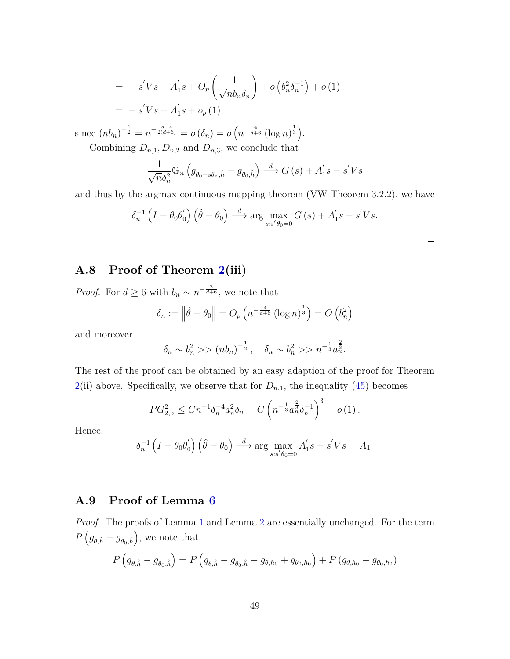$$
= -s'Vs + A'_1s + O_p\left(\frac{1}{\sqrt{nb_n}\delta_n}\right) + o\left(b_n^2\delta_n^{-1}\right) + o(1)
$$
  
=  $-s'Vs + A'_1s + o_p(1)$ 

since  $(nb_n)^{-\frac{1}{2}} = n^{-\frac{d+4}{2(d+6)}} = o(\delta_n) = o(n^{-\frac{4}{d+6}}(\log n)^{\frac{1}{3}}).$ 

Combining  $D_{n,1}, D_{n,2}$  and  $D_{n,3}$ , we conclude that

$$
\frac{1}{\sqrt{n}\delta_n^2} \mathbb{G}_n \left( g_{\theta_0 + s\delta_n, \hat{h}} - g_{\theta_0, \hat{h}} \right) \stackrel{d}{\longrightarrow} G\left(s\right) + A_1's - s'Vs
$$

and thus by the argmax continuous mapping theorem (VW Theorem 3.2.2), we have

$$
\delta_n^{-1} \left( I - \theta_0 \theta_0' \right) \left( \hat{\theta} - \theta_0 \right) \stackrel{d}{\longrightarrow} \arg \max_{s:s' \theta_0 = 0} G\left( s \right) + A_1' s - s' V s.
$$

### **A.8 Proof of Theorem [2\(](#page-14-1)iii)**

*Proof.* For  $d \geq 6$  with  $b_n \sim n^{-\frac{2}{d+6}}$ , we note that

$$
\delta_n := \left\|\hat{\theta} - \theta_0\right\| = O_p\left(n^{-\frac{4}{d+6}}\left(\log n\right)^{\frac{1}{3}}\right) = O\left(b_n^2\right)
$$

and moreover

$$
\delta_n \sim b_n^2 \gg (nb_n)^{-\frac{1}{2}}, \quad \delta_n \sim b_n^2 \gg n^{-\frac{1}{3}} a_n^{\frac{2}{3}}.
$$

The rest of the proof can be obtained by an easy adaption of the proof for Theorem [2\(](#page-14-1)ii) above. Specifically, we observe that for  $D_{n,1}$ , the inequality [\(45\)](#page-46-1) becomes

$$
PG_{2,n}^2 \leq Cn^{-1} \delta_n^{-4} a_n^2 \delta_n = C \left( n^{-\frac{1}{3}} a_n^{\frac{2}{3}} \delta_n^{-1} \right)^3 = o \left( 1 \right).
$$

Hence,

$$
\delta_n^{-1} \left( I - \theta_0 \theta_0' \right) \left( \hat{\theta} - \theta_0 \right) \stackrel{d}{\longrightarrow} \arg \max_{s:s' \theta_0 = 0} A_1' s - s' V s = A_1.
$$

## **A.9 Proof of Lemma [6](#page-22-1)**

*Proof.* The proofs of Lemma [1](#page-10-0) and Lemma [2](#page-11-0) are essentially unchanged. For the term  $P\left(g_{\theta,\hat{h}}-g_{\theta_0,\hat{h}}\right)$ , we note that

$$
P(g_{\theta,\hat{h}} - g_{\theta_0,\hat{h}}) = P(g_{\theta,\hat{h}} - g_{\theta_0,\hat{h}} - g_{\theta,h_0} + g_{\theta_0,h_0}) + P(g_{\theta,h_0} - g_{\theta_0,h_0})
$$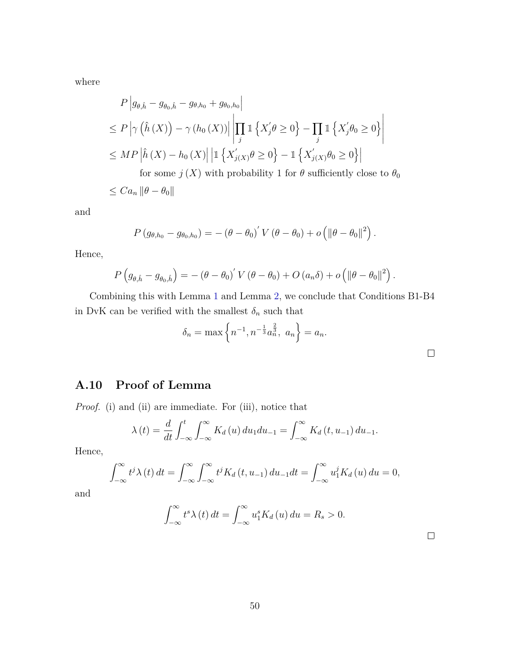where

$$
P\left|g_{\theta,\hat{h}} - g_{\theta_0,\hat{h}} - g_{\theta,h_0} + g_{\theta_0,h_0}\right|
$$
  
\n
$$
\leq P\left|\gamma\left(\hat{h}\left(X\right)\right) - \gamma\left(h_0\left(X\right)\right)\right| \left|\prod_{j} \mathbb{1}\left\{X'_j\theta \geq 0\right\} - \prod_{j} \mathbb{1}\left\{X'_j\theta_0 \geq 0\right\}\right|
$$
  
\n
$$
\leq MP\left|\hat{h}\left(X\right) - h_0\left(X\right)\right| \left|\mathbb{1}\left\{X'_{j(X)}\theta \geq 0\right\} - \mathbb{1}\left\{X'_{j(X)}\theta_0 \geq 0\right\}\right|
$$
  
\nfor some  $j\left(X\right)$  with probability 1 for  $\theta$  sufficiently close to  $\theta_0$   
\n
$$
\leq C a_n \left\|\theta - \theta_0\right\|
$$

and

$$
P(g_{\theta,h_0}-g_{\theta_0,h_0})=-\left(\theta-\theta_0\right)^{\prime}V\left(\theta-\theta_0\right)+o\left(\left\|\theta-\theta_0\right\|^2\right).
$$

Hence,

$$
P(g_{\theta,\hat{h}}-g_{\theta_0,\hat{h}})=-\left(\theta-\theta_0\right)'V(\theta-\theta_0)+O(a_n\delta)+o\left(\left\|\theta-\theta_0\right\|^2\right).
$$

Combining this with Lemma [1](#page-10-0) and Lemma [2,](#page-11-0) we conclude that Conditions B1-B4 in DvK can be verified with the smallest  $\delta_n$  such that

$$
\delta_n = \max \left\{ n^{-1}, n^{-\frac{1}{3}} a_n^{\frac{2}{3}}, a_n \right\} = a_n.
$$

## **A.10 Proof of Lemma**

*Proof.* (i) and (ii) are immediate. For (iii), notice that

$$
\lambda(t) = \frac{d}{dt} \int_{-\infty}^{t} \int_{-\infty}^{\infty} K_d(u) \, du_1 du_{-1} = \int_{-\infty}^{\infty} K_d(t, u_{-1}) \, du_{-1}.
$$

Hence,

$$
\int_{-\infty}^{\infty} t^j \lambda(t) dt = \int_{-\infty}^{\infty} \int_{-\infty}^{\infty} t^j K_d(t, u_{-1}) du_{-1} dt = \int_{-\infty}^{\infty} u_1^j K_d(u) du = 0,
$$

and

$$
\int_{-\infty}^{\infty} t^s \lambda(t) dt = \int_{-\infty}^{\infty} u_1^s K_d(u) du = R_s > 0.
$$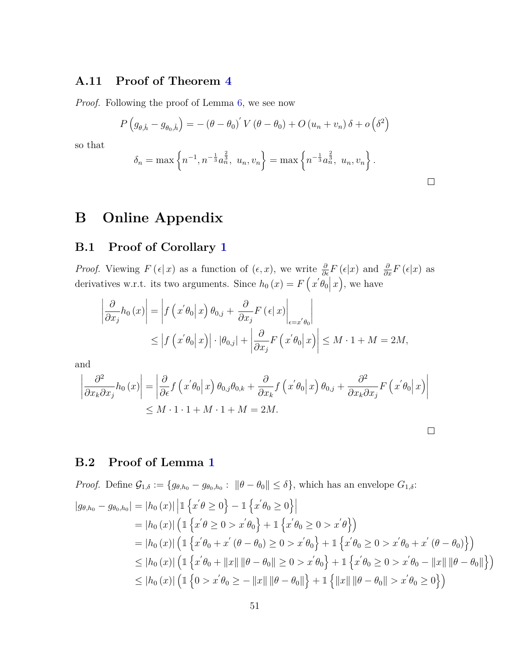### **A.11 Proof of Theorem [4](#page-22-2)**

*Proof.* Following the proof of Lemma [6,](#page-22-1) we see now

$$
P(g_{\theta,\hat{h}} - g_{\theta_0,\hat{h}}) = -(\theta - \theta_0)' V(\theta - \theta_0) + O(u_n + v_n) \delta + o(\delta^2)
$$

so that

$$
\delta_n = \max\left\{n^{-1}, n^{-\frac{1}{3}}a_n^{\frac{2}{3}}, u_n, v_n\right\} = \max\left\{n^{-\frac{1}{3}}a_n^{\frac{2}{3}}, u_n, v_n\right\}.
$$

# **B Online Appendix**

### **B.1 Proof of Corollary [1](#page-7-0)**

*Proof.* Viewing  $F(\epsilon|x)$  as a function of  $(\epsilon, x)$ , we write  $\frac{\partial}{\partial \epsilon}F(\epsilon|x)$  and  $\frac{\partial}{\partial x}F(\epsilon|x)$  as derivatives w.r.t. its two arguments. Since  $h_0(x) = F(x'\theta_0|x)$ , we have

$$
\left| \frac{\partial}{\partial x_j} h_0(x) \right| = \left| f(x' \theta_0 | x) \theta_{0,j} + \frac{\partial}{\partial x_j} F(\epsilon | x) \right|_{\epsilon = x' \theta_0}
$$
  

$$
\leq \left| f(x' \theta_0 | x) \right| \cdot |\theta_{0,j}| + \left| \frac{\partial}{\partial x_j} F(x' \theta_0 | x) \right| \leq M \cdot 1 + M = 2M,
$$

and

$$
\left| \frac{\partial^2}{\partial x_k \partial x_j} h_0(x) \right| = \left| \frac{\partial}{\partial \epsilon} f(x' \theta_0 | x) \theta_{0,j} \theta_{0,k} + \frac{\partial}{\partial x_k} f(x' \theta_0 | x) \theta_{0,j} + \frac{\partial^2}{\partial x_k \partial x_j} F(x' \theta_0 | x) \right|
$$
  

$$
\leq M \cdot 1 \cdot 1 + M \cdot 1 + M = 2M.
$$

### **B.2 Proof of Lemma [1](#page-10-0)**

*Proof.* Define  $\mathcal{G}_{1,\delta} := \{g_{\theta,h_0} - g_{\theta_0,h_0}: ||\theta - \theta_0|| \leq \delta\}$ , which has an envelope  $G_{1,\delta}$ :  $|g_{\theta,h_0} - g_{\theta_0,h_0}| = |h_0(x)| \left| \mathbb{1} \left\{ x' \theta \ge 0 \right\} - \mathbb{1} \left\{ x' \theta_0 \ge 0 \right\} \right|$  $= |h_0(x)| \left( \mathbb{1} \{ x' \theta \ge 0 > x' \theta_0 \} + \mathbb{1} \{ x' \theta_0 \ge 0 > x' \theta \} \right)$  $=$   $|h_0(x)| \left( 1 \left\{ x' \theta_0 + x' \left( \theta - \theta_0 \right) \geq 0 > x' \theta_0 \right\} + 1 \left\{ x' \theta_0 \geq 0 > x' \theta_0 + x' \left( \theta - \theta_0 \right) \right\} \right)$  $\leq |h_0(x)| \left( \mathbb{1} \left\{ x' \theta_0 + ||x|| \, ||\theta - \theta_0|| \geq 0 > x' \theta_0 \right\} + \mathbb{1} \left\{ x' \theta_0 \geq 0 > x' \theta_0 - ||x|| \, ||\theta - \theta_0|| \right\} \right)$  $\leq |h_0(x)| \left( \mathbb{1} \{ 0 > x' \theta_0 \geq -\|x\| \|\theta - \theta_0\| \right) + \mathbb{1} \left\{ \|x\| \|\theta - \theta_0\| > x' \theta_0 \geq 0 \right\} \right)$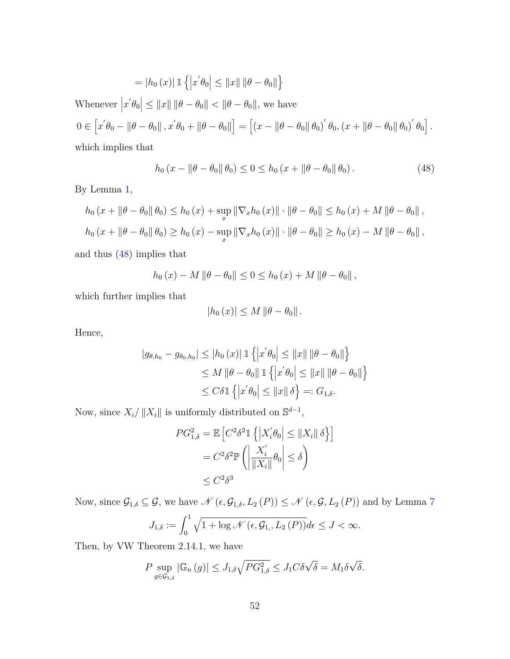= 
$$
|h_0(x)| 1 \{ |x' \theta_0| \le ||x|| ||\theta - \theta_0|| \}
$$

Whenever  $|x'\theta_0| \leq ||x|| \, ||\theta - \theta_0|| < ||\theta - \theta_0||$ , we have  $0 \in [x'\theta_0 - ||\theta - \theta_0||, x'\theta_0 + ||\theta - \theta_0||] = [(x - ||\theta - \theta_0||\theta_0)' \theta_0, (x + ||\theta - \theta_0||\theta_0)' \theta_0].$ 

which implies that

<span id="page-51-0"></span>
$$
h_0(x - \|\theta - \theta_0\| \theta_0) \le 0 \le h_0(x + \|\theta - \theta_0\| \theta_0).
$$
 (48)

By Lemma [1,](#page-7-0)

$$
h_0(x + \|\theta - \theta_0\| \theta_0) \le h_0(x) + \sup_x \|\nabla_x h_0(x)\| \cdot \|\theta - \theta_0\| \le h_0(x) + M \|\theta - \theta_0\|,
$$
  

$$
h_0(x + \|\theta - \theta_0\| \theta_0) \ge h_0(x) - \sup_x \|\nabla_x h_0(x)\| \cdot \|\theta - \theta_0\| \ge h_0(x) - M \|\theta - \theta_0\|,
$$

and thus [\(48\)](#page-51-0) implies that

$$
h_0(x) - M ||\theta - \theta_0|| \le 0 \le h_0(x) + M ||\theta - \theta_0||
$$
,

which further implies that

$$
|h_0(x)| \leq M \left\|\theta - \theta_0\right\|.
$$

Hence,

$$
|g_{\theta,h_0} - g_{\theta_0,h_0}| \le |h_0(x)| \mathbb{1} \left\{ \left| x' \theta_0 \right| \le ||x|| \, ||\theta - \theta_0|| \right\}
$$
  
\n
$$
\le M \, ||\theta - \theta_0|| \, \mathbb{1} \left\{ \left| x' \theta_0 \right| \le ||x|| \, ||\theta - \theta_0|| \right\}
$$
  
\n
$$
\le C \delta \mathbb{1} \left\{ \left| x' \theta_0 \right| \le ||x|| \, \delta \right\} =: G_{1,\delta}.
$$

Now, since  $X_i / ||X_i||$  is uniformly distributed on  $\mathbb{S}^{d-1}$ ,

$$
PG_{1,\delta}^2 = \mathbb{E}\left[C^2\delta^2 \mathbb{1}\left\{|X_i'\theta_0| \le ||X_i|| \delta\right\}\right]
$$

$$
= C^2\delta^2 \mathbb{P}\left(\left|\frac{X_i'}{\|X_i\|}\theta_0\right| \le \delta\right)
$$

$$
\le C^2\delta^3
$$

Now, since  $\mathcal{G}_{1,\delta} \subseteq \mathcal{G}$ , we have  $\mathcal{N}(\epsilon, \mathcal{G}_{1,\delta}, L_2(P)) \le \mathcal{N}(\epsilon, \mathcal{G}, L_2(P))$  and by Lemma [7](#page-25-3)

$$
J_{1,\delta} := \int_0^1 \sqrt{1 + \log \mathcal{N}\left(\epsilon, \mathcal{G}_{1,}, L_2(P)\right)} d\epsilon \le J < \infty.
$$

Then, by VW Theorem 2.14.1, we have

$$
P \sup_{g \in \mathcal{G}_{1,\delta}} |\mathbb{G}_n(g)| \le J_{1,\delta} \sqrt{PG_{1,\delta}^2} \le J_1 C \delta \sqrt{\delta} = M_1 \delta \sqrt{\delta}.
$$